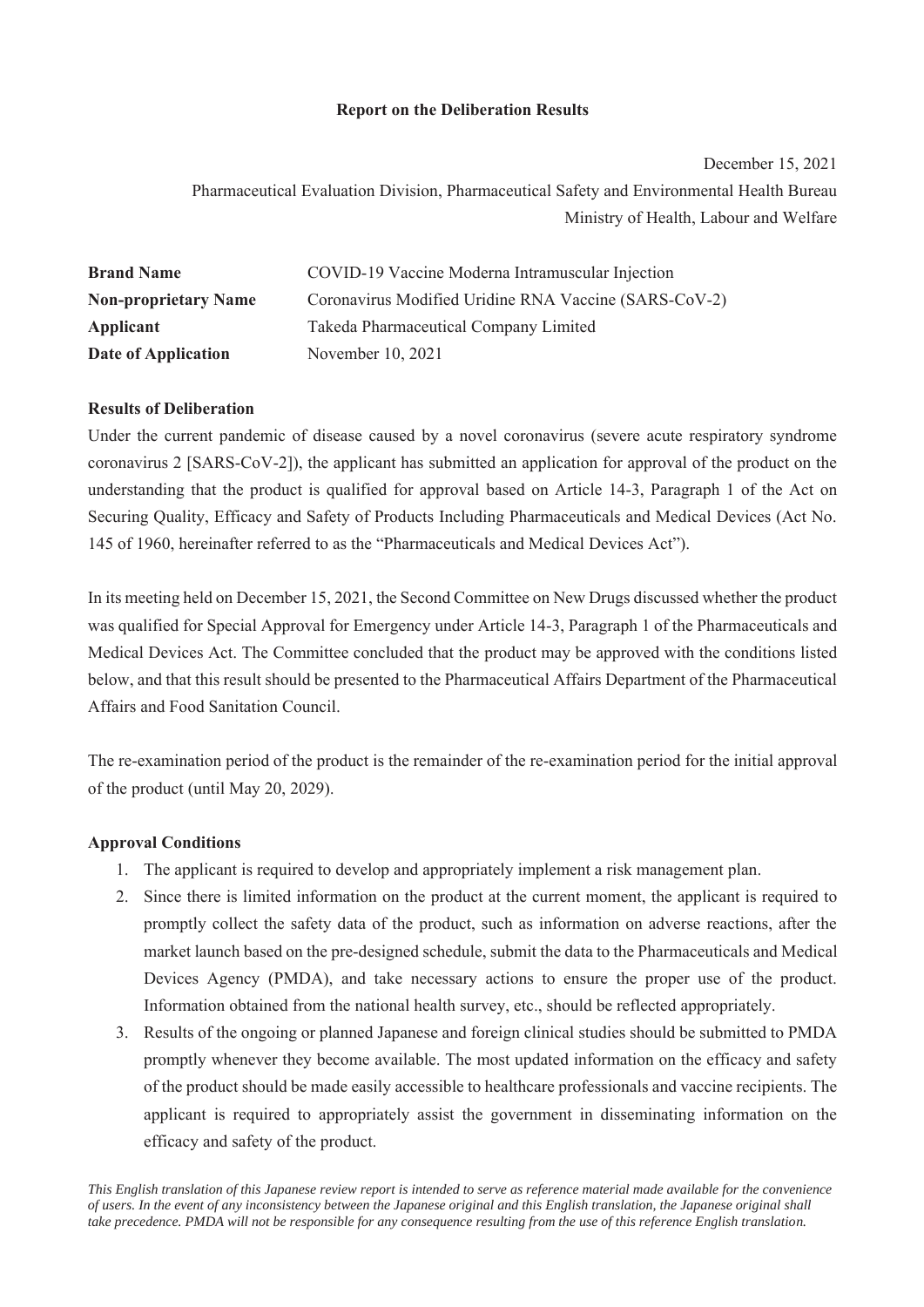# **Report on the Deliberation Results**

December 15, 2021

Pharmaceutical Evaluation Division, Pharmaceutical Safety and Environmental Health Bureau Ministry of Health, Labour and Welfare

| <b>Brand Name</b>           | COVID-19 Vaccine Moderna Intramuscular Injection      |
|-----------------------------|-------------------------------------------------------|
| <b>Non-proprietary Name</b> | Coronavirus Modified Uridine RNA Vaccine (SARS-CoV-2) |
| Applicant                   | Takeda Pharmaceutical Company Limited                 |
| Date of Application         | November 10, 2021                                     |

# **Results of Deliberation**

Under the current pandemic of disease caused by a novel coronavirus (severe acute respiratory syndrome coronavirus 2 [SARS-CoV-2]), the applicant has submitted an application for approval of the product on the understanding that the product is qualified for approval based on Article 14-3, Paragraph 1 of the Act on Securing Quality, Efficacy and Safety of Products Including Pharmaceuticals and Medical Devices (Act No. 145 of 1960, hereinafter referred to as the "Pharmaceuticals and Medical Devices Act").

In its meeting held on December 15, 2021, the Second Committee on New Drugs discussed whether the product was qualified for Special Approval for Emergency under Article 14-3, Paragraph 1 of the Pharmaceuticals and Medical Devices Act. The Committee concluded that the product may be approved with the conditions listed below, and that this result should be presented to the Pharmaceutical Affairs Department of the Pharmaceutical Affairs and Food Sanitation Council.

The re-examination period of the product is the remainder of the re-examination period for the initial approval of the product (until May 20, 2029).

# **Approval Conditions**

- 1. The applicant is required to develop and appropriately implement a risk management plan.
- 2. Since there is limited information on the product at the current moment, the applicant is required to promptly collect the safety data of the product, such as information on adverse reactions, after the market launch based on the pre-designed schedule, submit the data to the Pharmaceuticals and Medical Devices Agency (PMDA), and take necessary actions to ensure the proper use of the product. Information obtained from the national health survey, etc., should be reflected appropriately.
- 3. Results of the ongoing or planned Japanese and foreign clinical studies should be submitted to PMDA promptly whenever they become available. The most updated information on the efficacy and safety of the product should be made easily accessible to healthcare professionals and vaccine recipients. The applicant is required to appropriately assist the government in disseminating information on the efficacy and safety of the product.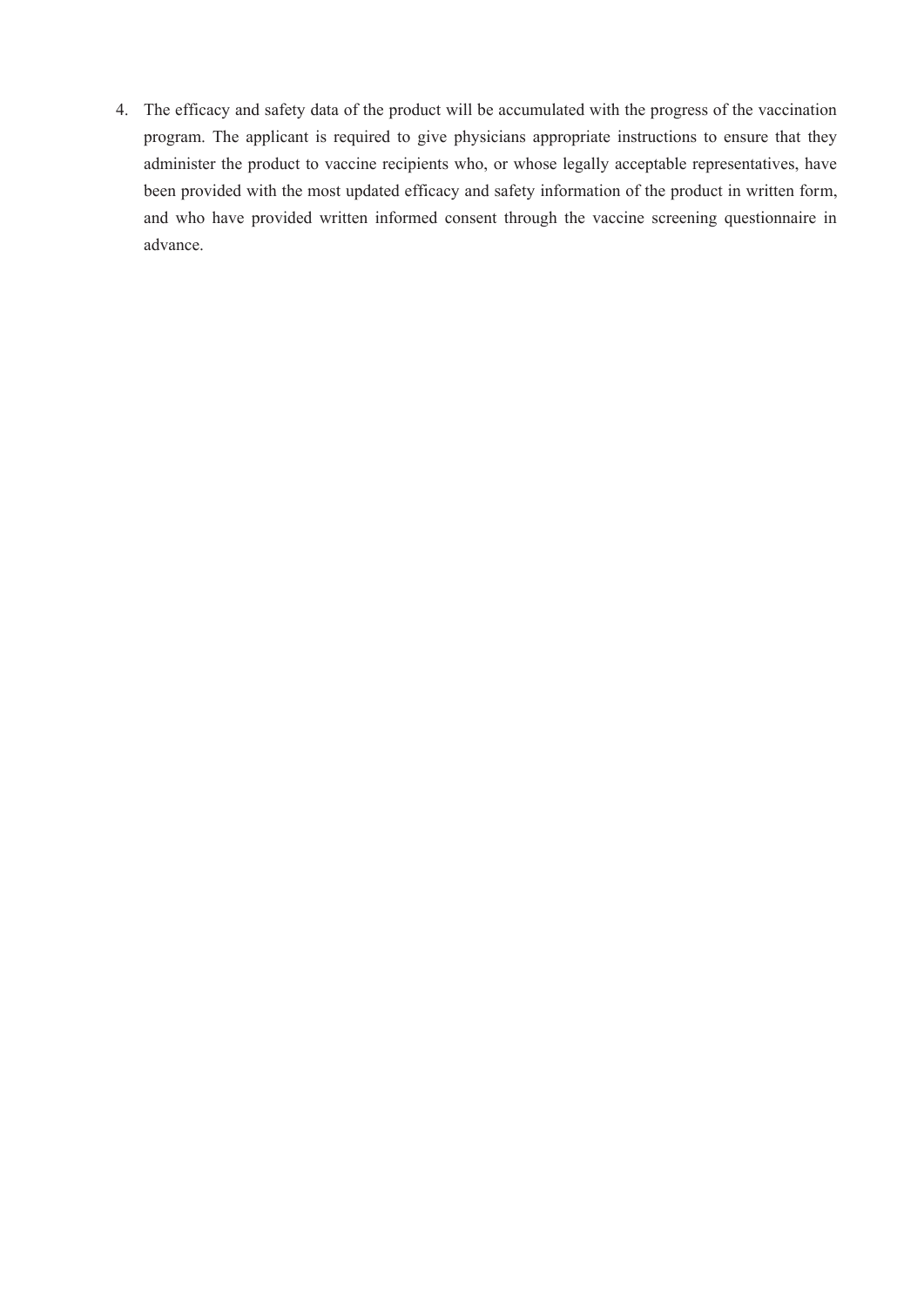4. The efficacy and safety data of the product will be accumulated with the progress of the vaccination program. The applicant is required to give physicians appropriate instructions to ensure that they administer the product to vaccine recipients who, or whose legally acceptable representatives, have been provided with the most updated efficacy and safety information of the product in written form, and who have provided written informed consent through the vaccine screening questionnaire in advance.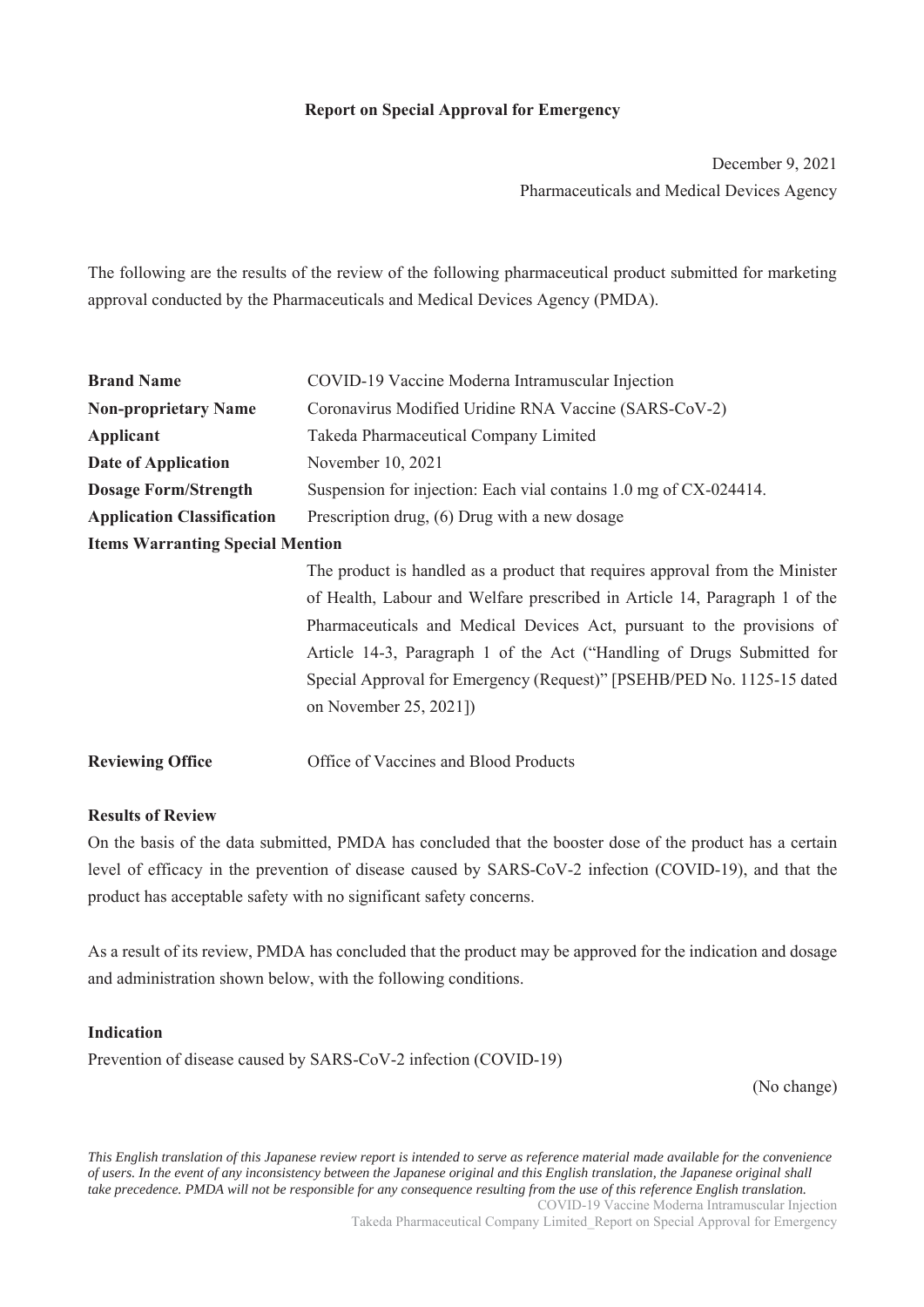# **Report on Special Approval for Emergency**

December 9, 2021 Pharmaceuticals and Medical Devices Agency

The following are the results of the review of the following pharmaceutical product submitted for marketing approval conducted by the Pharmaceuticals and Medical Devices Agency (PMDA).

| <b>Brand Name</b>                       | COVID-19 Vaccine Moderna Intramuscular Injection                             |
|-----------------------------------------|------------------------------------------------------------------------------|
| <b>Non-proprietary Name</b>             | Coronavirus Modified Uridine RNA Vaccine (SARS-CoV-2)                        |
| Applicant                               | Takeda Pharmaceutical Company Limited                                        |
| <b>Date of Application</b>              | November 10, 2021                                                            |
| <b>Dosage Form/Strength</b>             | Suspension for injection: Each vial contains 1.0 mg of CX-024414.            |
| <b>Application Classification</b>       | Prescription drug, (6) Drug with a new dosage                                |
| <b>Items Warranting Special Mention</b> |                                                                              |
|                                         | The product is handled as a product that requires approval from the Minister |
|                                         | of Health, Labour and Welfare prescribed in Article 14, Paragraph 1 of the   |
|                                         | Pharmaceuticals and Medical Devices Act, pursuant to the provisions of       |
|                                         | Article 14-3, Paragraph 1 of the Act ("Handling of Drugs Submitted for       |
|                                         | Special Approval for Emergency (Request)" [PSEHB/PED No. 1125-15 dated       |
|                                         | on November 25, 2021])                                                       |
| <b>Reviewing Office</b>                 | Office of Vaccines and Blood Products                                        |

# **Results of Review**

On the basis of the data submitted, PMDA has concluded that the booster dose of the product has a certain level of efficacy in the prevention of disease caused by SARS-CoV-2 infection (COVID-19), and that the product has acceptable safety with no significant safety concerns.

As a result of its review, PMDA has concluded that the product may be approved for the indication and dosage and administration shown below, with the following conditions.

#### **Indication**

Prevention of disease caused by SARS-CoV-2 infection (COVID-19)

(No change)

*This English translation of this Japanese review report is intended to serve as reference material made available for the convenience of users. In the event of any inconsistency between the Japanese original and this English translation, the Japanese original shall take precedence. PMDA will not be responsible for any consequence resulting from the use of this reference English translation.* COVID-19 Vaccine Moderna Intramuscular Injection

Takeda Pharmaceutical Company Limited\_Report on Special Approval for Emergency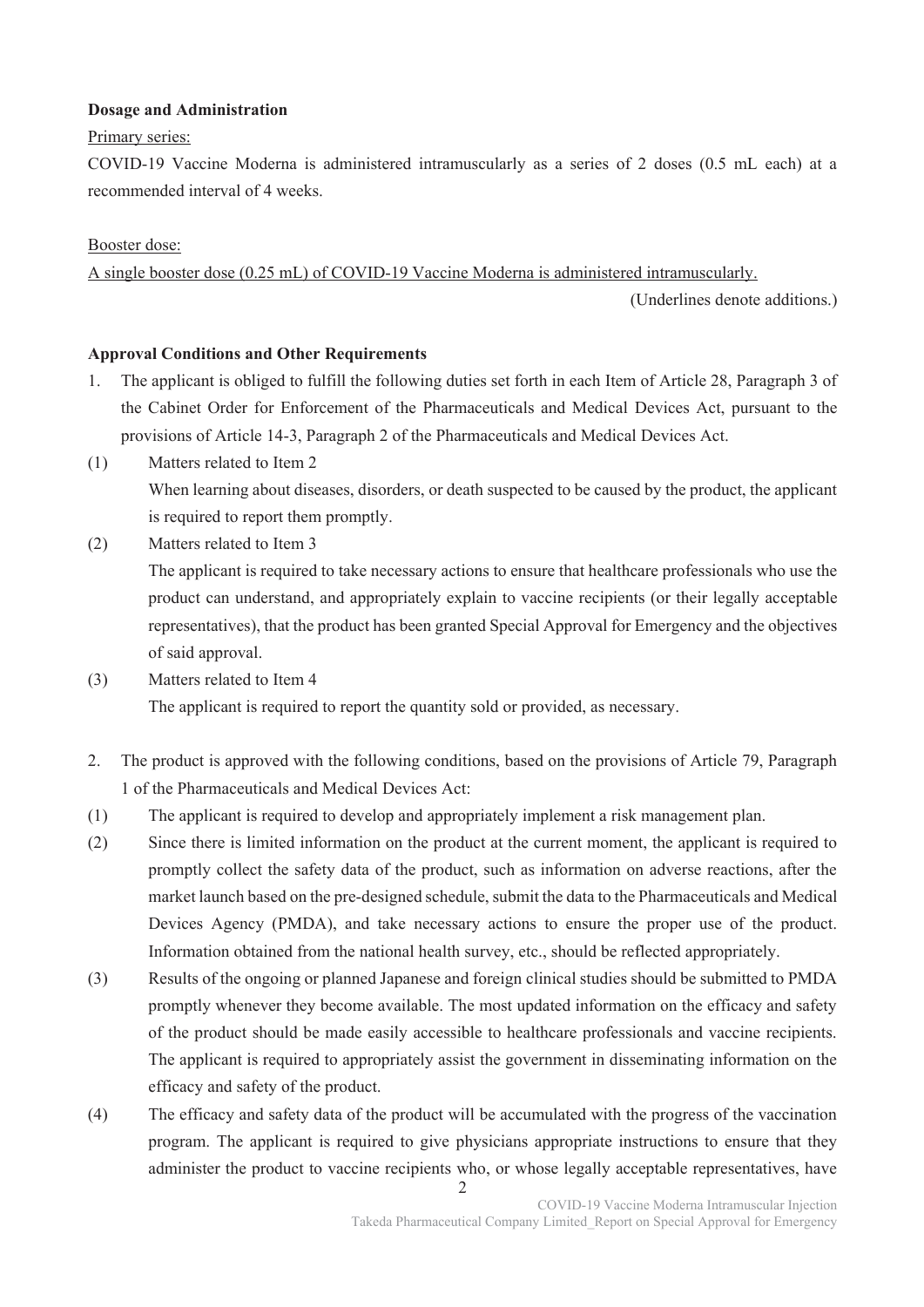# **Dosage and Administration**

### Primary series:

COVID-19 Vaccine Moderna is administered intramuscularly as a series of 2 doses (0.5 mL each) at a recommended interval of 4 weeks.

# Booster dose:

A single booster dose (0.25 mL) of COVID-19 Vaccine Moderna is administered intramuscularly.

(Underlines denote additions.)

### **Approval Conditions and Other Requirements**

- 1. The applicant is obliged to fulfill the following duties set forth in each Item of Article 28, Paragraph 3 of the Cabinet Order for Enforcement of the Pharmaceuticals and Medical Devices Act, pursuant to the provisions of Article 14-3, Paragraph 2 of the Pharmaceuticals and Medical Devices Act.
- (1) Matters related to Item 2 When learning about diseases, disorders, or death suspected to be caused by the product, the applicant is required to report them promptly.
- (2) Matters related to Item 3

The applicant is required to take necessary actions to ensure that healthcare professionals who use the product can understand, and appropriately explain to vaccine recipients (or their legally acceptable representatives), that the product has been granted Special Approval for Emergency and the objectives of said approval.

- (3) Matters related to Item 4 The applicant is required to report the quantity sold or provided, as necessary.
- 2. The product is approved with the following conditions, based on the provisions of Article 79, Paragraph 1 of the Pharmaceuticals and Medical Devices Act:
- (1) The applicant is required to develop and appropriately implement a risk management plan.
- (2) Since there is limited information on the product at the current moment, the applicant is required to promptly collect the safety data of the product, such as information on adverse reactions, after the market launch based on the pre-designed schedule, submit the data to the Pharmaceuticals and Medical Devices Agency (PMDA), and take necessary actions to ensure the proper use of the product. Information obtained from the national health survey, etc., should be reflected appropriately.
- (3) Results of the ongoing or planned Japanese and foreign clinical studies should be submitted to PMDA promptly whenever they become available. The most updated information on the efficacy and safety of the product should be made easily accessible to healthcare professionals and vaccine recipients. The applicant is required to appropriately assist the government in disseminating information on the efficacy and safety of the product.
- (4) The efficacy and safety data of the product will be accumulated with the progress of the vaccination program. The applicant is required to give physicians appropriate instructions to ensure that they administer the product to vaccine recipients who, or whose legally acceptable representatives, have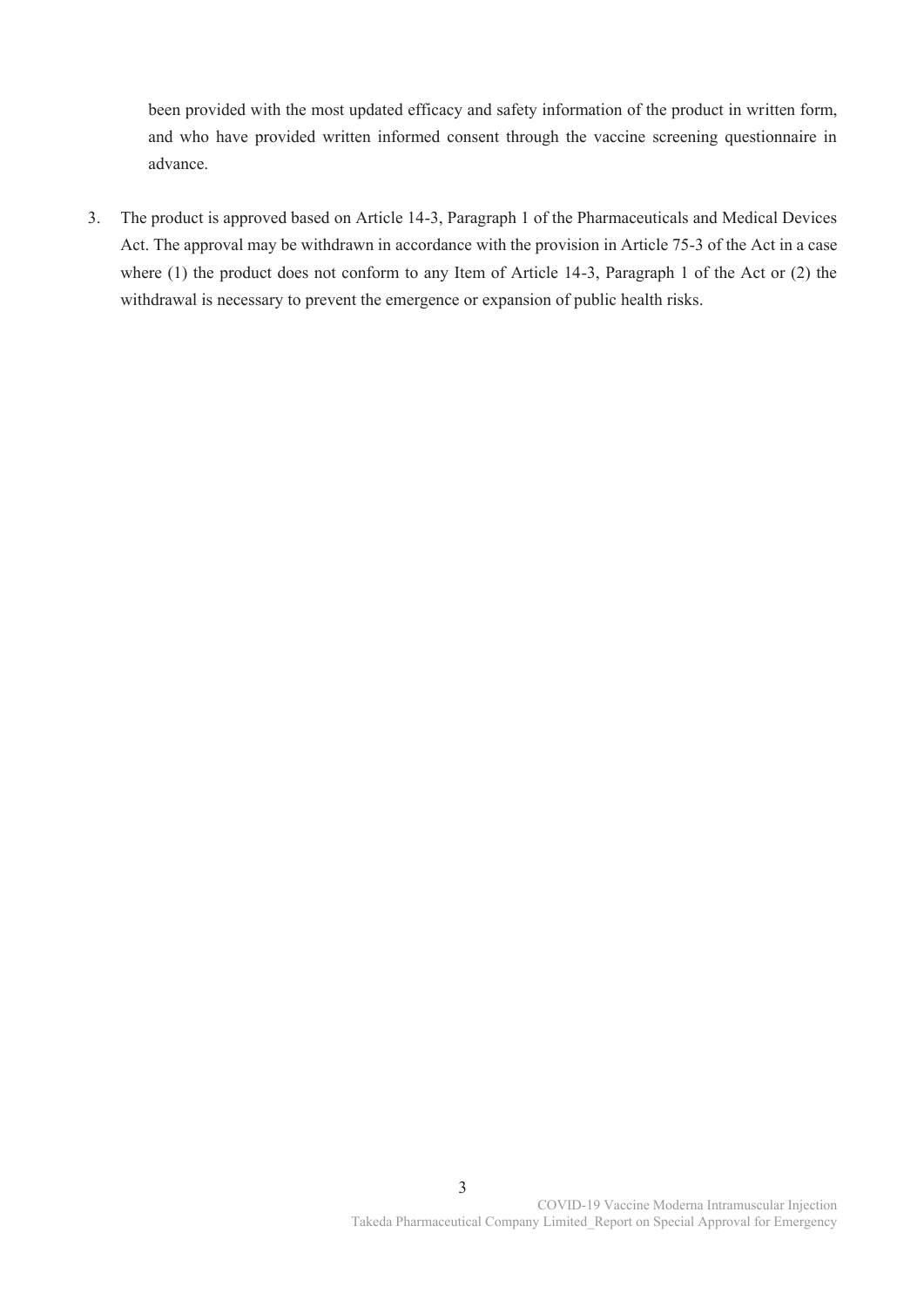been provided with the most updated efficacy and safety information of the product in written form, and who have provided written informed consent through the vaccine screening questionnaire in advance.

3. The product is approved based on Article 14-3, Paragraph 1 of the Pharmaceuticals and Medical Devices Act. The approval may be withdrawn in accordance with the provision in Article 75-3 of the Act in a case where (1) the product does not conform to any Item of Article 14-3, Paragraph 1 of the Act or (2) the withdrawal is necessary to prevent the emergence or expansion of public health risks.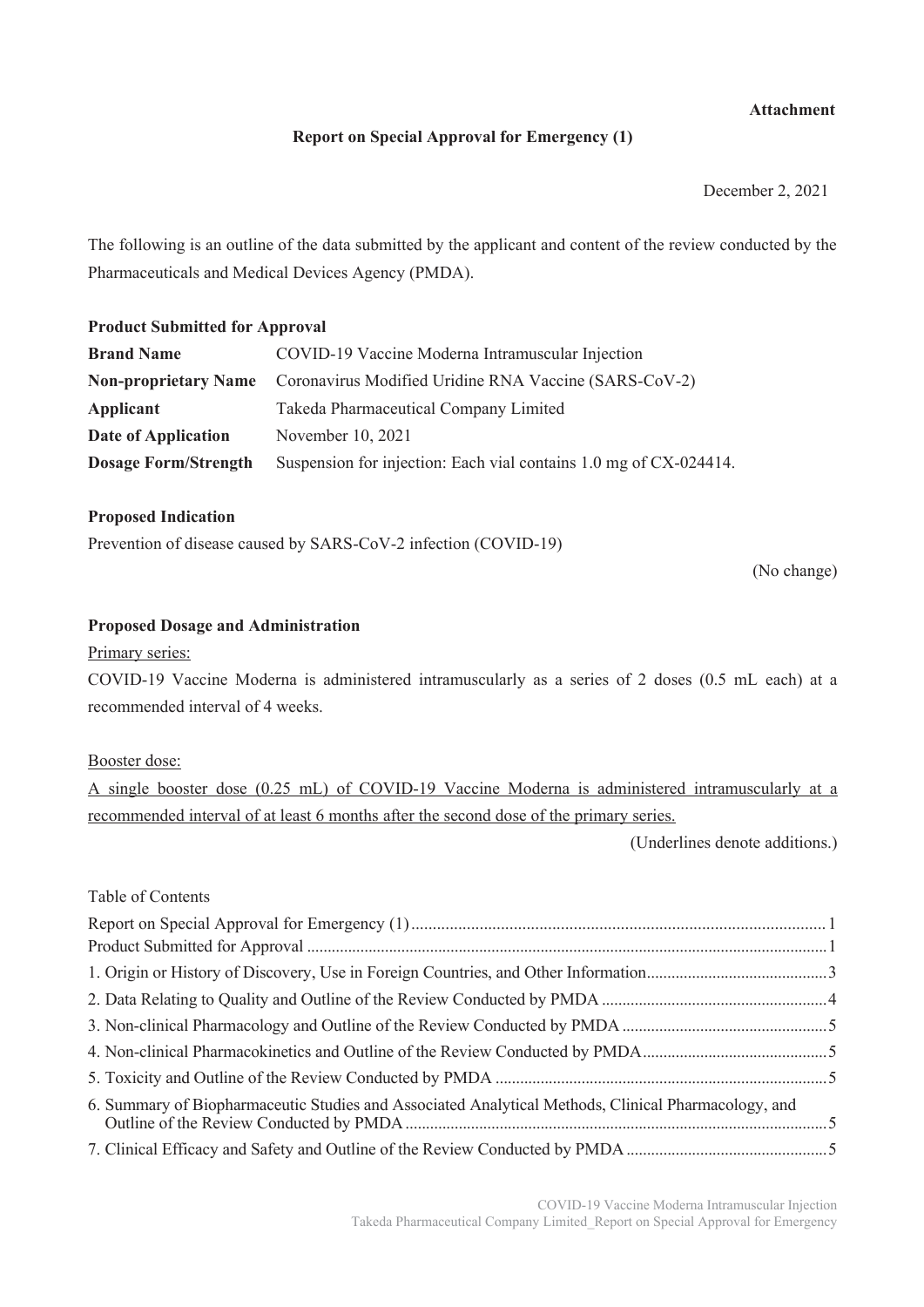# **Attachment**

# **Report on Special Approval for Emergency (1)**

December 2, 2021

The following is an outline of the data submitted by the applicant and content of the review conducted by the Pharmaceuticals and Medical Devices Agency (PMDA).

# **Product Submitted for Approval**

| <b>Brand Name</b>           | COVID-19 Vaccine Moderna Intramuscular Injection                                  |  |  |  |
|-----------------------------|-----------------------------------------------------------------------------------|--|--|--|
|                             | <b>Non-proprietary Name</b> Coronavirus Modified Uridine RNA Vaccine (SARS-CoV-2) |  |  |  |
| Applicant                   | Takeda Pharmaceutical Company Limited                                             |  |  |  |
| Date of Application         | November 10, 2021                                                                 |  |  |  |
| <b>Dosage Form/Strength</b> | Suspension for injection: Each vial contains 1.0 mg of CX-024414.                 |  |  |  |

# **Proposed Indication**

Prevention of disease caused by SARS-CoV-2 infection (COVID-19)

(No change)

# **Proposed Dosage and Administration**

Primary series:

COVID-19 Vaccine Moderna is administered intramuscularly as a series of 2 doses (0.5 mL each) at a recommended interval of 4 weeks.

### Booster dose:

A single booster dose (0.25 mL) of COVID-19 Vaccine Moderna is administered intramuscularly at a recommended interval of at least 6 months after the second dose of the primary series.

(Underlines denote additions.)

# Table of Contents

| 6. Summary of Biopharmaceutic Studies and Associated Analytical Methods, Clinical Pharmacology, and |  |
|-----------------------------------------------------------------------------------------------------|--|
|                                                                                                     |  |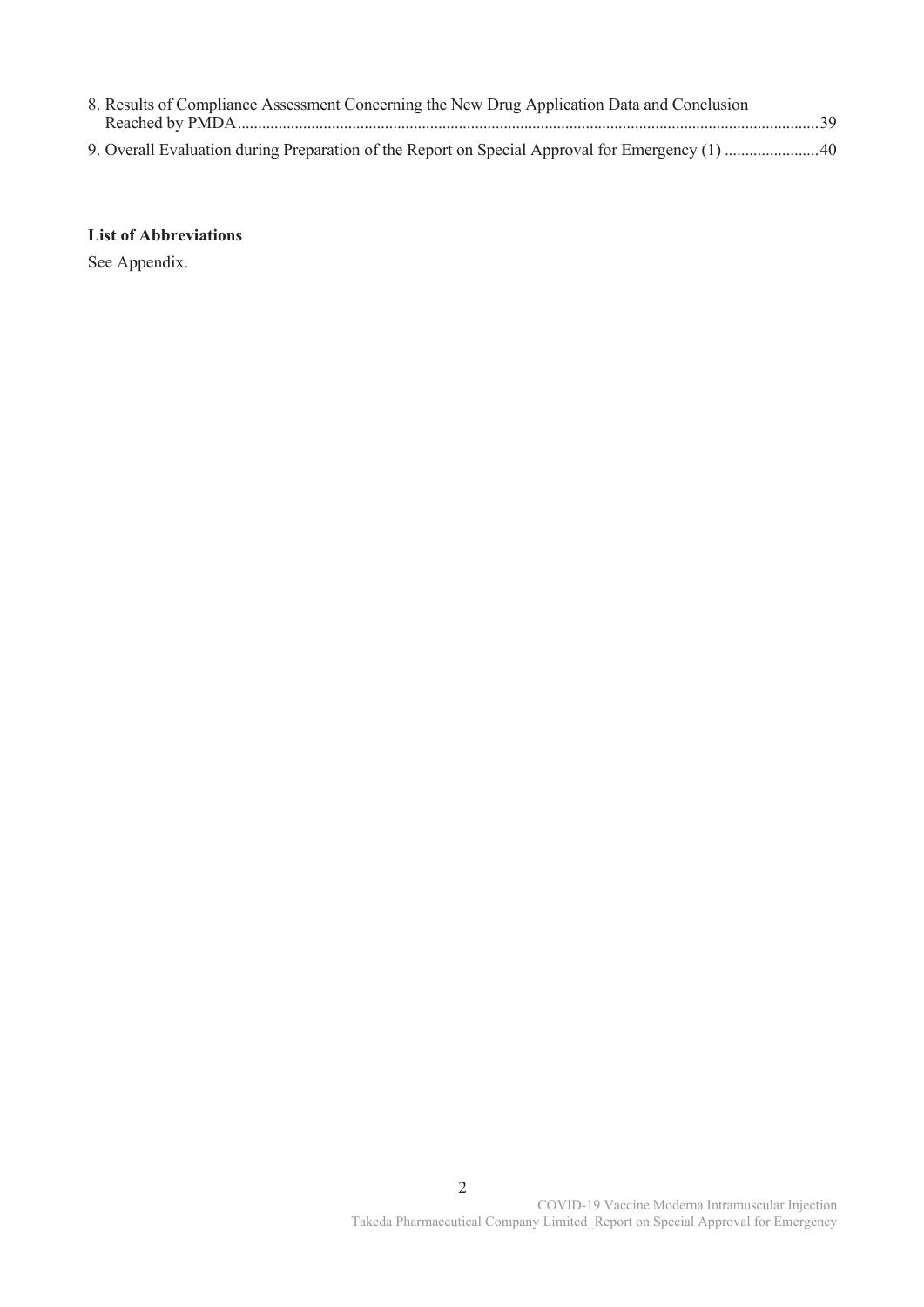| 8. Results of Compliance Assessment Concerning the New Drug Application Data and Conclusion |  |
|---------------------------------------------------------------------------------------------|--|
|                                                                                             |  |
|                                                                                             |  |
|                                                                                             |  |

# **List of Abbreviations**

See Appendix.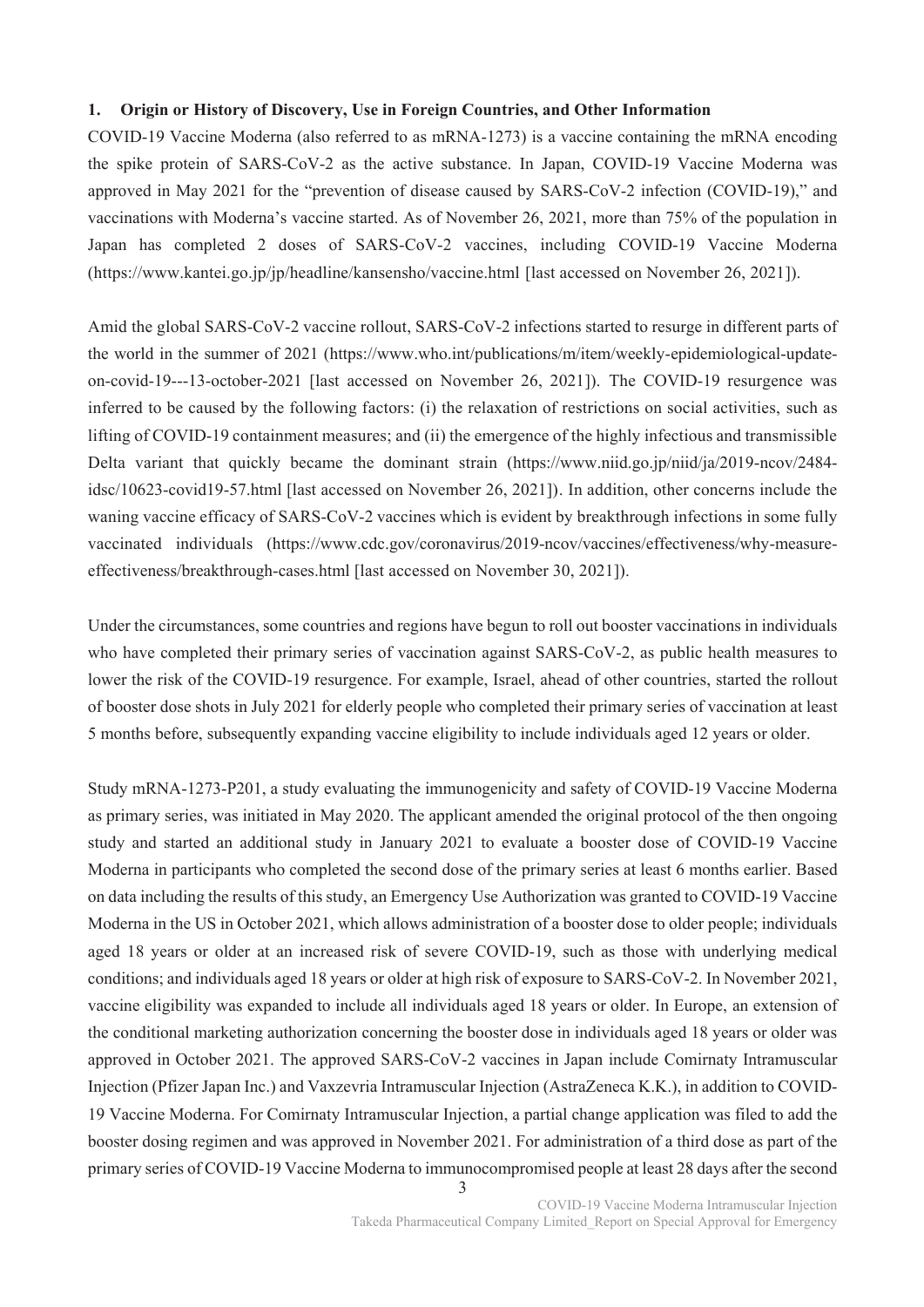# **1. Origin or History of Discovery, Use in Foreign Countries, and Other Information**

COVID-19 Vaccine Moderna (also referred to as mRNA-1273) is a vaccine containing the mRNA encoding the spike protein of SARS-CoV-2 as the active substance. In Japan, COVID-19 Vaccine Moderna was approved in May 2021 for the "prevention of disease caused by SARS-CoV-2 infection (COVID-19)," and vaccinations with Moderna's vaccine started. As of November 26, 2021, more than 75% of the population in Japan has completed 2 doses of SARS-CoV-2 vaccines, including COVID-19 Vaccine Moderna (https://www.kantei.go.jp/jp/headline/kansensho/vaccine.html [last accessed on November 26, 2021]).

Amid the global SARS-CoV-2 vaccine rollout, SARS-CoV-2 infections started to resurge in different parts of the world in the summer of 2021 (https://www.who.int/publications/m/item/weekly-epidemiological-updateon-covid-19---13-october-2021 [last accessed on November 26, 2021]). The COVID-19 resurgence was inferred to be caused by the following factors: (i) the relaxation of restrictions on social activities, such as lifting of COVID-19 containment measures; and (ii) the emergence of the highly infectious and transmissible Delta variant that quickly became the dominant strain (https://www.niid.go.jp/niid/ja/2019-ncov/2484 idsc/10623-covid19-57.html [last accessed on November 26, 2021]). In addition, other concerns include the waning vaccine efficacy of SARS-CoV-2 vaccines which is evident by breakthrough infections in some fully vaccinated individuals (https://www.cdc.gov/coronavirus/2019-ncov/vaccines/effectiveness/why-measureeffectiveness/breakthrough-cases.html [last accessed on November 30, 2021]).

Under the circumstances, some countries and regions have begun to roll out booster vaccinations in individuals who have completed their primary series of vaccination against SARS-CoV-2, as public health measures to lower the risk of the COVID-19 resurgence. For example, Israel, ahead of other countries, started the rollout of booster dose shots in July 2021 for elderly people who completed their primary series of vaccination at least 5 months before, subsequently expanding vaccine eligibility to include individuals aged 12 years or older.

Study mRNA-1273-P201, a study evaluating the immunogenicity and safety of COVID-19 Vaccine Moderna as primary series, was initiated in May 2020. The applicant amended the original protocol of the then ongoing study and started an additional study in January 2021 to evaluate a booster dose of COVID-19 Vaccine Moderna in participants who completed the second dose of the primary series at least 6 months earlier. Based on data including the results of this study, an Emergency Use Authorization was granted to COVID-19 Vaccine Moderna in the US in October 2021, which allows administration of a booster dose to older people; individuals aged 18 years or older at an increased risk of severe COVID-19, such as those with underlying medical conditions; and individuals aged 18 years or older at high risk of exposure to SARS-CoV-2. In November 2021, vaccine eligibility was expanded to include all individuals aged 18 years or older. In Europe, an extension of the conditional marketing authorization concerning the booster dose in individuals aged 18 years or older was approved in October 2021. The approved SARS-CoV-2 vaccines in Japan include Comirnaty Intramuscular Injection (Pfizer Japan Inc.) and Vaxzevria Intramuscular Injection (AstraZeneca K.K.), in addition to COVID-19 Vaccine Moderna. For Comirnaty Intramuscular Injection, a partial change application was filed to add the booster dosing regimen and was approved in November 2021. For administration of a third dose as part of the primary series of COVID-19 Vaccine Moderna to immunocompromised people at least 28 days after the second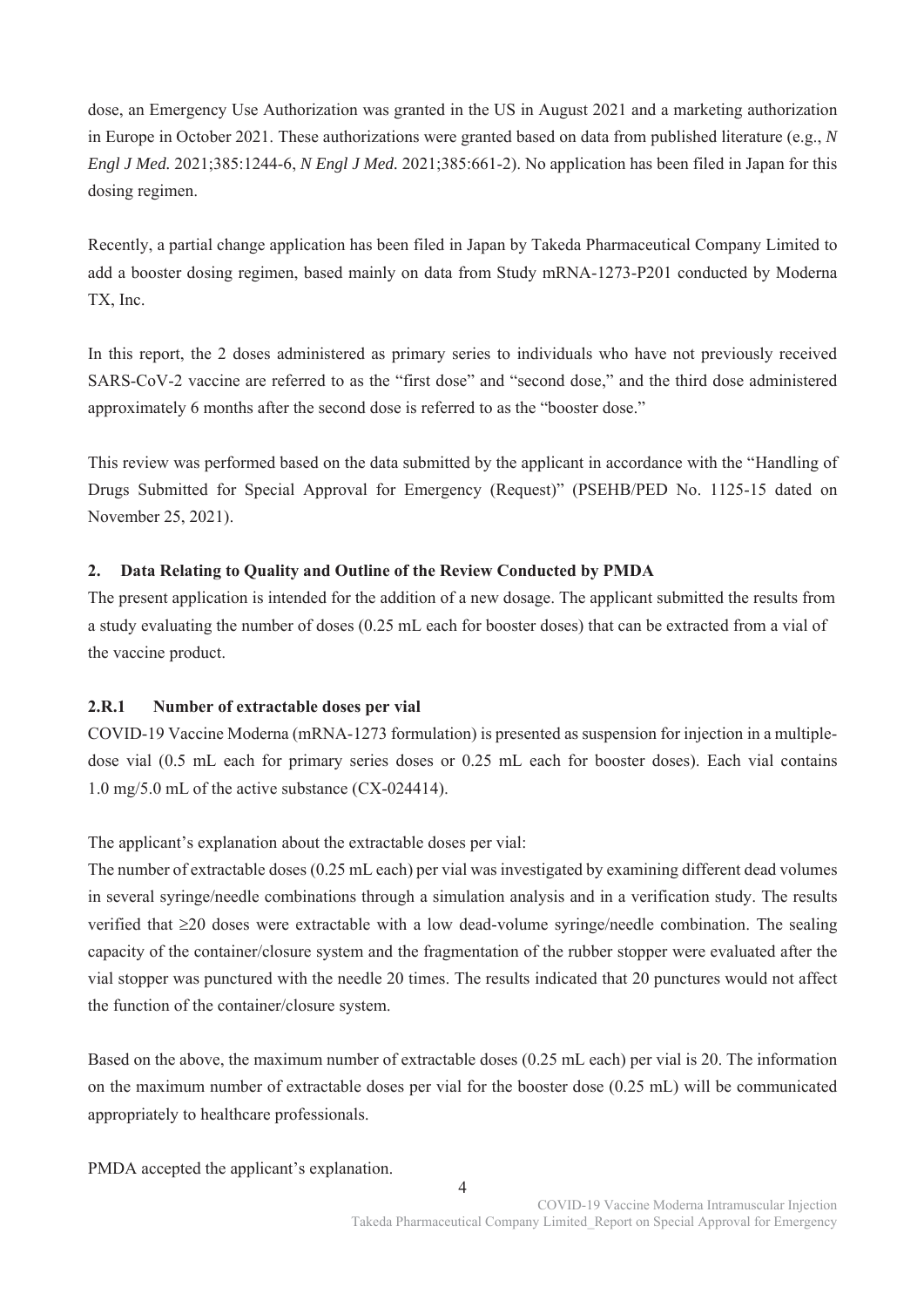dose, an Emergency Use Authorization was granted in the US in August 2021 and a marketing authorization in Europe in October 2021. These authorizations were granted based on data from published literature (e.g., *N Engl J Med.* 2021;385:1244-6, *N Engl J Med.* 2021;385:661-2). No application has been filed in Japan for this dosing regimen.

Recently, a partial change application has been filed in Japan by Takeda Pharmaceutical Company Limited to add a booster dosing regimen, based mainly on data from Study mRNA-1273-P201 conducted by Moderna TX, Inc.

In this report, the 2 doses administered as primary series to individuals who have not previously received SARS-CoV-2 vaccine are referred to as the "first dose" and "second dose," and the third dose administered approximately 6 months after the second dose is referred to as the "booster dose."

This review was performed based on the data submitted by the applicant in accordance with the "Handling of Drugs Submitted for Special Approval for Emergency (Request)" (PSEHB/PED No. 1125-15 dated on November 25, 2021).

# **2. Data Relating to Quality and Outline of the Review Conducted by PMDA**

The present application is intended for the addition of a new dosage. The applicant submitted the results from a study evaluating the number of doses (0.25 mL each for booster doses) that can be extracted from a vial of the vaccine product.

# **2.R.1 Number of extractable doses per vial**

COVID-19 Vaccine Moderna (mRNA-1273 formulation) is presented as suspension for injection in a multipledose vial (0.5 mL each for primary series doses or 0.25 mL each for booster doses). Each vial contains 1.0 mg/5.0 mL of the active substance (CX-024414).

The applicant's explanation about the extractable doses per vial:

The number of extractable doses (0.25 mL each) per vial was investigated by examining different dead volumes in several syringe/needle combinations through a simulation analysis and in a verification study. The results verified that  $\geq$ 20 doses were extractable with a low dead-volume syringe/needle combination. The sealing capacity of the container/closure system and the fragmentation of the rubber stopper were evaluated after the vial stopper was punctured with the needle 20 times. The results indicated that 20 punctures would not affect the function of the container/closure system.

Based on the above, the maximum number of extractable doses (0.25 mL each) per vial is 20. The information on the maximum number of extractable doses per vial for the booster dose (0.25 mL) will be communicated appropriately to healthcare professionals.

PMDA accepted the applicant's explanation.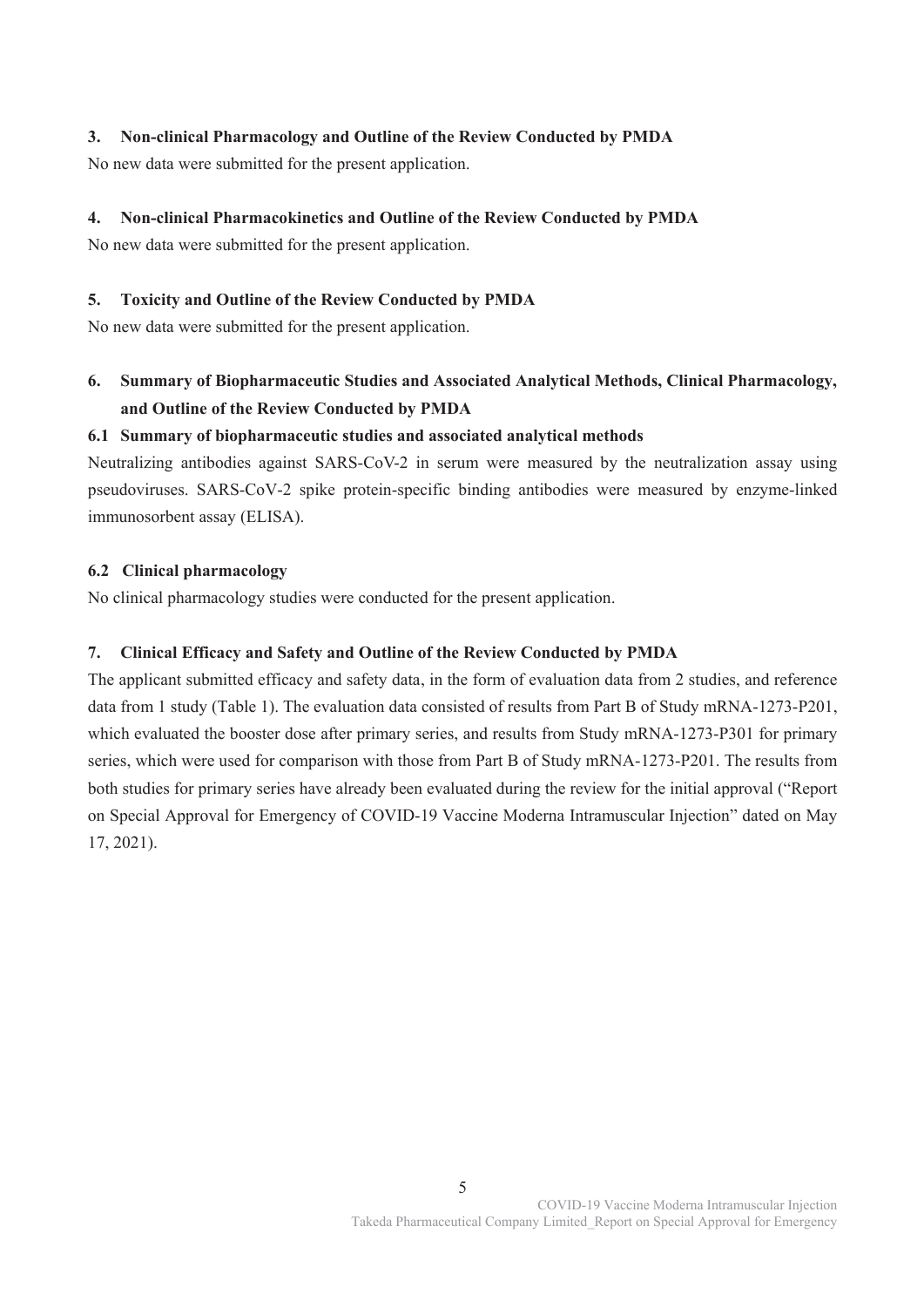# **3. Non-clinical Pharmacology and Outline of the Review Conducted by PMDA**

No new data were submitted for the present application.

# **4. Non-clinical Pharmacokinetics and Outline of the Review Conducted by PMDA**

No new data were submitted for the present application.

# **5. Toxicity and Outline of the Review Conducted by PMDA**

No new data were submitted for the present application.

# **6. Summary of Biopharmaceutic Studies and Associated Analytical Methods, Clinical Pharmacology, and Outline of the Review Conducted by PMDA**

# **6.1 Summary of biopharmaceutic studies and associated analytical methods**

Neutralizing antibodies against SARS-CoV-2 in serum were measured by the neutralization assay using pseudoviruses. SARS-CoV-2 spike protein-specific binding antibodies were measured by enzyme-linked immunosorbent assay (ELISA).

# **6.2 Clinical pharmacology**

No clinical pharmacology studies were conducted for the present application.

# **7. Clinical Efficacy and Safety and Outline of the Review Conducted by PMDA**

The applicant submitted efficacy and safety data, in the form of evaluation data from 2 studies, and reference data from 1 study (Table 1). The evaluation data consisted of results from Part B of Study mRNA-1273-P201, which evaluated the booster dose after primary series, and results from Study mRNA-1273-P301 for primary series, which were used for comparison with those from Part B of Study mRNA-1273-P201. The results from both studies for primary series have already been evaluated during the review for the initial approval ("Report on Special Approval for Emergency of COVID-19 Vaccine Moderna Intramuscular Injection" dated on May 17, 2021).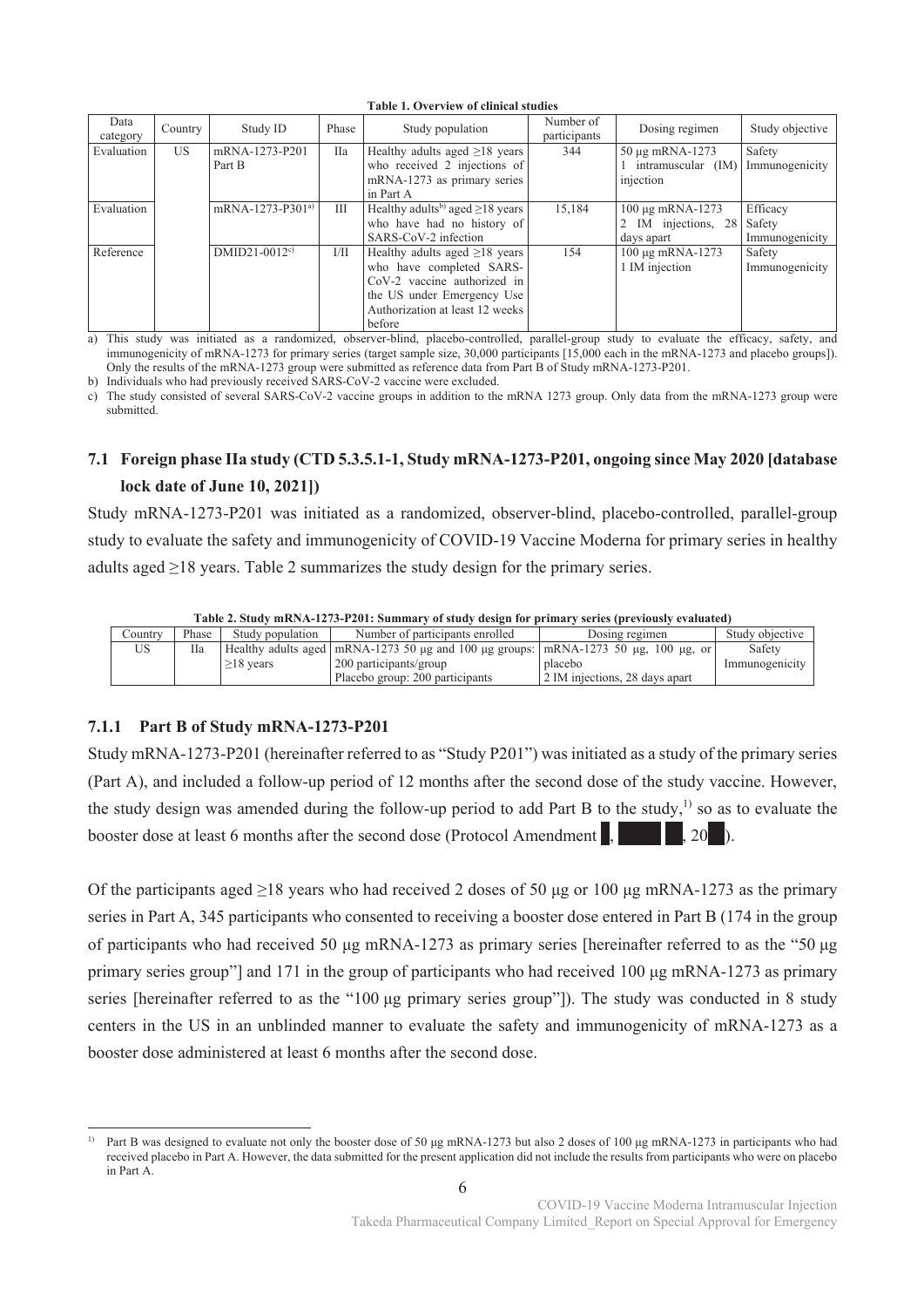| Data<br>category | Country | Study ID                     | Phase      | Study population                                                                                                                                                            | Number of<br>participants | Dosing regimen                                             | Study objective            |
|------------------|---------|------------------------------|------------|-----------------------------------------------------------------------------------------------------------------------------------------------------------------------------|---------------------------|------------------------------------------------------------|----------------------------|
| Evaluation       | US.     | mRNA-1273-P201<br>Part B     | <b>IIa</b> | Healthy adults aged $\geq$ 18 years<br>who received 2 injections of<br>mRNA-1273 as primary series<br>in Part A                                                             | 344                       | 50 μg mRNA-1273<br>intramuscular (IM)<br>injection         | Safety<br>Immunogenicity   |
| Evaluation       |         | mRNA-1273-P301 <sup>a)</sup> | Ш          | Healthy adults <sup>b)</sup> aged $\geq$ 18 years<br>who have had no history of<br>SARS-CoV-2 infection                                                                     | 15,184                    | 100 μg mRNA-1273<br>IM injections, 28 Safety<br>days apart | Efficacy<br>Immunogenicity |
| Reference        |         | DMID21-0012 <sup>c)</sup>    | 1/11       | Healthy adults aged $\geq$ 18 years<br>who have completed SARS-<br>$CoV-2$ vaccine authorized in<br>the US under Emergency Use<br>Authorization at least 12 weeks<br>before | 154                       | 100 μg mRNA-1273<br>1 IM injection                         | Safety<br>Immunogenicity   |

**Table 1. Overview of clinical studies** 

a) This study was initiated as a randomized, observer-blind, placebo-controlled, parallel-group study to evaluate the efficacy, safety, and immunogenicity of mRNA-1273 for primary series (target sample size, 30,000 participants [15,000 each in the mRNA-1273 and placebo groups]). Only the results of the mRNA-1273 group were submitted as reference data from Part B of Study mRNA-1273-P201.

b) Individuals who had previously received SARS-CoV-2 vaccine were excluded.

c) The study consisted of several SARS-CoV-2 vaccine groups in addition to the mRNA 1273 group. Only data from the mRNA-1273 group were submitted.

# **7.1 Foreign phase IIa study (CTD 5.3.5.1-1, Study mRNA-1273-P201, ongoing since May 2020 [database lock date of June 10, 2021])**

Study mRNA-1273-P201 was initiated as a randomized, observer-blind, placebo-controlled, parallel-group study to evaluate the safety and immunogenicity of COVID-19 Vaccine Moderna for primary series in healthy adults aged  $\geq$ 18 years. Table 2 summarizes the study design for the primary series.

| TADIC 4. STRUM HIINIMI-LA (3-1 401. SUHIHIAI V OI STUUV UUSI2II IOI TIIHIAI V SUTUUS ITIU UVAIVAUATUU |       |                  |                                                                                                                |                                |                 |  |  |
|-------------------------------------------------------------------------------------------------------|-------|------------------|----------------------------------------------------------------------------------------------------------------|--------------------------------|-----------------|--|--|
| Country                                                                                               | Phase | Study population | Number of participants enrolled                                                                                | Dosing regimen                 | Study objective |  |  |
| US                                                                                                    | Пa    |                  | Healthy adults aged $ mRNA-1273\,50\,\mu g$ and 100 $\mu g$ groups: $ mRNA-1273\,50\,\mu g$ , 100 $\mu g$ , or |                                | Safety          |  |  |
|                                                                                                       |       | $>18$ vears      | 200 participants/group                                                                                         | placebo                        | Immunogenicity  |  |  |
|                                                                                                       |       |                  | Placebo group: 200 participants                                                                                | 2 IM injections, 28 days apart |                 |  |  |

**Table 2. Study mRNA-1273-P201: Summary of study design for primary series (previously evaluated)** 

# **7.1.1 Part B of Study mRNA-1273-P201**

.

Study mRNA-1273-P201 (hereinafter referred to as "Study P201") was initiated as a study of the primary series (Part A), and included a follow-up period of 12 months after the second dose of the study vaccine. However, the study design was amended during the follow-up period to add Part B to the study,<sup>1)</sup> so as to evaluate the booster dose at least 6 months after the second dose (Protocol Amendment  $\begin{bmatrix} 1 & 0 \\ 0 & 1 \end{bmatrix}$ , 20

Of the participants aged  $\geq$ 18 years who had received 2 doses of 50 μg or 100 μg mRNA-1273 as the primary series in Part A, 345 participants who consented to receiving a booster dose entered in Part B (174 in the group of participants who had received 50 μg mRNA-1273 as primary series [hereinafter referred to as the "50 μg primary series group"] and 171 in the group of participants who had received 100 μg mRNA-1273 as primary series [hereinafter referred to as the "100 μg primary series group"]). The study was conducted in 8 study centers in the US in an unblinded manner to evaluate the safety and immunogenicity of mRNA-1273 as a booster dose administered at least 6 months after the second dose.

<sup>1)</sup> Part B was designed to evaluate not only the booster dose of 50 μg mRNA-1273 but also 2 doses of 100 μg mRNA-1273 in participants who had received placebo in Part A. However, the data submitted for the present application did not include the results from participants who were on placebo in Part A.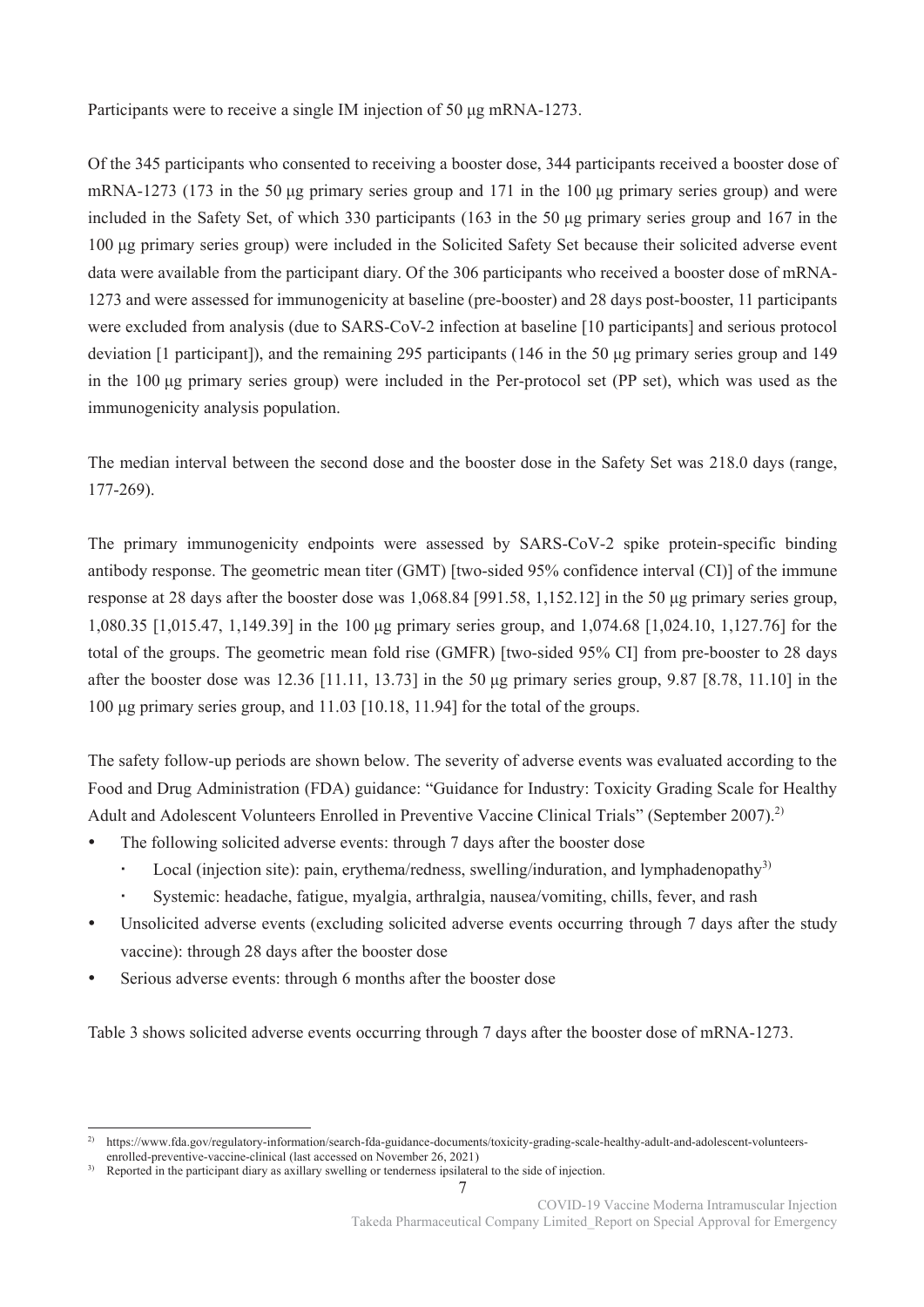Participants were to receive a single IM injection of 50 μg mRNA-1273.

Of the 345 participants who consented to receiving a booster dose, 344 participants received a booster dose of mRNA-1273 (173 in the 50 μg primary series group and 171 in the 100 μg primary series group) and were included in the Safety Set, of which 330 participants (163 in the 50 μg primary series group and 167 in the 100 μg primary series group) were included in the Solicited Safety Set because their solicited adverse event data were available from the participant diary. Of the 306 participants who received a booster dose of mRNA-1273 and were assessed for immunogenicity at baseline (pre-booster) and 28 days post-booster, 11 participants were excluded from analysis (due to SARS-CoV-2 infection at baseline [10 participants] and serious protocol deviation [1 participant]), and the remaining 295 participants (146 in the 50 μg primary series group and 149 in the 100 μg primary series group) were included in the Per-protocol set (PP set), which was used as the immunogenicity analysis population.

The median interval between the second dose and the booster dose in the Safety Set was 218.0 days (range, 177-269).

The primary immunogenicity endpoints were assessed by SARS-CoV-2 spike protein-specific binding antibody response. The geometric mean titer (GMT) [two-sided 95% confidence interval (CI)] of the immune response at 28 days after the booster dose was 1,068.84 [991.58, 1,152.12] in the 50 μg primary series group, 1,080.35 [1,015.47, 1,149.39] in the 100 μg primary series group, and 1,074.68 [1,024.10, 1,127.76] for the total of the groups. The geometric mean fold rise (GMFR) [two-sided 95% CI] from pre-booster to 28 days after the booster dose was 12.36 [11.11, 13.73] in the 50  $\mu$ g primary series group, 9.87 [8.78, 11.10] in the 100 μg primary series group, and 11.03 [10.18, 11.94] for the total of the groups.

The safety follow-up periods are shown below. The severity of adverse events was evaluated according to the Food and Drug Administration (FDA) guidance: "Guidance for Industry: Toxicity Grading Scale for Healthy Adult and Adolescent Volunteers Enrolled in Preventive Vaccine Clinical Trials" (September 2007).<sup>2)</sup>

- The following solicited adverse events: through 7 days after the booster dose
	- Local (injection site): pain, erythema/redness, swelling/induration, and lymphadenopathy<sup>3)</sup>
	- Systemic: headache, fatigue, myalgia, arthralgia, nausea/vomiting, chills, fever, and rash
- Unsolicited adverse events (excluding solicited adverse events occurring through 7 days after the study vaccine): through 28 days after the booster dose
- Serious adverse events: through 6 months after the booster dose

.

Table 3 shows solicited adverse events occurring through 7 days after the booster dose of mRNA-1273.

7

<sup>2)</sup> https://www.fda.gov/regulatory-information/search-fda-guidance-documents/toxicity-grading-scale-healthy-adult-and-adolescent-volunteersenrolled-preventive-vaccine-clinical (last accessed on November 26, 2021)

<sup>&</sup>lt;sup>3)</sup> Reported in the participant diary as axillary swelling or tenderness ipsilateral to the side of injection.

COVID-19 Vaccine Moderna Intramuscular Injection Takeda Pharmaceutical Company Limited\_Report on Special Approval for Emergency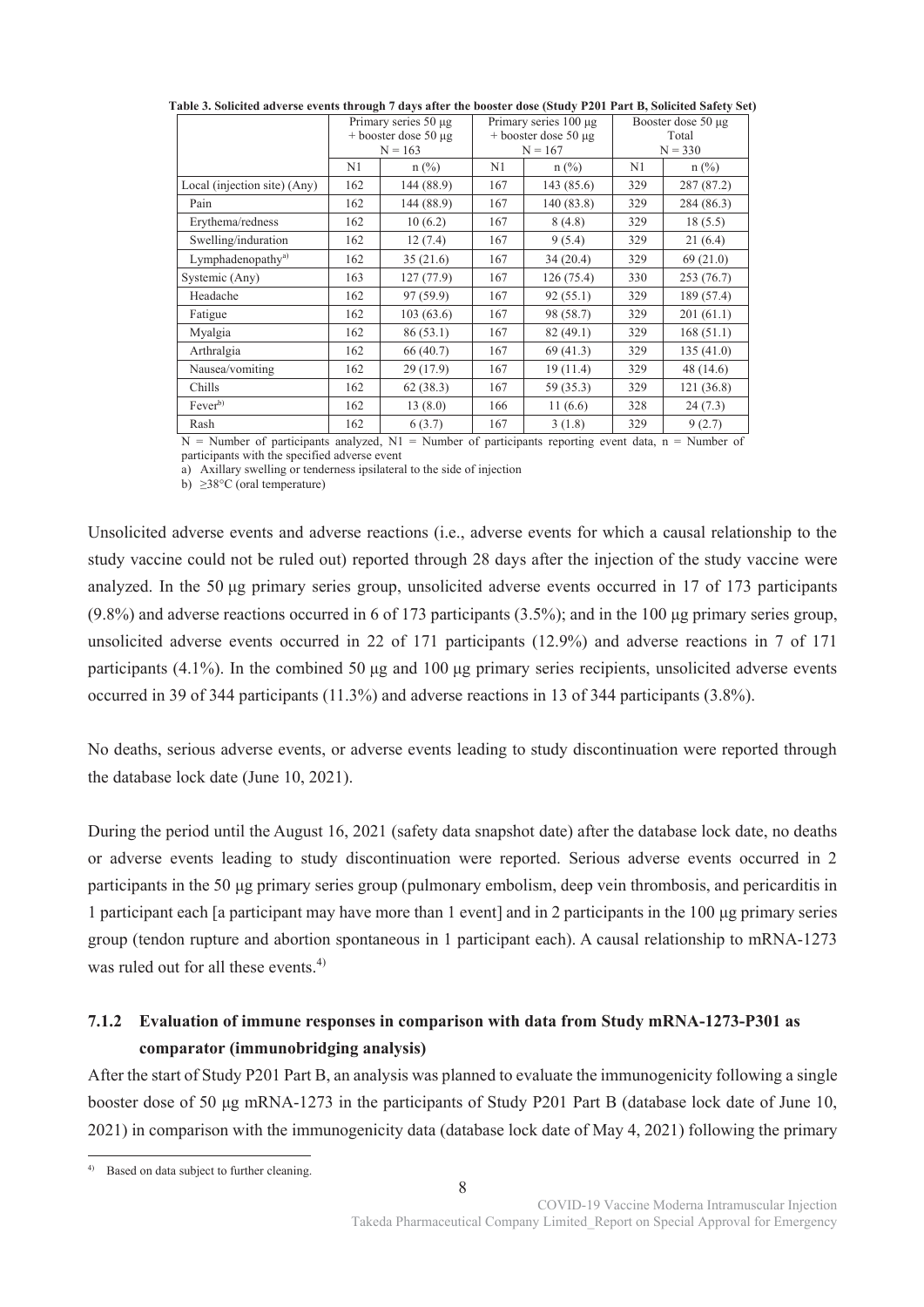|                               | Primary series 50 µg   |            | Primary series $100 \mu$ g |            | Booster dose $50 \mu$ g |            |  |
|-------------------------------|------------------------|------------|----------------------------|------------|-------------------------|------------|--|
|                               | $+$ booster dose 50 µg |            | $+$ booster dose 50 µg     |            | Total                   |            |  |
|                               |                        | $N = 163$  |                            | $N = 167$  |                         | $N = 330$  |  |
|                               | N1                     | $n$ (%)    | N1                         | $n$ (%)    | N1                      | $n$ (%)    |  |
| Local (injection site) (Any)  | 162                    | 144 (88.9) | 167                        | 143(85.6)  | 329                     | 287 (87.2) |  |
| Pain                          | 162                    | 144 (88.9) | 167                        | 140 (83.8) | 329                     | 284 (86.3) |  |
| Erythema/redness              | 162                    | 10(6.2)    | 167                        | 8(4.8)     | 329                     | 18(5.5)    |  |
| Swelling/induration           | 162                    | 12(7.4)    | 167                        | 9(5.4)     | 329                     | 21(6.4)    |  |
| Lymphadenopathy <sup>a)</sup> | 162                    | 35(21.6)   | 167                        | 34(20.4)   | 329                     | 69(21.0)   |  |
| Systemic (Any)                | 163                    | 127(77.9)  | 167                        | 126(75.4)  | 330                     | 253(76.7)  |  |
| Headache                      | 162                    | 97 (59.9)  | 167                        | 92(55.1)   | 329                     | 189 (57.4) |  |
| Fatigue                       | 162                    | 103(63.6)  | 167                        | 98 (58.7)  | 329                     | 201(61.1)  |  |
| Myalgia                       | 162                    | 86(53.1)   | 167                        | 82(49.1)   | 329                     | 168(51.1)  |  |
| Arthralgia                    | 162                    | 66 (40.7)  | 167                        | 69 (41.3)  | 329                     | 135(41.0)  |  |
| Nausea/vomiting               | 162                    | 29 (17.9)  | 167                        | 19(11.4)   | 329                     | 48 (14.6)  |  |
| Chills                        | 162                    | 62(38.3)   | 167                        | 59 (35.3)  | 329                     | 121(36.8)  |  |
| Fever <sup>b)</sup>           | 162                    | 13(8.0)    | 166                        | 11(6.6)    | 328                     | 24(7.3)    |  |
| Rash                          | 162                    | 6(3.7)     | 167                        | 3(1.8)     | 329                     | 9(2.7)     |  |

**Table 3. Solicited adverse events through 7 days after the booster dose (Study P201 Part B, Solicited Safety Set)** 

N = Number of participants analyzed, N1 = Number of participants reporting event data, n = Number of participants with the specified adverse event

a) Axillary swelling or tenderness ipsilateral to the side of injection

b)  $\geq$ 38°C (oral temperature)

Unsolicited adverse events and adverse reactions (i.e., adverse events for which a causal relationship to the study vaccine could not be ruled out) reported through 28 days after the injection of the study vaccine were analyzed. In the 50 μg primary series group, unsolicited adverse events occurred in 17 of 173 participants (9.8%) and adverse reactions occurred in 6 of 173 participants (3.5%); and in the 100 μg primary series group, unsolicited adverse events occurred in 22 of 171 participants (12.9%) and adverse reactions in 7 of 171 participants (4.1%). In the combined 50 μg and 100 μg primary series recipients, unsolicited adverse events occurred in 39 of 344 participants (11.3%) and adverse reactions in 13 of 344 participants (3.8%).

No deaths, serious adverse events, or adverse events leading to study discontinuation were reported through the database lock date (June 10, 2021).

During the period until the August 16, 2021 (safety data snapshot date) after the database lock date, no deaths or adverse events leading to study discontinuation were reported. Serious adverse events occurred in 2 participants in the 50 μg primary series group (pulmonary embolism, deep vein thrombosis, and pericarditis in 1 participant each [a participant may have more than 1 event] and in 2 participants in the 100 μg primary series group (tendon rupture and abortion spontaneous in 1 participant each). A causal relationship to mRNA-1273 was ruled out for all these events. $4$ )

# **7.1.2 Evaluation of immune responses in comparison with data from Study mRNA-1273-P301 as comparator (immunobridging analysis)**

After the start of Study P201 Part B, an analysis was planned to evaluate the immunogenicity following a single booster dose of 50 μg mRNA-1273 in the participants of Study P201 Part B (database lock date of June 10, 2021) in comparison with the immunogenicity data (database lock date of May 4, 2021) following the primary

<sup>.</sup> 4) Based on data subject to further cleaning.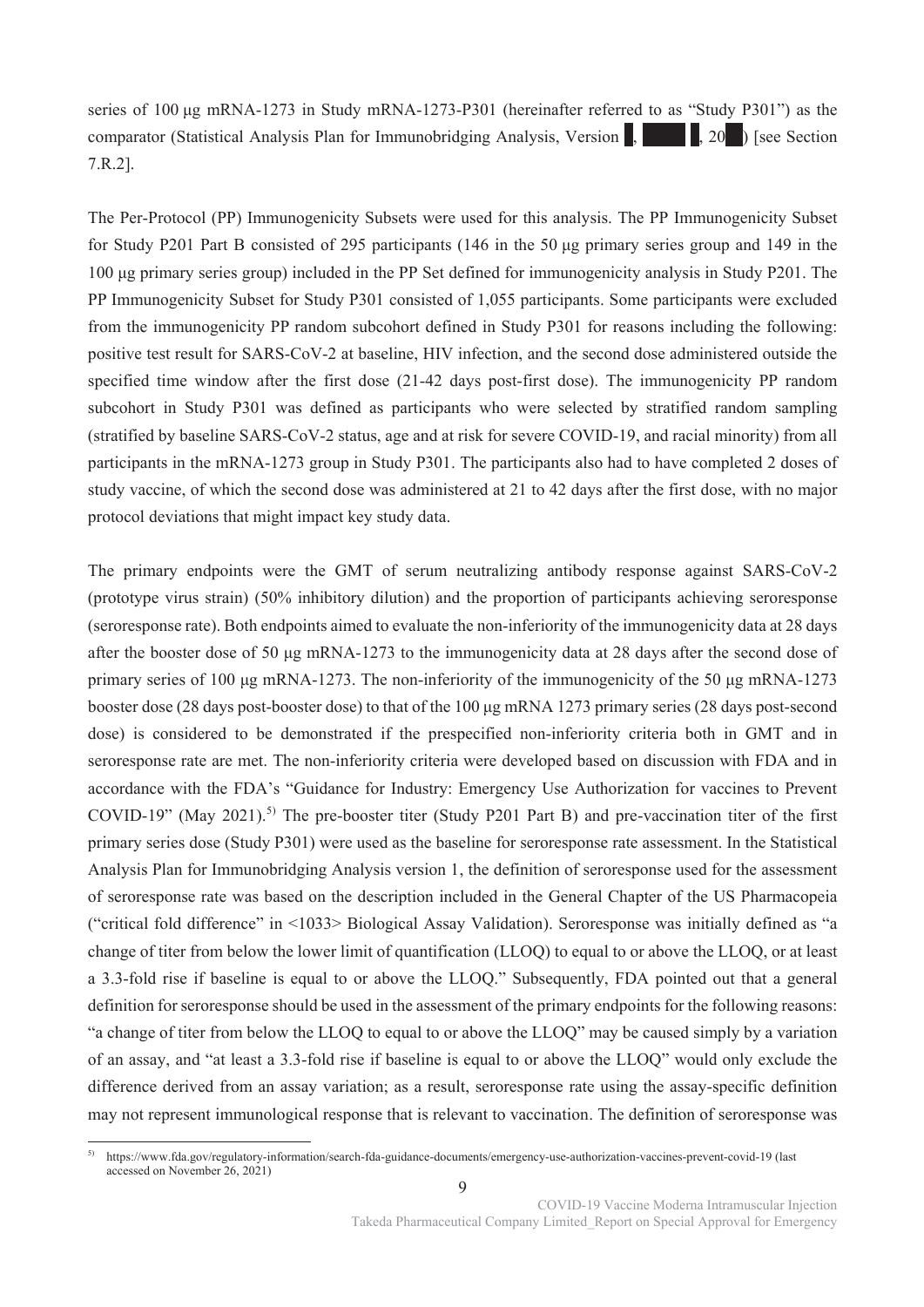series of 100 μg mRNA-1273 in Study mRNA-1273-P301 (hereinafter referred to as "Study P301") as the comparator (Statistical Analysis Plan for Immunobridging Analysis, Version  $\vert$ ,  $\vert$ , 20<sup>\*</sup>) [see Section 7.R.2].

The Per-Protocol (PP) Immunogenicity Subsets were used for this analysis. The PP Immunogenicity Subset for Study P201 Part B consisted of 295 participants (146 in the 50 μg primary series group and 149 in the 100 μg primary series group) included in the PP Set defined for immunogenicity analysis in Study P201. The PP Immunogenicity Subset for Study P301 consisted of 1,055 participants. Some participants were excluded from the immunogenicity PP random subcohort defined in Study P301 for reasons including the following: positive test result for SARS-CoV-2 at baseline, HIV infection, and the second dose administered outside the specified time window after the first dose (21-42 days post-first dose). The immunogenicity PP random subcohort in Study P301 was defined as participants who were selected by stratified random sampling (stratified by baseline SARS-CoV-2 status, age and at risk for severe COVID-19, and racial minority) from all participants in the mRNA-1273 group in Study P301. The participants also had to have completed 2 doses of study vaccine, of which the second dose was administered at 21 to 42 days after the first dose, with no major protocol deviations that might impact key study data.

The primary endpoints were the GMT of serum neutralizing antibody response against SARS-CoV-2 (prototype virus strain) (50% inhibitory dilution) and the proportion of participants achieving seroresponse (seroresponse rate). Both endpoints aimed to evaluate the non-inferiority of the immunogenicity data at 28 days after the booster dose of 50 μg mRNA-1273 to the immunogenicity data at 28 days after the second dose of primary series of 100 μg mRNA-1273. The non-inferiority of the immunogenicity of the 50 μg mRNA-1273 booster dose (28 days post-booster dose) to that of the 100 μg mRNA 1273 primary series (28 days post-second dose) is considered to be demonstrated if the prespecified non-inferiority criteria both in GMT and in seroresponse rate are met. The non-inferiority criteria were developed based on discussion with FDA and in accordance with the FDA's "Guidance for Industry: Emergency Use Authorization for vaccines to Prevent COVID-19" (May 2021).<sup>5)</sup> The pre-booster titer (Study P201 Part B) and pre-vaccination titer of the first primary series dose (Study P301) were used as the baseline for seroresponse rate assessment. In the Statistical Analysis Plan for Immunobridging Analysis version 1, the definition of seroresponse used for the assessment of seroresponse rate was based on the description included in the General Chapter of the US Pharmacopeia ("critical fold difference" in <1033> Biological Assay Validation). Seroresponse was initially defined as "a change of titer from below the lower limit of quantification (LLOQ) to equal to or above the LLOQ, or at least a 3.3-fold rise if baseline is equal to or above the LLOQ." Subsequently, FDA pointed out that a general definition for seroresponse should be used in the assessment of the primary endpoints for the following reasons: "a change of titer from below the LLOQ to equal to or above the LLOQ" may be caused simply by a variation of an assay, and "at least a 3.3-fold rise if baseline is equal to or above the LLOQ" would only exclude the difference derived from an assay variation; as a result, seroresponse rate using the assay-specific definition may not represent immunological response that is relevant to vaccination. The definition of seroresponse was

 $5)$ 5) https://www.fda.gov/regulatory-information/search-fda-guidance-documents/emergency-use-authorization-vaccines-prevent-covid-19 (last accessed on November 26, 2021)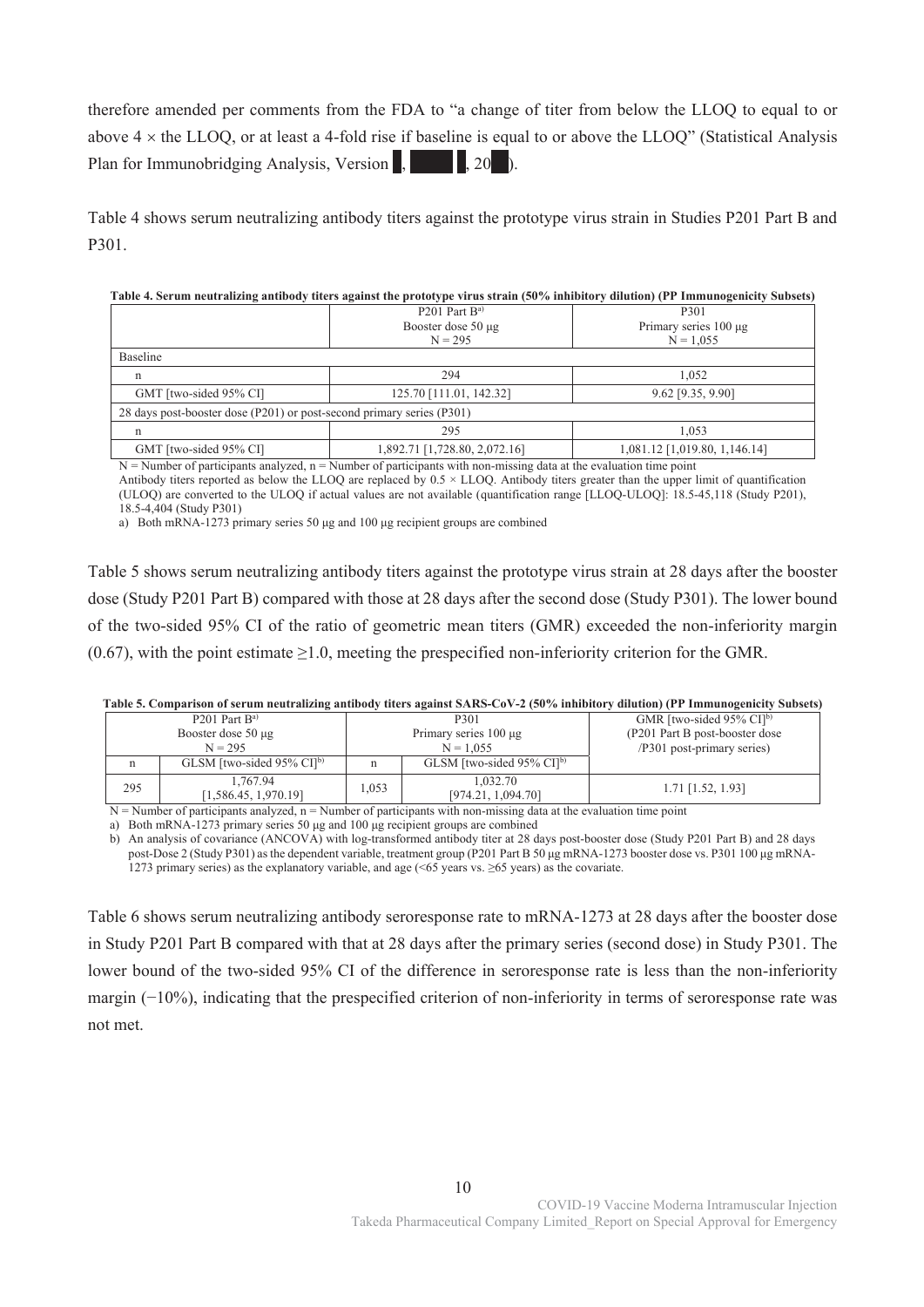therefore amended per comments from the FDA to "a change of titer from below the LLOQ to equal to or above  $4 \times$  the LLOQ, or at least a 4-fold rise if baseline is equal to or above the LLOQ" (Statistical Analysis Plan for Immunobridging Analysis, Version  $\mathbf{R}$ ,  $\mathbf{R}$ , 20<sup>\*</sup>).

Table 4 shows serum neutralizing antibody titers against the prototype virus strain in Studies P201 Part B and P301.

|                                                                       | $P201$ Part $Ba$              | P301                          |  |
|-----------------------------------------------------------------------|-------------------------------|-------------------------------|--|
|                                                                       | Booster dose 50 µg            | Primary series 100 µg         |  |
|                                                                       | $N = 295$                     | $N = 1.055$                   |  |
| Baseline                                                              |                               |                               |  |
| $\mathbf n$                                                           | 294                           | 1.052                         |  |
| GMT [two-sided 95% CI]                                                | 125.70 [111.01, 142.32]       | 9.62 [9.35, 9.90]             |  |
| 28 days post-booster dose (P201) or post-second primary series (P301) |                               |                               |  |
| n                                                                     | 295                           | 1.053                         |  |
| GMT [two-sided 95% CI]                                                | 1,892.71 [1,728.80, 2,072.16] | 1,081.12 [1,019.80, 1,146.14] |  |

#### **Table 4. Serum neutralizing antibody titers against the prototype virus strain (50% inhibitory dilution) (PP Immunogenicity Subsets)**

 $N =$  Number of participants analyzed,  $n =$  Number of participants with non-missing data at the evaluation time point

Antibody titers reported as below the LLOQ are replaced by  $0.5 \times$  LLOQ. Antibody titers greater than the upper limit of quantification (ULOQ) are converted to the ULOQ if actual values are not available (quantification range [LLOQ-ULOQ]: 18.5-45,118 (Study P201), 18.5-4,404 (Study P301)

a) Both mRNA-1273 primary series 50 μg and 100 μg recipient groups are combined

Table 5 shows serum neutralizing antibody titers against the prototype virus strain at 28 days after the booster dose (Study P201 Part B) compared with those at 28 days after the second dose (Study P301). The lower bound of the two-sided 95% CI of the ratio of geometric mean titers (GMR) exceeded the non-inferiority margin (0.67), with the point estimate  $\geq$ 1.0, meeting the prespecified non-inferiority criterion for the GMR.

|                                         | таже экспиратом от останительно андиизму посто аданов этого-со т-д (эми нипкими у анапиту и типинизмистом эмим |                                                                                                                                                    |   |                                          |                                         |  |  |  |
|-----------------------------------------|----------------------------------------------------------------------------------------------------------------|----------------------------------------------------------------------------------------------------------------------------------------------------|---|------------------------------------------|-----------------------------------------|--|--|--|
| $P201$ Part $Ba$                        |                                                                                                                |                                                                                                                                                    |   | P301                                     | GMR [two-sided $95\%$ CI] <sup>b)</sup> |  |  |  |
| Booster dose $50 \mu$ g                 |                                                                                                                |                                                                                                                                                    |   | Primary series $100 \mu$ g               | (P201 Part B post-booster dose)         |  |  |  |
| $N = 295$                               |                                                                                                                | $N = 1.055$                                                                                                                                        |   | /P301 post-primary series)               |                                         |  |  |  |
|                                         | n                                                                                                              | GLSM [two-sided $95\%$ CI] <sup>b)</sup>                                                                                                           | n | GLSM [two-sided $95\%$ CI] <sup>b)</sup> |                                         |  |  |  |
| 1.767.94<br>295<br>[1,586.45, 1,970.19] |                                                                                                                | 1.032.70<br>1,053<br>[974.21, 1,094.70]                                                                                                            |   | $1.71$ [1.52, 1.93]                      |                                         |  |  |  |
|                                         |                                                                                                                | $\mathbf{M}=\mathbf{M}_1,\dots$ is a consistence of the continuation of a substance in the second state of the confidence of $\alpha$ and $\alpha$ |   |                                          |                                         |  |  |  |

**Table 5. Comparison of serum neutralizing antibody titers against SARS-CoV-2 (50% inhibitory dilution) (PP Immunogenicity Subsets)** 

 $N =$ Number of participants analyzed,  $n =$ Number of participants with non-missing data at the evaluation time point

a) Both mRNA-1273 primary series 50 μg and 100 μg recipient groups are combined

b) An analysis of covariance (ANCOVA) with log-transformed antibody titer at 28 days post-booster dose (Study P201 Part B) and 28 days post-Dose 2 (Study P301) as the dependent variable, treatment group (P201 Part B 50 μg mRNA-1273 booster dose vs. P301 100 μg mRNA-1273 primary series) as the explanatory variable, and age (<65 years vs. ≥65 years) as the covariate.

Table 6 shows serum neutralizing antibody seroresponse rate to mRNA-1273 at 28 days after the booster dose in Study P201 Part B compared with that at 28 days after the primary series (second dose) in Study P301. The lower bound of the two-sided 95% CI of the difference in seroresponse rate is less than the non-inferiority margin (−10%), indicating that the prespecified criterion of non-inferiority in terms of seroresponse rate was not met.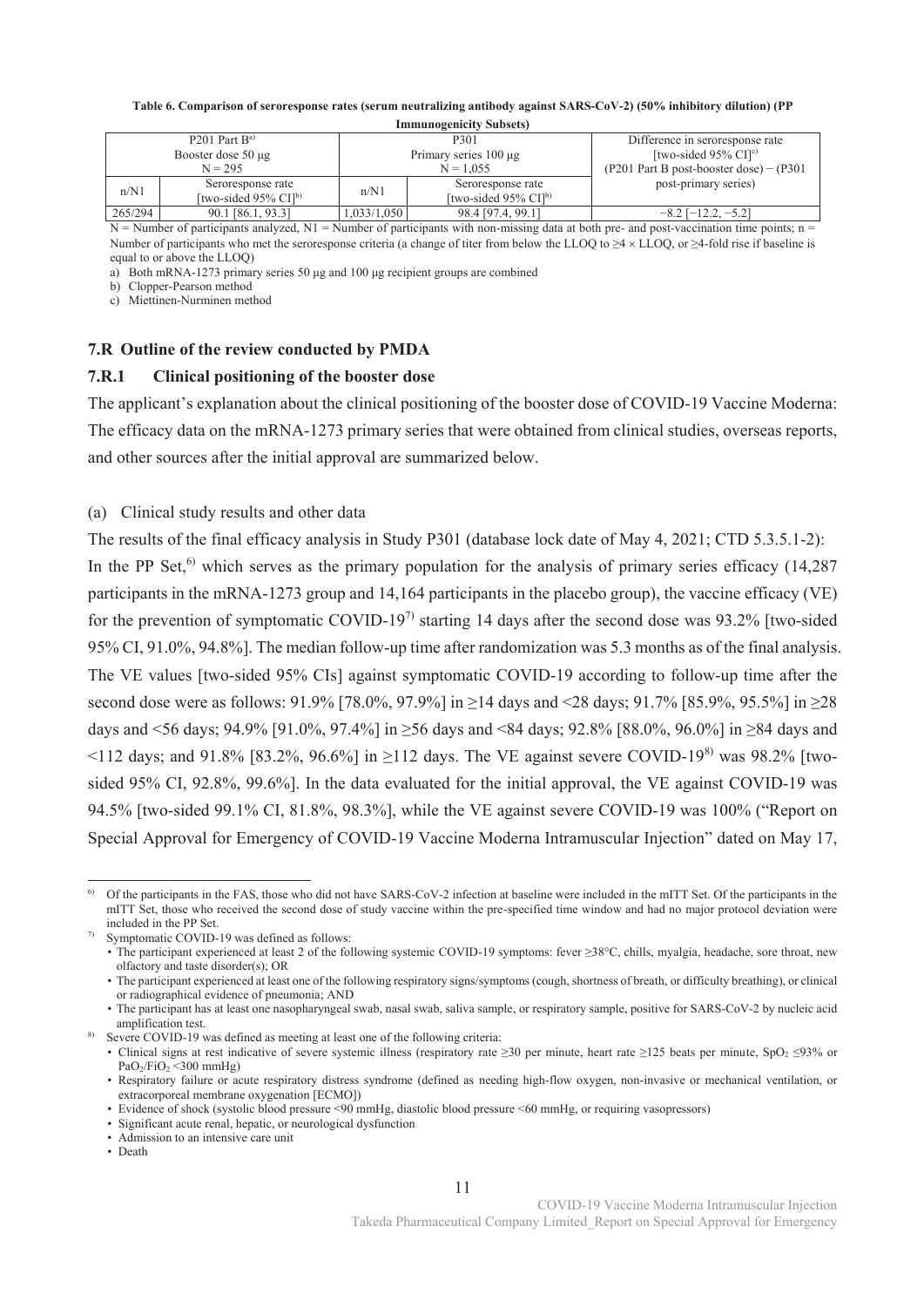#### **Table 6. Comparison of seroresponse rates (serum neutralizing antibody against SARS-CoV-2) (50% inhibitory dilution) (PP**

|                  | <b>Immunogenicity Subsets</b> ) |                                     |                            |                                     |                                              |  |  |  |
|------------------|---------------------------------|-------------------------------------|----------------------------|-------------------------------------|----------------------------------------------|--|--|--|
| $P201$ Part $Ba$ |                                 |                                     | P301                       |                                     | Difference in seroresponse rate              |  |  |  |
|                  |                                 | Booster dose $50 \mu$ g             | Primary series $100 \mu$ g |                                     | [two-sided 95% $CI[c]$ ]                     |  |  |  |
| $N = 295$        |                                 |                                     |                            | $N = 1.055$                         | $(P201$ Part B post-booster dose) – $(P301)$ |  |  |  |
|                  | Seroresponse rate<br>n/N1       |                                     | n/N1                       | Seroresponse rate                   | post-primary series)                         |  |  |  |
|                  |                                 | [two-sided $95\%$ CI] <sup>b)</sup> |                            | [two-sided $95\%$ CI] <sup>b)</sup> |                                              |  |  |  |
|                  | 265/294                         | 90.1 [86.1, 93.3]                   | 1,033/1,050                | 98.4 [97.4, 99.1]                   | $-8.2$ [ $-12.2, -5.2$ ]                     |  |  |  |

 $N =$  Number of participants analyzed,  $N1 =$  Number of participants with non-missing data at both pre- and post-vaccination time points; n = Number of participants who met the seroresponse criteria (a change of titer from below the LLOQ to  $\geq 4 \times$  LLOQ, or  $\geq 4$ -fold rise if baseline is equal to or above the LLOQ)

a) Both mRNA-1273 primary series 50 μg and 100 μg recipient groups are combined

b) Clopper-Pearson method

c) Miettinen-Nurminen method

## **7.R Outline of the review conducted by PMDA**

### **7.R.1 Clinical positioning of the booster dose**

The applicant's explanation about the clinical positioning of the booster dose of COVID-19 Vaccine Moderna: The efficacy data on the mRNA-1273 primary series that were obtained from clinical studies, overseas reports, and other sources after the initial approval are summarized below.

(a) Clinical study results and other data

The results of the final efficacy analysis in Study P301 (database lock date of May 4, 2021; CTD 5.3.5.1-2): In the PP Set,<sup>6)</sup> which serves as the primary population for the analysis of primary series efficacy (14,287) participants in the mRNA-1273 group and 14,164 participants in the placebo group), the vaccine efficacy (VE) for the prevention of symptomatic COVID-19<sup>7)</sup> starting 14 days after the second dose was 93.2% [two-sided 95% CI, 91.0%, 94.8%]. The median follow-up time after randomization was 5.3 months as of the final analysis. The VE values [two-sided 95% CIs] against symptomatic COVID-19 according to follow-up time after the second dose were as follows: 91.9% [78.0%, 97.9%] in ≥14 days and <28 days; 91.7% [85.9%, 95.5%] in ≥28 days and <56 days; 94.9% [91.0%, 97.4%] in ≥56 days and <84 days; 92.8% [88.0%, 96.0%] in ≥84 days and  $\le$ 112 days; and 91.8% [83.2%, 96.6%] in  $\ge$ 112 days. The VE against severe COVID-19<sup>8)</sup> was 98.2% [twosided 95% CI, 92.8%, 99.6%]. In the data evaluated for the initial approval, the VE against COVID-19 was 94.5% [two-sided 99.1% CI, 81.8%, 98.3%], while the VE against severe COVID-19 was 100% ("Report on Special Approval for Emergency of COVID-19 Vaccine Moderna Intramuscular Injection" dated on May 17,

<sup>-</sup><sup>6)</sup> Of the participants in the FAS, those who did not have SARS-CoV-2 infection at baseline were included in the mITT Set. Of the participants in the mITT Set, those who received the second dose of study vaccine within the pre-specified time window and had no major protocol deviation were included in the PP Set.

Symptomatic COVID-19 was defined as follows:

<sup>•</sup> The participant experienced at least 2 of the following systemic COVID-19 symptoms: fever ≥38°C, chills, myalgia, headache, sore throat, new olfactory and taste disorder(s); OR

<sup>•</sup> The participant experienced at least one of the following respiratory signs/symptoms (cough, shortness of breath, or difficulty breathing), or clinical or radiographical evidence of pneumonia; AND

<sup>•</sup> The participant has at least one nasopharyngeal swab, nasal swab, saliva sample, or respiratory sample, positive for SARS-CoV-2 by nucleic acid amplification test.

Severe COVID-19 was defined as meeting at least one of the following criteria:

<sup>•</sup> Clinical signs at rest indicative of severe systemic illness (respiratory rate ≥30 per minute, heart rate ≥125 beats per minute, SpO<sub>2</sub> ≤93% or  $PaO<sub>2</sub>/FiO<sub>2</sub> < 300 mmHg$ 

<sup>•</sup> Respiratory failure or acute respiratory distress syndrome (defined as needing high-flow oxygen, non-invasive or mechanical ventilation, or extracorporeal membrane oxygenation [ECMO])

<sup>•</sup> Evidence of shock (systolic blood pressure <90 mmHg, diastolic blood pressure <60 mmHg, or requiring vasopressors)

<sup>•</sup> Significant acute renal, hepatic, or neurological dysfunction

<sup>•</sup> Admission to an intensive care unit

<sup>•</sup> Death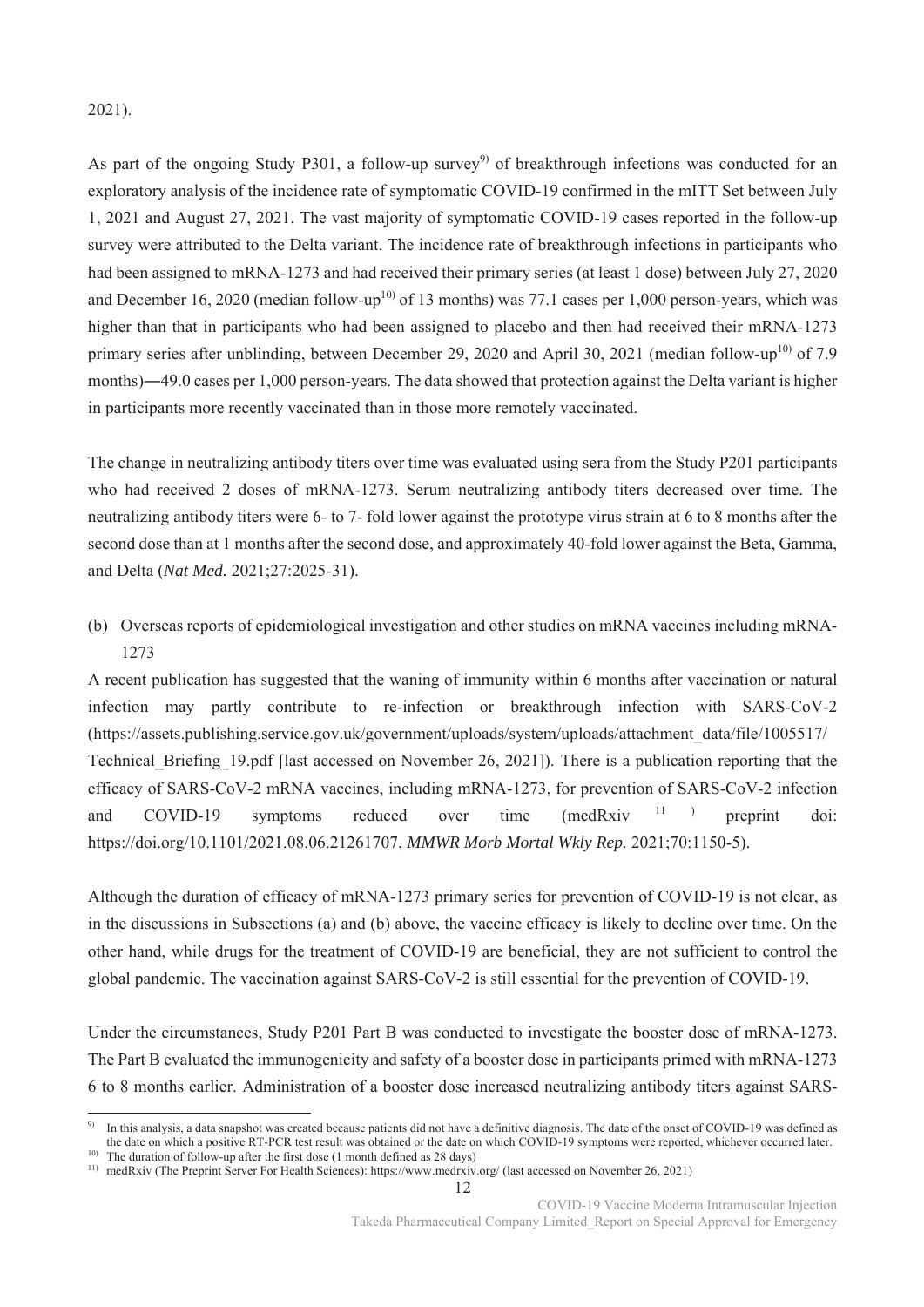# 2021).

As part of the ongoing Study P301, a follow-up survey<sup>9)</sup> of breakthrough infections was conducted for an exploratory analysis of the incidence rate of symptomatic COVID-19 confirmed in the mITT Set between July 1, 2021 and August 27, 2021. The vast majority of symptomatic COVID-19 cases reported in the follow-up survey were attributed to the Delta variant. The incidence rate of breakthrough infections in participants who had been assigned to mRNA-1273 and had received their primary series (at least 1 dose) between July 27, 2020 and December 16, 2020 (median follow-up<sup>10)</sup> of 13 months) was 77.1 cases per 1,000 person-years, which was higher than that in participants who had been assigned to placebo and then had received their mRNA-1273 primary series after unblinding, between December 29, 2020 and April 30, 2021 (median follow-up<sup>10)</sup> of 7.9 months)―49.0 cases per 1,000 person-years. The data showed that protection against the Delta variant is higher in participants more recently vaccinated than in those more remotely vaccinated.

The change in neutralizing antibody titers over time was evaluated using sera from the Study P201 participants who had received 2 doses of mRNA-1273. Serum neutralizing antibody titers decreased over time. The neutralizing antibody titers were 6- to 7- fold lower against the prototype virus strain at 6 to 8 months after the second dose than at 1 months after the second dose, and approximately 40-fold lower against the Beta, Gamma, and Delta (*Nat Med.* 2021;27:2025-31).

(b) Overseas reports of epidemiological investigation and other studies on mRNA vaccines including mRNA-1273

A recent publication has suggested that the waning of immunity within 6 months after vaccination or natural infection may partly contribute to re-infection or breakthrough infection with SARS-CoV-2 (https://assets.publishing.service.gov.uk/government/uploads/system/uploads/attachment\_data/file/1005517/ Technical\_Briefing\_19.pdf [last accessed on November 26, 2021]). There is a publication reporting that the efficacy of SARS-CoV-2 mRNA vaccines, including mRNA-1273, for prevention of SARS-CoV-2 infection and COVID-19 symptoms reduced over time  $(medRxiv<sup>11</sup>)$  preprint doi: https://doi.org/10.1101/2021.08.06.21261707, *MMWR Morb Mortal Wkly Rep.* 2021;70:1150-5).

Although the duration of efficacy of mRNA-1273 primary series for prevention of COVID-19 is not clear, as in the discussions in Subsections (a) and (b) above, the vaccine efficacy is likely to decline over time. On the other hand, while drugs for the treatment of COVID-19 are beneficial, they are not sufficient to control the global pandemic. The vaccination against SARS-CoV-2 is still essential for the prevention of COVID-19.

Under the circumstances, Study P201 Part B was conducted to investigate the booster dose of mRNA-1273. The Part B evaluated the immunogenicity and safety of a booster dose in participants primed with mRNA-1273 6 to 8 months earlier. Administration of a booster dose increased neutralizing antibody titers against SARS-

12

-

<sup>9)</sup> In this analysis, a data snapshot was created because patients did not have a definitive diagnosis. The date of the onset of COVID-19 was defined as the date on which a positive RT-PCR test result was obtained or the date on which COVID-19 symptoms were reported, whichever occurred later.

<sup>&</sup>lt;sup>10)</sup> The duration of follow-up after the first dose (1 month defined as 28 days)

<sup>11)</sup> medRxiv (The Preprint Server For Health Sciences): https://www.medrxiv.org/ (last accessed on November 26, 2021)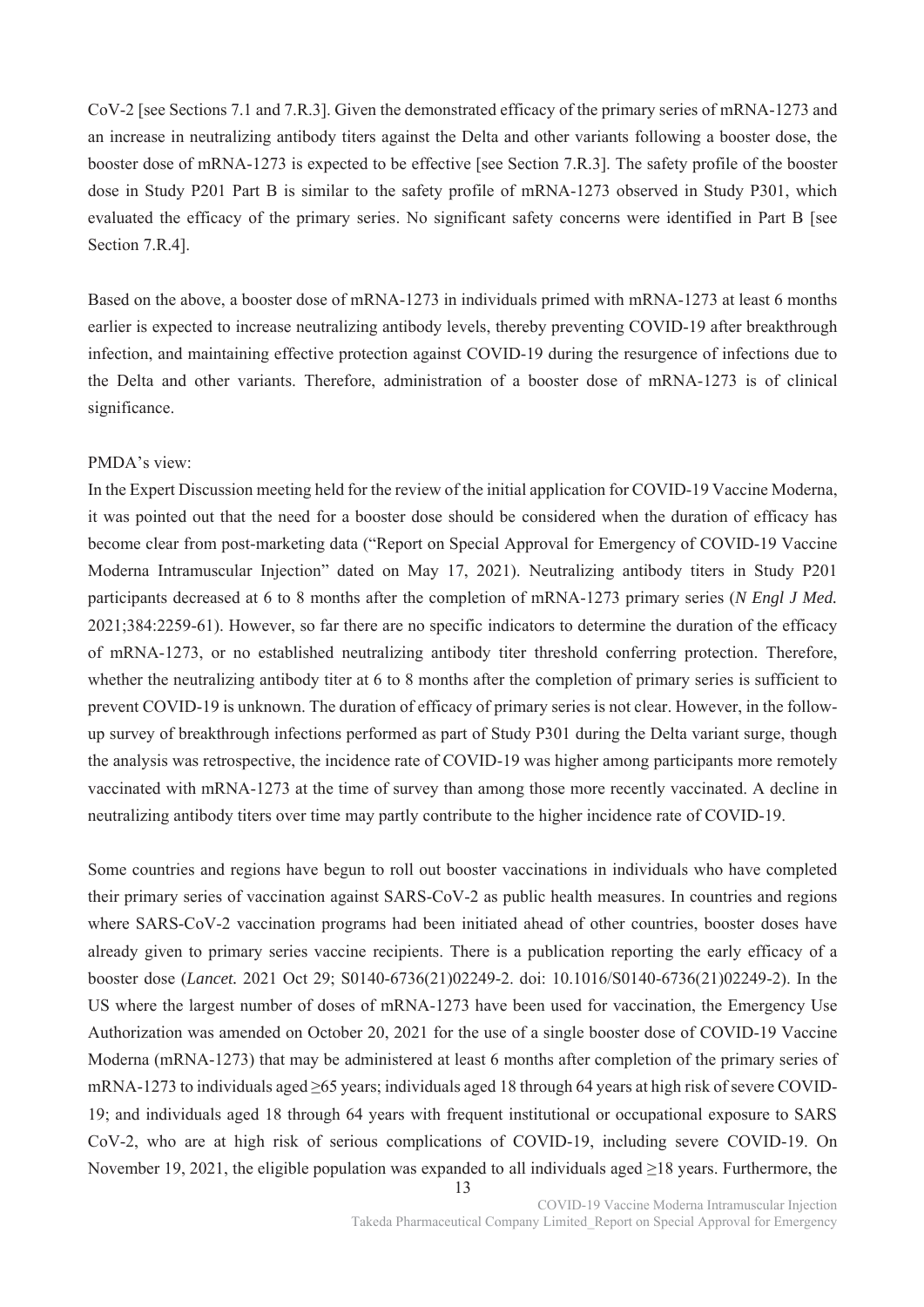CoV-2 [see Sections 7.1 and 7.R.3]. Given the demonstrated efficacy of the primary series of mRNA-1273 and an increase in neutralizing antibody titers against the Delta and other variants following a booster dose, the booster dose of mRNA-1273 is expected to be effective [see Section 7.R.3]. The safety profile of the booster dose in Study P201 Part B is similar to the safety profile of mRNA-1273 observed in Study P301, which evaluated the efficacy of the primary series. No significant safety concerns were identified in Part B [see Section 7.R.4].

Based on the above, a booster dose of mRNA-1273 in individuals primed with mRNA-1273 at least 6 months earlier is expected to increase neutralizing antibody levels, thereby preventing COVID-19 after breakthrough infection, and maintaining effective protection against COVID-19 during the resurgence of infections due to the Delta and other variants. Therefore, administration of a booster dose of mRNA-1273 is of clinical significance.

#### PMDA's view:

In the Expert Discussion meeting held for the review of the initial application for COVID-19 Vaccine Moderna, it was pointed out that the need for a booster dose should be considered when the duration of efficacy has become clear from post-marketing data ("Report on Special Approval for Emergency of COVID-19 Vaccine Moderna Intramuscular Injection" dated on May 17, 2021). Neutralizing antibody titers in Study P201 participants decreased at 6 to 8 months after the completion of mRNA-1273 primary series (*N Engl J Med.*  2021;384:2259-61). However, so far there are no specific indicators to determine the duration of the efficacy of mRNA-1273, or no established neutralizing antibody titer threshold conferring protection. Therefore, whether the neutralizing antibody titer at 6 to 8 months after the completion of primary series is sufficient to prevent COVID-19 is unknown. The duration of efficacy of primary series is not clear. However, in the followup survey of breakthrough infections performed as part of Study P301 during the Delta variant surge, though the analysis was retrospective, the incidence rate of COVID-19 was higher among participants more remotely vaccinated with mRNA-1273 at the time of survey than among those more recently vaccinated. A decline in neutralizing antibody titers over time may partly contribute to the higher incidence rate of COVID-19.

Some countries and regions have begun to roll out booster vaccinations in individuals who have completed their primary series of vaccination against SARS-CoV-2 as public health measures. In countries and regions where SARS-CoV-2 vaccination programs had been initiated ahead of other countries, booster doses have already given to primary series vaccine recipients. There is a publication reporting the early efficacy of a booster dose (*Lancet.* 2021 Oct 29; S0140-6736(21)02249-2. doi: 10.1016/S0140-6736(21)02249-2). In the US where the largest number of doses of mRNA-1273 have been used for vaccination, the Emergency Use Authorization was amended on October 20, 2021 for the use of a single booster dose of COVID-19 Vaccine Moderna (mRNA-1273) that may be administered at least 6 months after completion of the primary series of mRNA-1273 to individuals aged ≥65 years; individuals aged 18 through 64 years at high risk of severe COVID-19; and individuals aged 18 through 64 years with frequent institutional or occupational exposure to SARS CoV-2, who are at high risk of serious complications of COVID-19, including severe COVID-19. On November 19, 2021, the eligible population was expanded to all individuals aged ≥18 years. Furthermore, the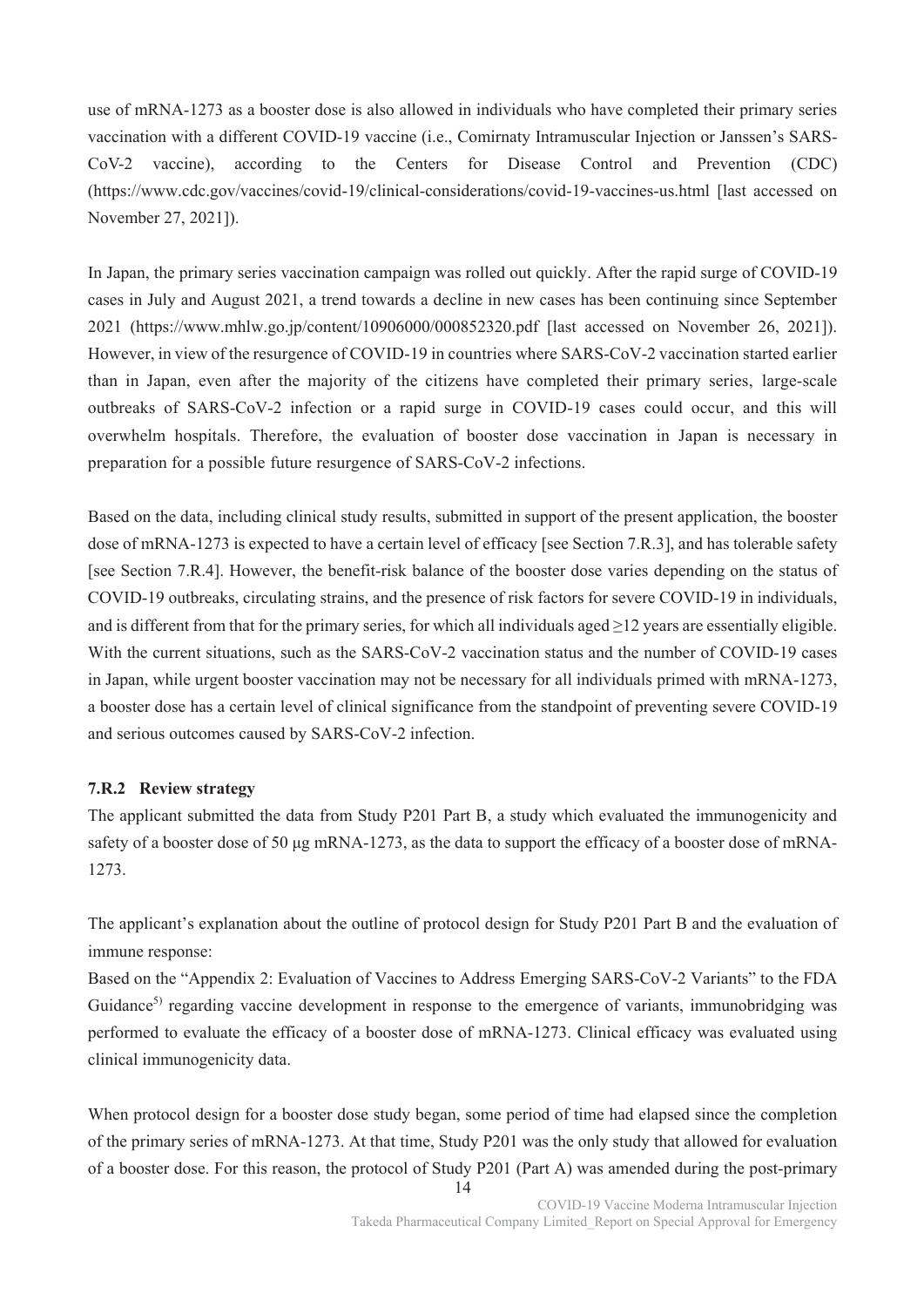use of mRNA-1273 as a booster dose is also allowed in individuals who have completed their primary series vaccination with a different COVID-19 vaccine (i.e., Comirnaty Intramuscular Injection or Janssen's SARS-CoV-2 vaccine), according to the Centers for Disease Control and Prevention (CDC) (https://www.cdc.gov/vaccines/covid-19/clinical-considerations/covid-19-vaccines-us.html [last accessed on November 27, 2021]).

In Japan, the primary series vaccination campaign was rolled out quickly. After the rapid surge of COVID-19 cases in July and August 2021, a trend towards a decline in new cases has been continuing since September 2021 (https://www.mhlw.go.jp/content/10906000/000852320.pdf [last accessed on November 26, 2021]). However, in view of the resurgence of COVID-19 in countries where SARS-CoV-2 vaccination started earlier than in Japan, even after the majority of the citizens have completed their primary series, large-scale outbreaks of SARS-CoV-2 infection or a rapid surge in COVID-19 cases could occur, and this will overwhelm hospitals. Therefore, the evaluation of booster dose vaccination in Japan is necessary in preparation for a possible future resurgence of SARS-CoV-2 infections.

Based on the data, including clinical study results, submitted in support of the present application, the booster dose of mRNA-1273 is expected to have a certain level of efficacy [see Section 7.R.3], and has tolerable safety [see Section 7.R.4]. However, the benefit-risk balance of the booster dose varies depending on the status of COVID-19 outbreaks, circulating strains, and the presence of risk factors for severe COVID-19 in individuals, and is different from that for the primary series, for which all individuals aged  $\geq$ 12 years are essentially eligible. With the current situations, such as the SARS-CoV-2 vaccination status and the number of COVID-19 cases in Japan, while urgent booster vaccination may not be necessary for all individuals primed with mRNA-1273, a booster dose has a certain level of clinical significance from the standpoint of preventing severe COVID-19 and serious outcomes caused by SARS-CoV-2 infection.

#### **7.R.2 Review strategy**

The applicant submitted the data from Study P201 Part B, a study which evaluated the immunogenicity and safety of a booster dose of 50 μg mRNA-1273, as the data to support the efficacy of a booster dose of mRNA-1273.

The applicant's explanation about the outline of protocol design for Study P201 Part B and the evaluation of immune response:

Based on the "Appendix 2: Evaluation of Vaccines to Address Emerging SARS-CoV-2 Variants" to the FDA Guidance<sup>5)</sup> regarding vaccine development in response to the emergence of variants, immunobridging was performed to evaluate the efficacy of a booster dose of mRNA-1273. Clinical efficacy was evaluated using clinical immunogenicity data.

When protocol design for a booster dose study began, some period of time had elapsed since the completion of the primary series of mRNA-1273. At that time, Study P201 was the only study that allowed for evaluation of a booster dose. For this reason, the protocol of Study P201 (Part A) was amended during the post-primary

14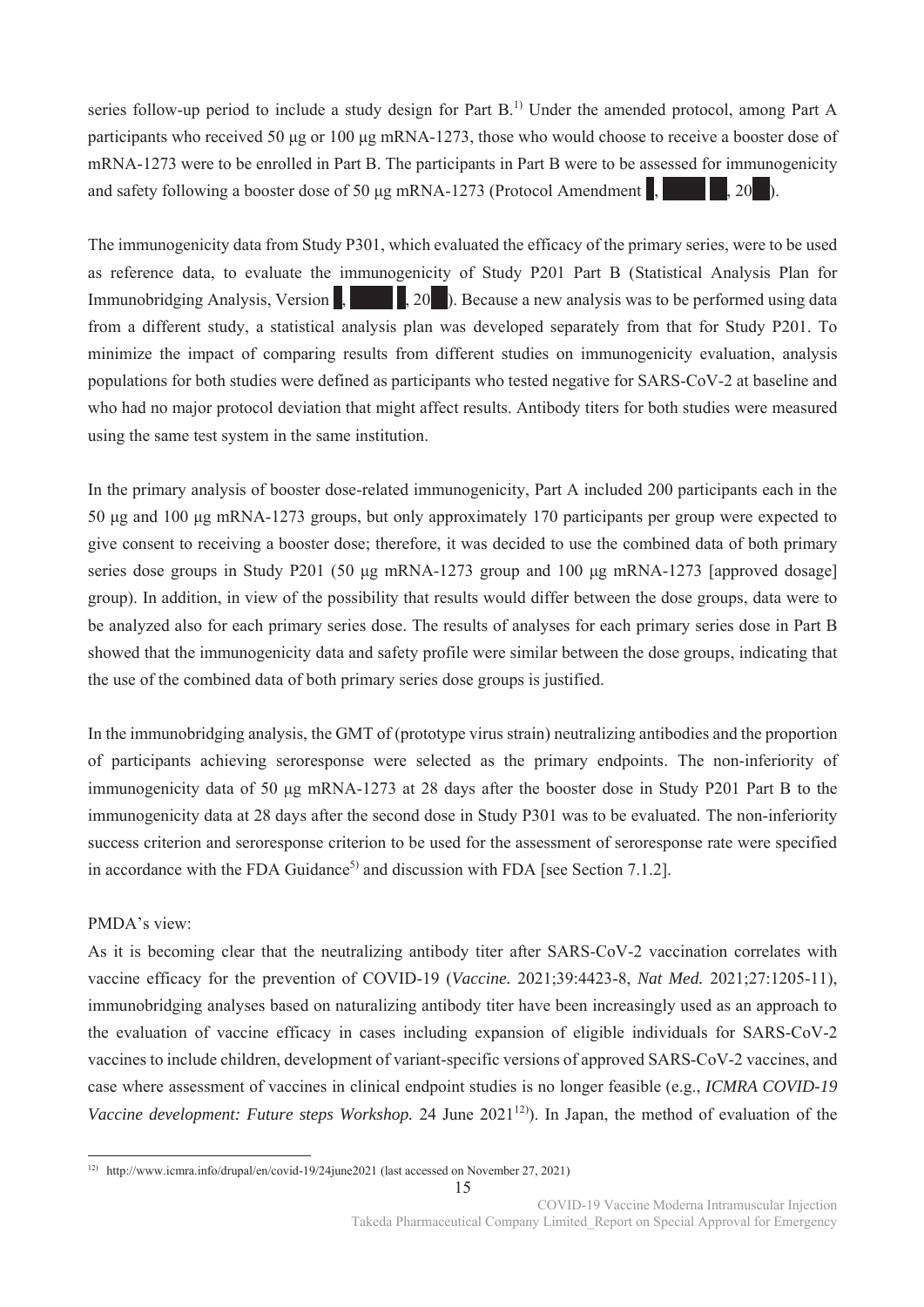series follow-up period to include a study design for Part B.<sup>1)</sup> Under the amended protocol, among Part A participants who received 50 μg or 100 μg mRNA-1273, those who would choose to receive a booster dose of mRNA-1273 were to be enrolled in Part B. The participants in Part B were to be assessed for immunogenicity and safety following a booster dose of 50 μg mRNA-1273 (Protocol Amendment  $\mathbf{R}$ ,  $\mathbf{R}$   $\mathbf{R}$ , 20<sup>\*</sup>).

The immunogenicity data from Study P301, which evaluated the efficacy of the primary series, were to be used as reference data, to evaluate the immunogenicity of Study P201 Part B (Statistical Analysis Plan for Immunobridging Analysis, Version  $\vert$ ,  $\vert$ , 20<sup>\*</sup>). Because a new analysis was to be performed using data from a different study, a statistical analysis plan was developed separately from that for Study P201. To minimize the impact of comparing results from different studies on immunogenicity evaluation, analysis populations for both studies were defined as participants who tested negative for SARS-CoV-2 at baseline and who had no major protocol deviation that might affect results. Antibody titers for both studies were measured using the same test system in the same institution.

In the primary analysis of booster dose-related immunogenicity, Part A included 200 participants each in the 50 μg and 100 μg mRNA-1273 groups, but only approximately 170 participants per group were expected to give consent to receiving a booster dose; therefore, it was decided to use the combined data of both primary series dose groups in Study P201 (50 μg mRNA-1273 group and 100 μg mRNA-1273 [approved dosage] group). In addition, in view of the possibility that results would differ between the dose groups, data were to be analyzed also for each primary series dose. The results of analyses for each primary series dose in Part B showed that the immunogenicity data and safety profile were similar between the dose groups, indicating that the use of the combined data of both primary series dose groups is justified.

In the immunobridging analysis, the GMT of (prototype virus strain) neutralizing antibodies and the proportion of participants achieving seroresponse were selected as the primary endpoints. The non-inferiority of immunogenicity data of 50 μg mRNA-1273 at 28 days after the booster dose in Study P201 Part B to the immunogenicity data at 28 days after the second dose in Study P301 was to be evaluated. The non-inferiority success criterion and seroresponse criterion to be used for the assessment of seroresponse rate were specified in accordance with the FDA Guidance<sup>5)</sup> and discussion with FDA [see Section 7.1.2].

# PMDA's view:

As it is becoming clear that the neutralizing antibody titer after SARS-CoV-2 vaccination correlates with vaccine efficacy for the prevention of COVID-19 (*Vaccine.* 2021;39:4423-8, *Nat Med.* 2021;27:1205-11), immunobridging analyses based on naturalizing antibody titer have been increasingly used as an approach to the evaluation of vaccine efficacy in cases including expansion of eligible individuals for SARS-CoV-2 vaccines to include children, development of variant-specific versions of approved SARS-CoV-2 vaccines, and case where assessment of vaccines in clinical endpoint studies is no longer feasible (e.g., *ICMRA COVID-19 Vaccine development: Future steps Workshop.* 24 June 2021<sup>12</sup>). In Japan, the method of evaluation of the

<sup>.</sup> 12) http://www.icmra.info/drupal/en/covid-19/24june2021 (last accessed on November 27, 2021)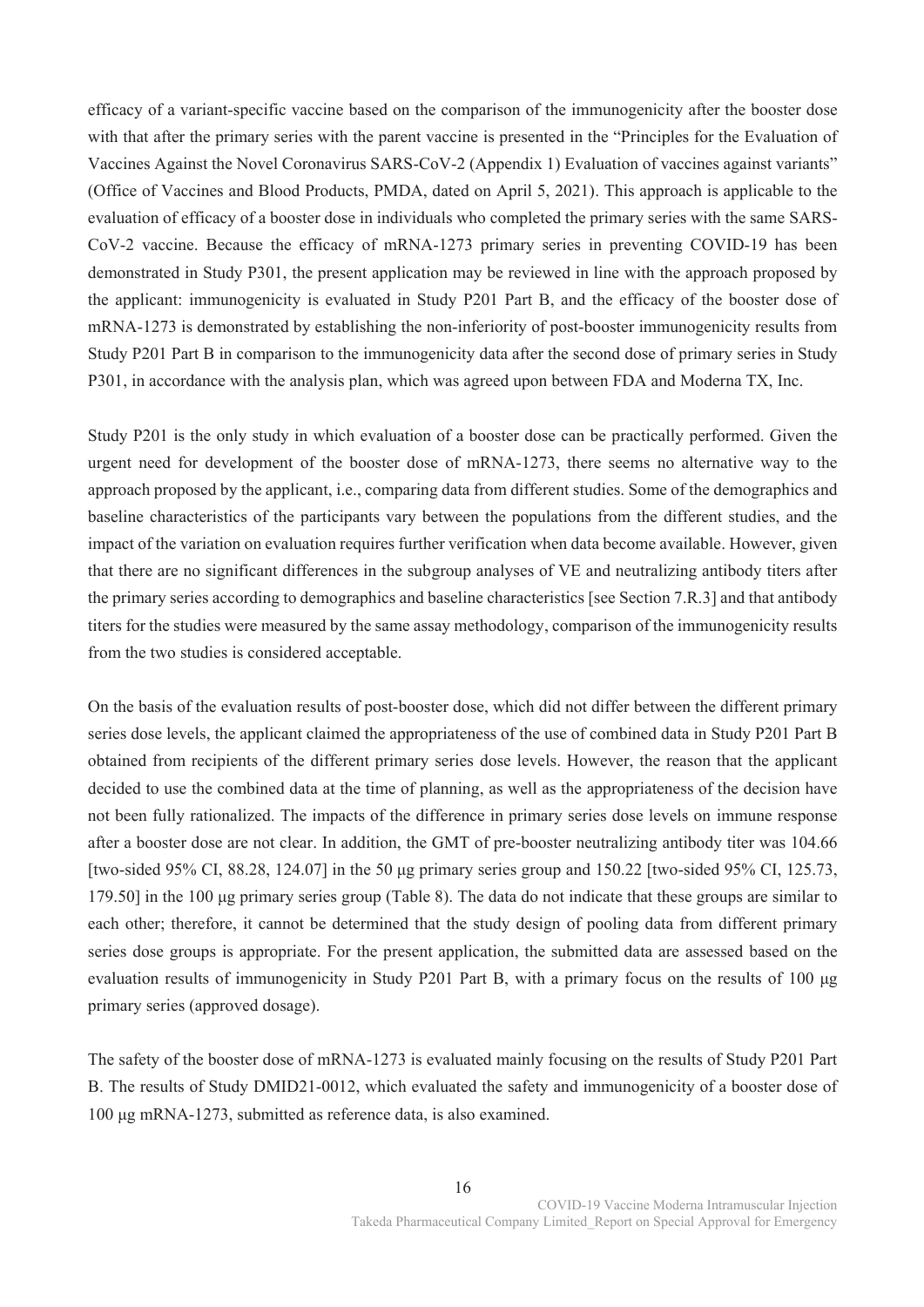efficacy of a variant-specific vaccine based on the comparison of the immunogenicity after the booster dose with that after the primary series with the parent vaccine is presented in the "Principles for the Evaluation of Vaccines Against the Novel Coronavirus SARS-CoV-2 (Appendix 1) Evaluation of vaccines against variants" (Office of Vaccines and Blood Products, PMDA, dated on April 5, 2021). This approach is applicable to the evaluation of efficacy of a booster dose in individuals who completed the primary series with the same SARS-CoV-2 vaccine. Because the efficacy of mRNA-1273 primary series in preventing COVID-19 has been demonstrated in Study P301, the present application may be reviewed in line with the approach proposed by the applicant: immunogenicity is evaluated in Study P201 Part B, and the efficacy of the booster dose of mRNA-1273 is demonstrated by establishing the non-inferiority of post-booster immunogenicity results from Study P201 Part B in comparison to the immunogenicity data after the second dose of primary series in Study P301, in accordance with the analysis plan, which was agreed upon between FDA and Moderna TX, Inc.

Study P201 is the only study in which evaluation of a booster dose can be practically performed. Given the urgent need for development of the booster dose of mRNA-1273, there seems no alternative way to the approach proposed by the applicant, i.e., comparing data from different studies. Some of the demographics and baseline characteristics of the participants vary between the populations from the different studies, and the impact of the variation on evaluation requires further verification when data become available. However, given that there are no significant differences in the subgroup analyses of VE and neutralizing antibody titers after the primary series according to demographics and baseline characteristics [see Section 7.R.3] and that antibody titers for the studies were measured by the same assay methodology, comparison of the immunogenicity results from the two studies is considered acceptable.

On the basis of the evaluation results of post-booster dose, which did not differ between the different primary series dose levels, the applicant claimed the appropriateness of the use of combined data in Study P201 Part B obtained from recipients of the different primary series dose levels. However, the reason that the applicant decided to use the combined data at the time of planning, as well as the appropriateness of the decision have not been fully rationalized. The impacts of the difference in primary series dose levels on immune response after a booster dose are not clear. In addition, the GMT of pre-booster neutralizing antibody titer was 104.66 [two-sided 95% CI, 88.28, 124.07] in the 50 μg primary series group and 150.22 [two-sided 95% CI, 125.73, 179.50] in the 100 μg primary series group (Table 8). The data do not indicate that these groups are similar to each other; therefore, it cannot be determined that the study design of pooling data from different primary series dose groups is appropriate. For the present application, the submitted data are assessed based on the evaluation results of immunogenicity in Study P201 Part B, with a primary focus on the results of 100 μg primary series (approved dosage).

The safety of the booster dose of mRNA-1273 is evaluated mainly focusing on the results of Study P201 Part B. The results of Study DMID21-0012, which evaluated the safety and immunogenicity of a booster dose of 100 μg mRNA-1273, submitted as reference data, is also examined.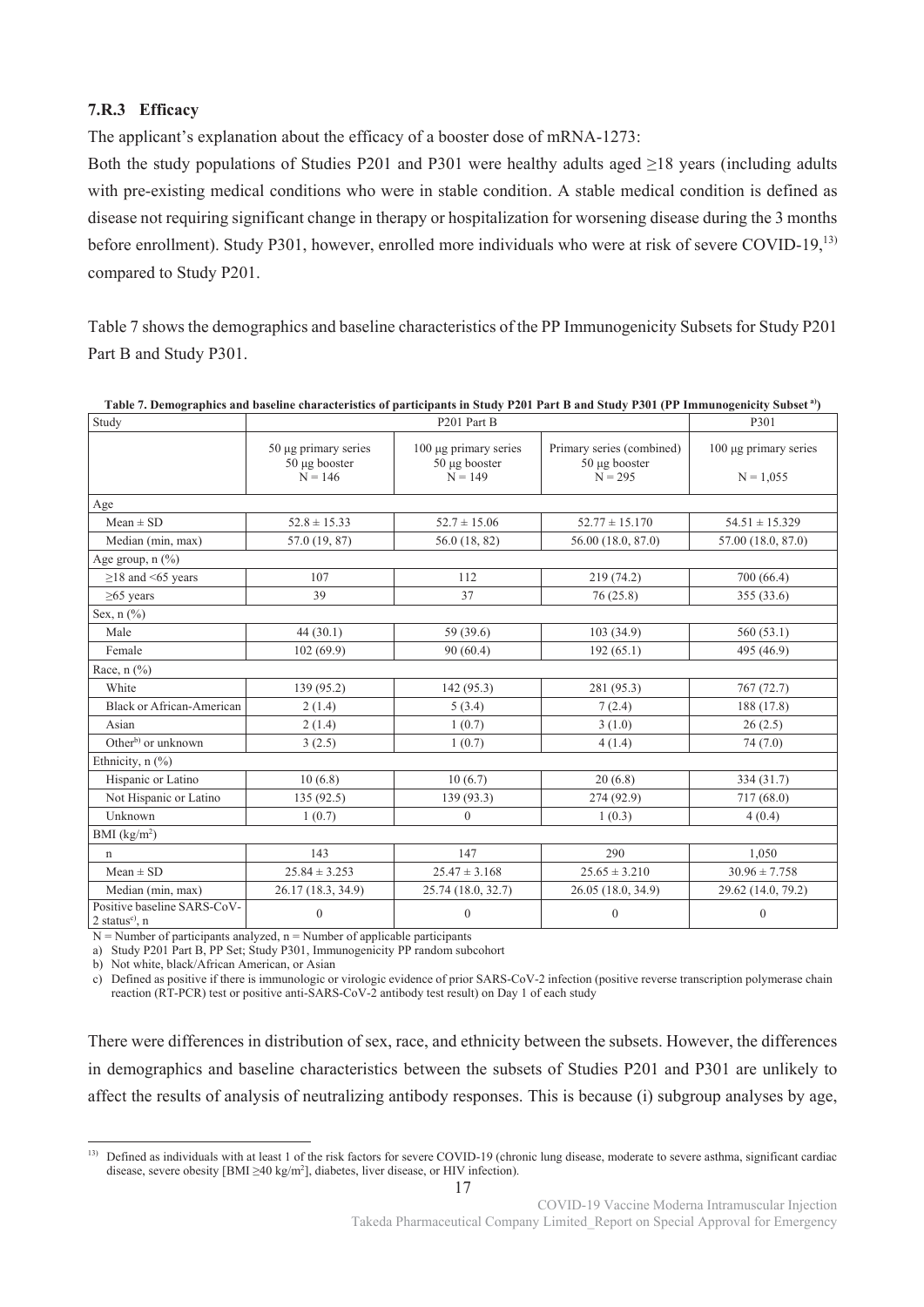# **7.R.3 Efficacy**

The applicant's explanation about the efficacy of a booster dose of mRNA-1273:

Both the study populations of Studies P201 and P301 were healthy adults aged ≥18 years (including adults with pre-existing medical conditions who were in stable condition. A stable medical condition is defined as disease not requiring significant change in therapy or hospitalization for worsening disease during the 3 months before enrollment). Study P301, however, enrolled more individuals who were at risk of severe COVID-19,<sup>13)</sup> compared to Study P201.

Table 7 shows the demographics and baseline characteristics of the PP Immunogenicity Subsets for Study P201 Part B and Study P301.

| Study                                                       |                                                         | P301                                                     |                                                         |                                           |
|-------------------------------------------------------------|---------------------------------------------------------|----------------------------------------------------------|---------------------------------------------------------|-------------------------------------------|
|                                                             | $50 \mu$ g primary series<br>50 µg booster<br>$N = 146$ | $100 \mu$ g primary series<br>50 µg booster<br>$N = 149$ | Primary series (combined)<br>50 µg booster<br>$N = 295$ | $100 \mu$ g primary series<br>$N = 1,055$ |
| Age                                                         |                                                         |                                                          |                                                         |                                           |
| $Mean \pm SD$                                               | $52.8 \pm 15.33$                                        | $52.7 \pm 15.06$                                         | $52.77 \pm 15.170$                                      | $54.51 \pm 15.329$                        |
| Median (min, max)                                           | 57.0 (19, 87)                                           | 56.0 (18, 82)                                            | 56.00 (18.0, 87.0)                                      | 57.00 (18.0, 87.0)                        |
| Age group, $n$ $(\%)$                                       |                                                         |                                                          |                                                         |                                           |
| $\geq$ 18 and <65 years                                     | 107                                                     | 112                                                      | 219 (74.2)                                              | 700 (66.4)                                |
| $\geq$ 65 years                                             | 39                                                      | 37                                                       | 76 (25.8)                                               | 355 (33.6)                                |
| Sex, $n$ $(\%)$                                             |                                                         |                                                          |                                                         |                                           |
| Male                                                        | 44(30.1)                                                | 59 (39.6)                                                | 103(34.9)                                               | 560(53.1)                                 |
| Female                                                      | 102(69.9)                                               | 90(60.4)                                                 | 192(65.1)                                               | 495 (46.9)                                |
| Race, $n$ $(\%)$                                            |                                                         |                                                          |                                                         |                                           |
| White                                                       | 139 (95.2)                                              | 142(95.3)                                                | 281 (95.3)                                              | 767(72.7)                                 |
| <b>Black or African-American</b>                            | 2(1.4)                                                  | 5(3.4)                                                   | 7(2.4)                                                  | 188 (17.8)                                |
| Asian                                                       | 2(1.4)                                                  | 1(0.7)                                                   | 3(1.0)                                                  | 26(2.5)                                   |
| Other <sup>b)</sup> or unknown                              | 3(2.5)                                                  | 1(0.7)                                                   | 4(1.4)                                                  | 74 (7.0)                                  |
| Ethnicity, n (%)                                            |                                                         |                                                          |                                                         |                                           |
| Hispanic or Latino                                          | 10(6.8)                                                 | 10(6.7)                                                  | 20(6.8)                                                 | 334 (31.7)                                |
| Not Hispanic or Latino                                      | 135(92.5)                                               | 139 (93.3)                                               | 274 (92.9)                                              | 717(68.0)                                 |
| Unknown                                                     | 1(0.7)                                                  | $\overline{0}$                                           | 1(0.3)                                                  | 4(0.4)                                    |
| BMI (kg/m <sup>2</sup> )                                    |                                                         |                                                          |                                                         |                                           |
| $\mathsf{n}$                                                | 143                                                     | 147                                                      | 290                                                     | 1.050                                     |
| $Mean \pm SD$                                               | $25.84 \pm 3.253$                                       | $25.47 \pm 3.168$                                        | $25.65 \pm 3.210$                                       | $30.96 \pm 7.758$                         |
| Median (min, max)                                           | 26.17 (18.3, 34.9)                                      | 25.74 (18.0, 32.7)                                       | 26.05 (18.0, 34.9)                                      | 29.62 (14.0, 79.2)                        |
| Positive baseline SARS-CoV-<br>2 status <sup>c)</sup> , $n$ | $\boldsymbol{0}$                                        | $\boldsymbol{0}$                                         | $\mathbf{0}$                                            | $\boldsymbol{0}$                          |

| Table 7. Demographics and baseline characteristics of participants in Study P201 Part B and Study P301 (PP Immunogenicity Subset <sup>a)</sup> ) |  |  |  |
|--------------------------------------------------------------------------------------------------------------------------------------------------|--|--|--|
|--------------------------------------------------------------------------------------------------------------------------------------------------|--|--|--|

 $N =$  Number of participants analyzed,  $n =$  Number of applicable participants

a) Study P201 Part B, PP Set; Study P301, Immunogenicity PP random subcohort

b) Not white, black/African American, or Asian

-

c) Defined as positive if there is immunologic or virologic evidence of prior SARS-CoV-2 infection (positive reverse transcription polymerase chain reaction (RT-PCR) test or positive anti-SARS-CoV-2 antibody test result) on Day 1 of each study

There were differences in distribution of sex, race, and ethnicity between the subsets. However, the differences in demographics and baseline characteristics between the subsets of Studies P201 and P301 are unlikely to affect the results of analysis of neutralizing antibody responses. This is because (i) subgroup analyses by age,

<sup>&</sup>lt;sup>13)</sup> Defined as individuals with at least 1 of the risk factors for severe COVID-19 (chronic lung disease, moderate to severe asthma, significant cardiac disease, severe obesity [BMI ≥40 kg/m2 ], diabetes, liver disease, or HIV infection).

COVID-19 Vaccine Moderna Intramuscular Injection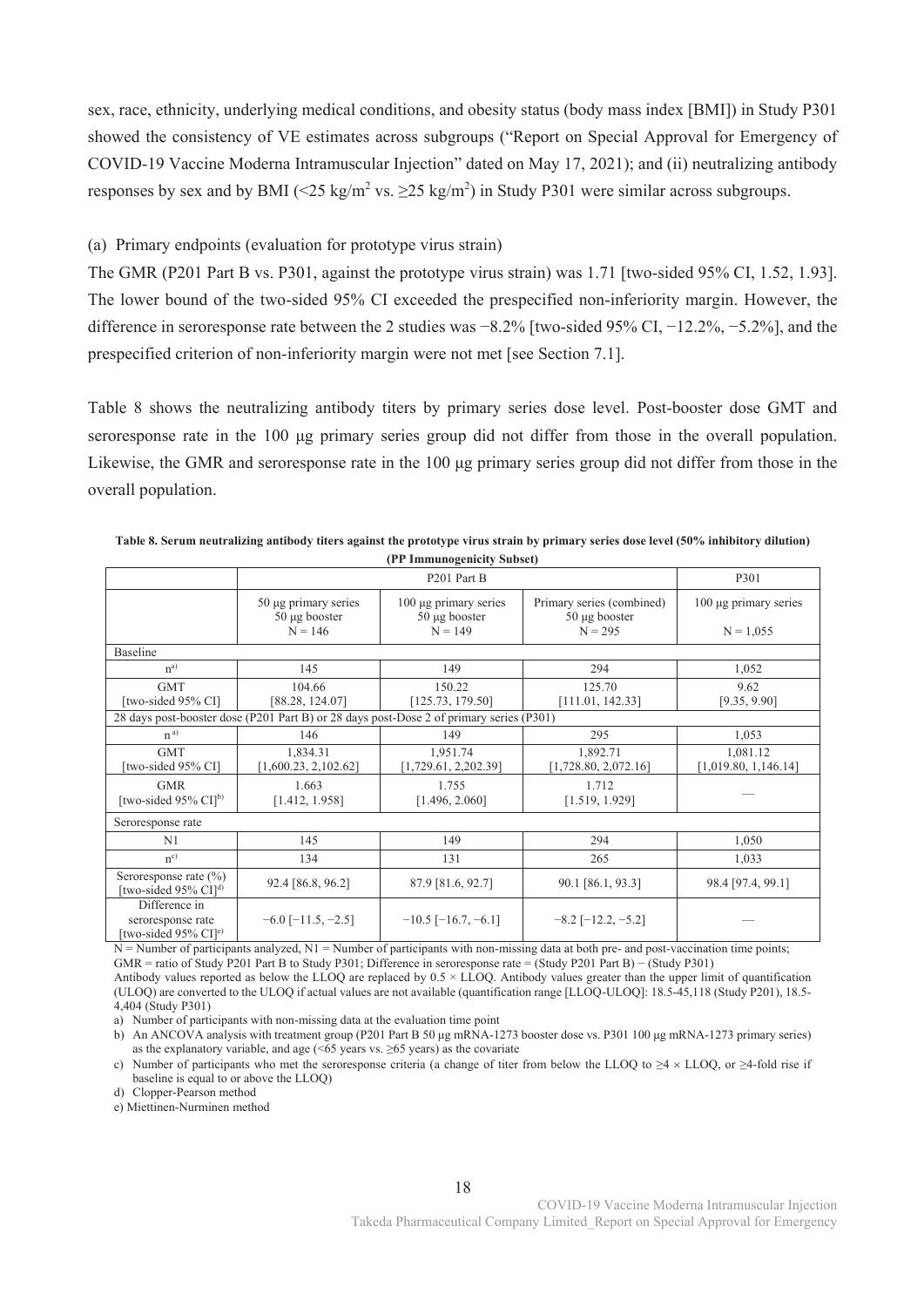sex, race, ethnicity, underlying medical conditions, and obesity status (body mass index [BMI]) in Study P301 showed the consistency of VE estimates across subgroups ("Report on Special Approval for Emergency of COVID-19 Vaccine Moderna Intramuscular Injection" dated on May 17, 2021); and (ii) neutralizing antibody responses by sex and by BMI (<25 kg/m<sup>2</sup> vs.  $\geq$ 25 kg/m<sup>2</sup>) in Study P301 were similar across subgroups.

## (a) Primary endpoints (evaluation for prototype virus strain)

The GMR (P201 Part B vs. P301, against the prototype virus strain) was 1.71 [two-sided 95% CI, 1.52, 1.93]. The lower bound of the two-sided 95% CI exceeded the prespecified non-inferiority margin. However, the difference in seroresponse rate between the 2 studies was −8.2% [two-sided 95% CI, −12.2%, −5.2%], and the prespecified criterion of non-inferiority margin were not met [see Section 7.1].

Table 8 shows the neutralizing antibody titers by primary series dose level. Post-booster dose GMT and seroresponse rate in the 100 μg primary series group did not differ from those in the overall population. Likewise, the GMR and seroresponse rate in the 100 μg primary series group did not differ from those in the overall population.

|                                                                        |                                                                                         | (Fr Immunogemeny Subset)                         |                                                 |                            |
|------------------------------------------------------------------------|-----------------------------------------------------------------------------------------|--------------------------------------------------|-------------------------------------------------|----------------------------|
|                                                                        |                                                                                         |                                                  | P301                                            |                            |
|                                                                        | $50 \mu$ g primary series<br>50 µg booster                                              | $100 \mu$ g primary series<br>$50 \mu g$ booster | Primary series (combined)<br>$50 \mu g$ booster | $100 \mu$ g primary series |
|                                                                        | $N = 146$                                                                               | $N = 149$                                        | $N = 295$                                       | $N = 1,055$                |
| Baseline                                                               |                                                                                         |                                                  |                                                 |                            |
| $n^{a)}$                                                               | 145                                                                                     | 149                                              | 294                                             | 1,052                      |
| <b>GMT</b>                                                             | 104.66                                                                                  | 150.22                                           | 125.70                                          | 9.62                       |
| [two-sided 95% CI]                                                     | [88.28, 124.07]                                                                         | [125.73, 179.50]                                 | [111.01, 142.33]                                | [9.35, 9.90]               |
|                                                                        | 28 days post-booster dose (P201 Part B) or 28 days post-Dose 2 of primary series (P301) |                                                  |                                                 |                            |
| $n^{a)}$                                                               | 146                                                                                     | 149                                              | 295                                             | 1,053                      |
| <b>GMT</b>                                                             | 1,834.31                                                                                | 1,951.74                                         | 1,892.71                                        | 1,081.12                   |
| [two-sided 95% CI]                                                     | [1,600.23, 2,102.62]                                                                    | [1,729.61, 2,202.39]                             | [1,728.80, 2,072.16]                            | [1,019.80, 1,146.14]       |
| <b>GMR</b>                                                             | 1.663                                                                                   | 1.755                                            | 1.712                                           |                            |
| [two-sided $95\%$ CI] <sup>b)</sup>                                    | [1.412, 1.958]                                                                          | [1.496, 2.060]                                   | [1.519, 1.929]                                  |                            |
| Seroresponse rate                                                      |                                                                                         |                                                  |                                                 |                            |
| N <sub>1</sub>                                                         | 145                                                                                     | 149                                              | 294                                             | 1,050                      |
| $n^{c}$                                                                | 134                                                                                     | 131                                              | 265                                             | 1,033                      |
| Seroresponse rate $(\% )$<br>[two-sided 95% CI] <sup>d)</sup>          | 92.4 [86.8, 96.2]                                                                       | 87.9 [81.6, 92.7]                                | 90.1 [86.1, 93.3]                               | 98.4 [97.4, 99.1]          |
| Difference in<br>seroresponse rate<br>[two-sided 95% CI] <sup>e)</sup> | $-6.0$ [ $-11.5, -2.5$ ]                                                                | $-10.5$ [ $-16.7, -6.1$ ]                        | $-8.2$ [ $-12.2, -5.2$ ]                        |                            |

**Table 8. Serum neutralizing antibody titers against the prototype virus strain by primary series dose level (50% inhibitory dilution) (PP Immunogenicity Subset)** 

N = Number of participants analyzed, N1 = Number of participants with non-missing data at both pre- and post-vaccination time points; GMR = ratio of Study P201 Part B to Study P301; Difference in seroresponse rate = (Study P201 Part B) − (Study P301)

Antibody values reported as below the LLOQ are replaced by 0.5 × LLOQ. Antibody values greater than the upper limit of quantification (ULOQ) are converted to the ULOQ if actual values are not available (quantification range [LLOQ-ULOQ]: 18.5-45,118 (Study P201), 18.5- 4,404 (Study P301)

a) Number of participants with non-missing data at the evaluation time point

b) An ANCOVA analysis with treatment group (P201 Part B 50 μg mRNA-1273 booster dose vs. P301 100 μg mRNA-1273 primary series) as the explanatory variable, and age  $(55 \text{ years} \text{ vs. } 265 \text{ years})$  as the covariate

c) Number of participants who met the seroresponse criteria (a change of titer from below the LLOQ to  $\geq 4 \times$  LLOQ, or  $\geq 4$ -fold rise if baseline is equal to or above the LLOQ)

d) Clopper-Pearson method

e) Miettinen-Nurminen method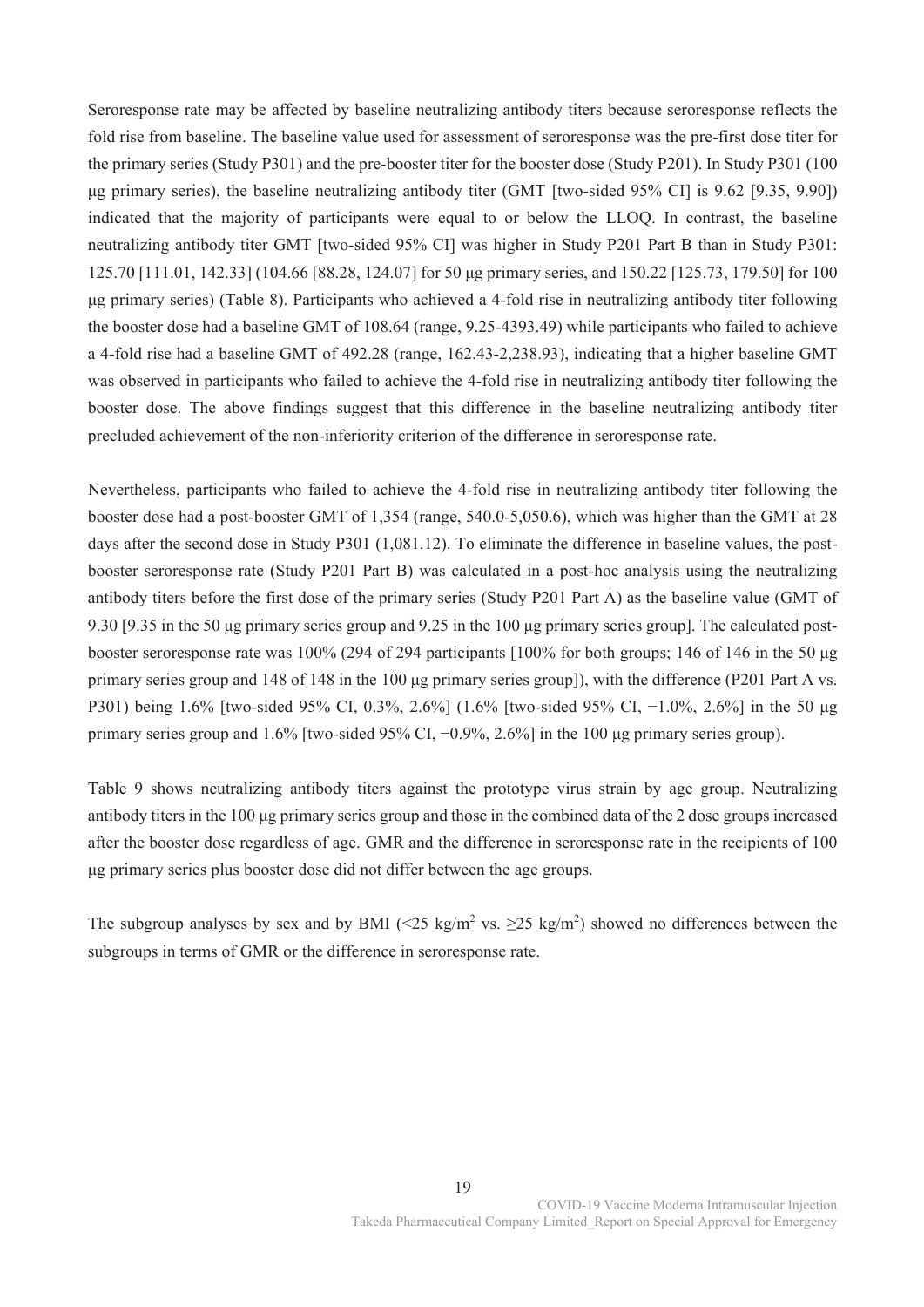Seroresponse rate may be affected by baseline neutralizing antibody titers because seroresponse reflects the fold rise from baseline. The baseline value used for assessment of seroresponse was the pre-first dose titer for the primary series (Study P301) and the pre-booster titer for the booster dose (Study P201). In Study P301 (100 μg primary series), the baseline neutralizing antibody titer (GMT [two-sided 95% CI] is 9.62 [9.35, 9.90]) indicated that the majority of participants were equal to or below the LLOQ. In contrast, the baseline neutralizing antibody titer GMT [two-sided 95% CI] was higher in Study P201 Part B than in Study P301: 125.70 [111.01, 142.33] (104.66 [88.28, 124.07] for 50 μg primary series, and 150.22 [125.73, 179.50] for 100 μg primary series) (Table 8). Participants who achieved a 4-fold rise in neutralizing antibody titer following the booster dose had a baseline GMT of 108.64 (range, 9.25-4393.49) while participants who failed to achieve a 4-fold rise had a baseline GMT of 492.28 (range, 162.43-2,238.93), indicating that a higher baseline GMT was observed in participants who failed to achieve the 4-fold rise in neutralizing antibody titer following the booster dose. The above findings suggest that this difference in the baseline neutralizing antibody titer precluded achievement of the non-inferiority criterion of the difference in seroresponse rate.

Nevertheless, participants who failed to achieve the 4-fold rise in neutralizing antibody titer following the booster dose had a post-booster GMT of 1,354 (range, 540.0-5,050.6), which was higher than the GMT at 28 days after the second dose in Study P301 (1,081.12). To eliminate the difference in baseline values, the postbooster seroresponse rate (Study P201 Part B) was calculated in a post-hoc analysis using the neutralizing antibody titers before the first dose of the primary series (Study P201 Part A) as the baseline value (GMT of 9.30 [9.35 in the 50 μg primary series group and 9.25 in the 100 μg primary series group]. The calculated postbooster seroresponse rate was 100% (294 of 294 participants [100% for both groups; 146 of 146 in the 50 μg primary series group and 148 of 148 in the 100 μg primary series group]), with the difference (P201 Part A vs. P301) being 1.6% [two-sided 95% CI, 0.3%, 2.6%] (1.6% [two-sided 95% CI, −1.0%, 2.6%] in the 50 µg primary series group and 1.6% [two-sided 95% CI, −0.9%, 2.6%] in the 100 μg primary series group).

Table 9 shows neutralizing antibody titers against the prototype virus strain by age group. Neutralizing antibody titers in the 100 μg primary series group and those in the combined data of the 2 dose groups increased after the booster dose regardless of age. GMR and the difference in seroresponse rate in the recipients of 100 μg primary series plus booster dose did not differ between the age groups.

The subgroup analyses by sex and by BMI (<25 kg/m<sup>2</sup> vs.  $\geq$ 25 kg/m<sup>2</sup>) showed no differences between the subgroups in terms of GMR or the difference in seroresponse rate.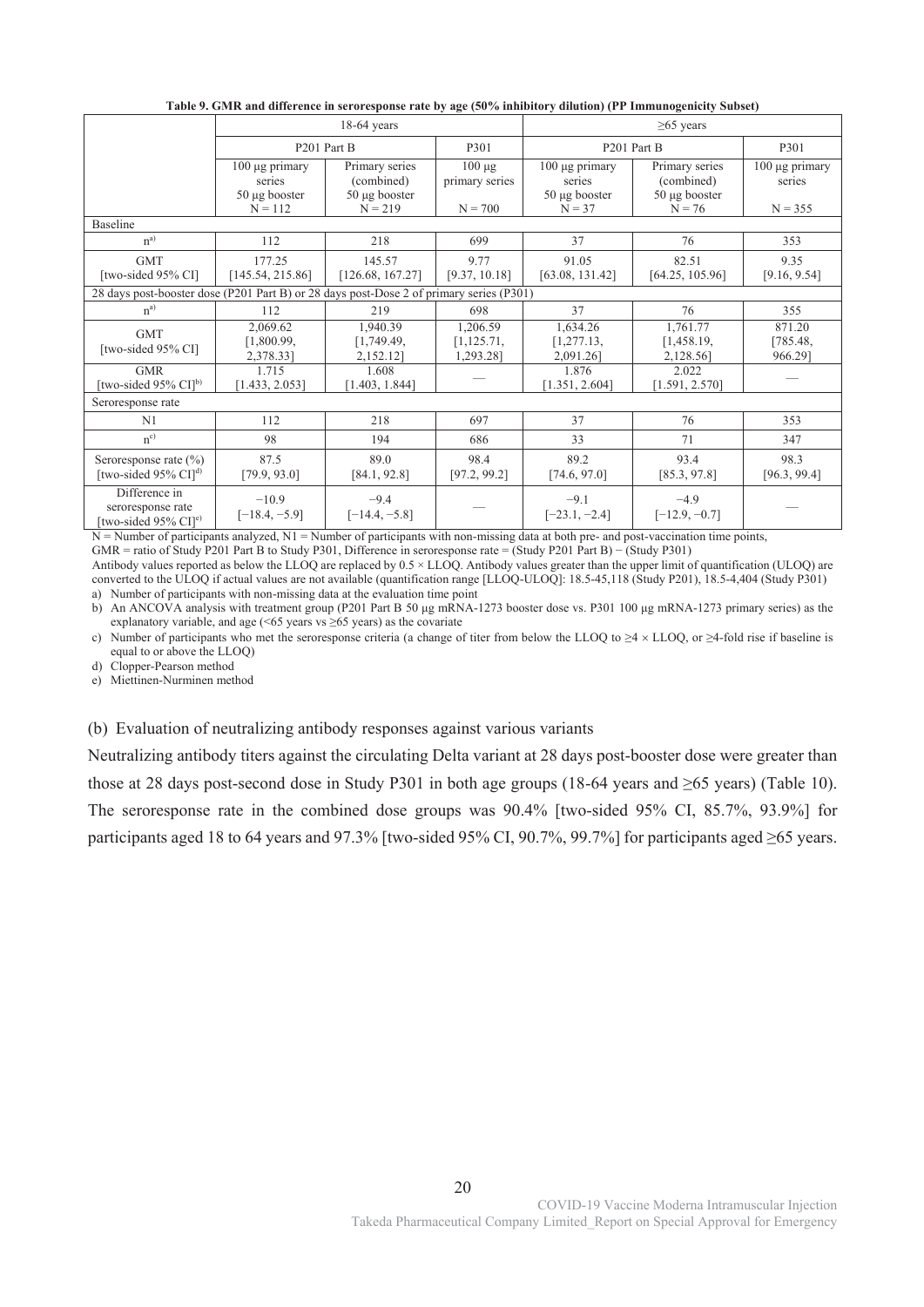|                                                                                         |                                                                  | $18-64$ years                                                   |                                            |                                                                 | $\geq 65$ years                                                |                                            |  |  |
|-----------------------------------------------------------------------------------------|------------------------------------------------------------------|-----------------------------------------------------------------|--------------------------------------------|-----------------------------------------------------------------|----------------------------------------------------------------|--------------------------------------------|--|--|
|                                                                                         | P <sub>201</sub> Part B                                          |                                                                 | P301                                       | P <sub>201</sub> Part B                                         |                                                                | P301                                       |  |  |
|                                                                                         | $100 \mu g$ primary<br>series<br>$50 \mu g$ booster<br>$N = 112$ | Primary series<br>(combined)<br>$50 \mu g$ booster<br>$N = 219$ | $100 \mu g$<br>primary series<br>$N = 700$ | $100 \mu g$ primary<br>series<br>$50 \mu g$ booster<br>$N = 37$ | Primary series<br>(combined)<br>$50 \mu g$ booster<br>$N = 76$ | $100 \mu$ g primary<br>series<br>$N = 355$ |  |  |
| <b>Baseline</b>                                                                         |                                                                  |                                                                 |                                            |                                                                 |                                                                |                                            |  |  |
| $n^{a)}$                                                                                | 112                                                              | 218                                                             | 699                                        | 37                                                              | 76                                                             | 353                                        |  |  |
| <b>GMT</b><br>[two-sided 95% CI]                                                        | 177.25<br>[145.54, 215.86]                                       | 145.57<br>[126.68, 167.27]                                      | 9.77<br>[9.37, 10.18]                      | 91.05<br>[63.08, 131.42]                                        | 82.51<br>[64.25, 105.96]                                       | 9.35<br>[9.16, 9.54]                       |  |  |
| 28 days post-booster dose (P201 Part B) or 28 days post-Dose 2 of primary series (P301) |                                                                  |                                                                 |                                            |                                                                 |                                                                |                                            |  |  |
| $n^{a)}$                                                                                | 112                                                              | 219                                                             | 698                                        | 37                                                              | 76                                                             | 355                                        |  |  |
| <b>GMT</b><br>[two-sided 95% CI]                                                        | 2,069.62<br>[1,800.99,<br>2,378.33]                              | 1,940.39<br>[1,749.49,<br>2,152.121                             | 1,206.59<br>[1, 125.71,<br>1,293.281       | 1,634.26<br>[1, 277.13,<br>2,091.26]                            | 1,761.77<br>[1,458.19,<br>2,128.561                            | 871.20<br>[785.48,<br>966.29]              |  |  |
| <b>GMR</b><br>[two-sided 95% CI] <sup>b)</sup>                                          | 1.715<br>[1.433, 2.053]                                          | 1.608<br>[1.403, 1.844]                                         |                                            | 1.876<br>[1.351, 2.604]                                         | 2.022<br>[1.591, 2.570]                                        |                                            |  |  |
| Seroresponse rate                                                                       |                                                                  |                                                                 |                                            |                                                                 |                                                                |                                            |  |  |
| N1                                                                                      | 112                                                              | 218                                                             | 697                                        | 37                                                              | 76                                                             | 353                                        |  |  |
| $n^{c}$                                                                                 | 98                                                               | 194                                                             | 686                                        | 33                                                              | 71                                                             | 347                                        |  |  |
| Seroresponse rate $(\% )$<br>[two-sided 95% $CI$ ] <sup>d)</sup>                        | 87.5<br>[79.9, 93.0]                                             | 89.0<br>[84.1, 92.8]                                            | 98.4<br>[97.2, 99.2]                       | 89.2<br>[74.6, 97.0]                                            | 93.4<br>[85.3, 97.8]                                           | 98.3<br>[96.3, 99.4]                       |  |  |
| Difference in<br>seroresponse rate<br>[two-sided 95% CI] <sup>e)</sup>                  | $-10.9$<br>$[-18.4, -5.9]$                                       | $-9.4$<br>$[-14.4, -5.8]$                                       |                                            | $-9.1$<br>$[-23.1, -2.4]$                                       | $-4.9$<br>$[-12.9, -0.7]$                                      |                                            |  |  |

**Table 9. GMR and difference in seroresponse rate by age (50% inhibitory dilution) (PP Immunogenicity Subset)** 

 $N =$  Number of participants analyzed,  $N1 =$  Number of participants with non-missing data at both pre- and post-vaccination time points, GMR = ratio of Study P201 Part B to Study P301, Difference in seroresponse rate = (Study P201 Part B) − (Study P301)

Antibody values reported as below the LLOQ are replaced by 0.5 × LLOQ. Antibody values greater than the upper limit of quantification (ULOQ) are converted to the ULOQ if actual values are not available (quantification range [LLOQ-ULOQ]: 18.5-45,118 (Study P201), 18.5-4,404 (Study P301) a) Number of participants with non-missing data at the evaluation time point

b) An ANCOVA analysis with treatment group (P201 Part B 50 μg mRNA-1273 booster dose vs. P301 100 μg mRNA-1273 primary series) as the explanatory variable, and age  $($  <65 years vs  $\geq$  65 years) as the covariate

c) Number of participants who met the seroresponse criteria (a change of titer from below the LLOQ to  $\geq 4 \times$  LLOQ, or  $\geq 4$ -fold rise if baseline is equal to or above the LLOQ)

d) Clopper-Pearson method

e) Miettinen-Nurminen method

(b) Evaluation of neutralizing antibody responses against various variants

Neutralizing antibody titers against the circulating Delta variant at 28 days post-booster dose were greater than those at 28 days post-second dose in Study P301 in both age groups (18-64 years and ≥65 years) (Table 10). The seroresponse rate in the combined dose groups was 90.4% [two-sided 95% CI, 85.7%, 93.9%] for participants aged 18 to 64 years and 97.3% [two-sided 95% CI, 90.7%, 99.7%] for participants aged ≥65 years.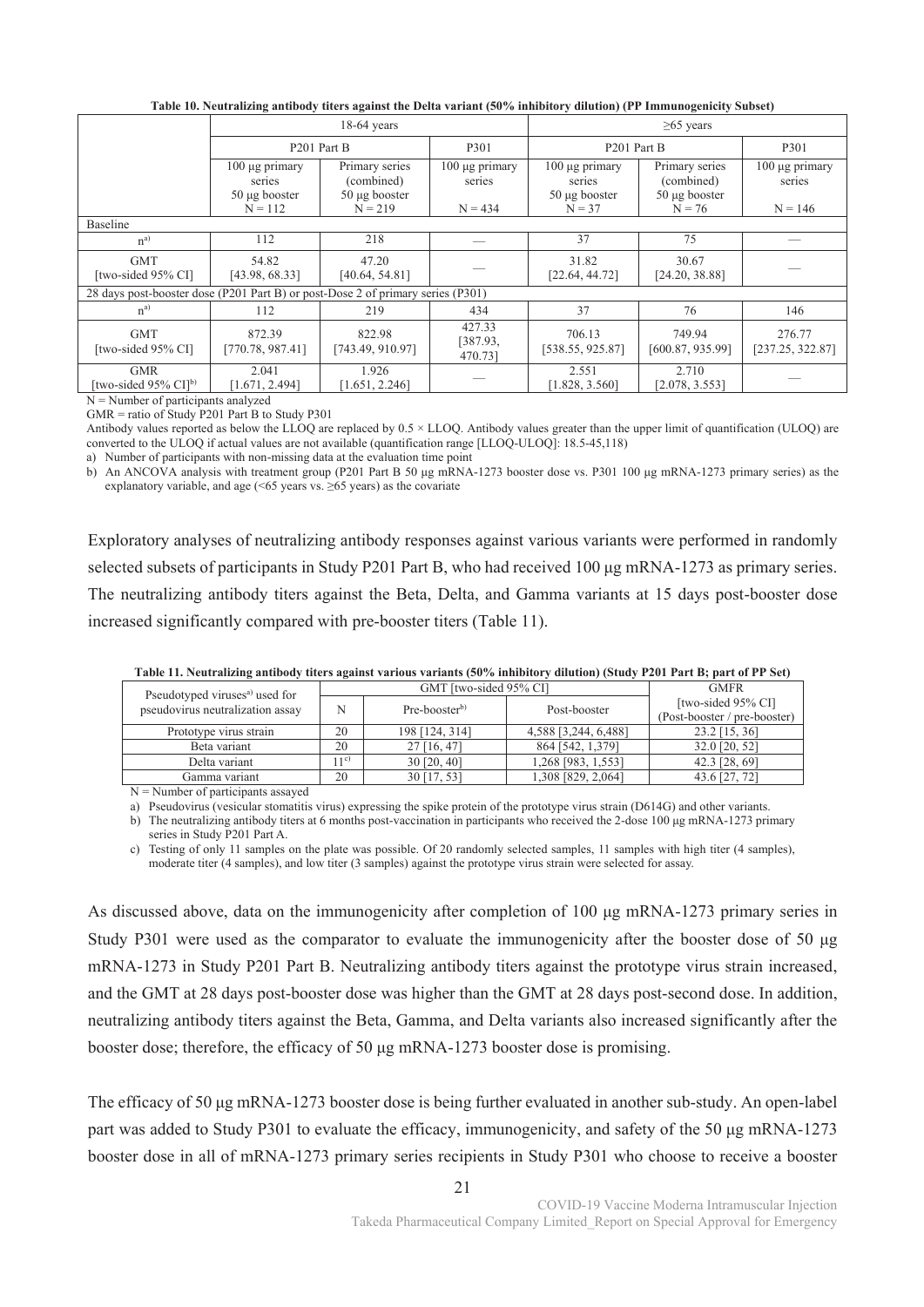|                                                                                 |                                                          | $18-64$ years                   |                               |                                | $\geq 65$ years                |                               |
|---------------------------------------------------------------------------------|----------------------------------------------------------|---------------------------------|-------------------------------|--------------------------------|--------------------------------|-------------------------------|
|                                                                                 | P <sub>201</sub> Part B                                  |                                 | P301                          | P <sub>201</sub> Part B        |                                | P301                          |
|                                                                                 | 100 μg primary<br>Primary series<br>(combined)<br>series |                                 | $100 \mu$ g primary<br>series | $100 \mu$ g primary<br>series  | Primary series<br>(combined)   | $100 \mu g$ primary<br>series |
|                                                                                 | $50 \mu g$ booster<br>$N = 112$                          | $50 \mu g$ booster<br>$N = 219$ | $N = 434$                     | $50 \mu$ g booster<br>$N = 37$ | $50 \mu g$ booster<br>$N = 76$ | $N = 146$                     |
| Baseline                                                                        |                                                          |                                 |                               |                                |                                |                               |
| $n^{a)}$                                                                        | 112                                                      | 218                             |                               | 37                             | 75                             |                               |
| <b>GMT</b><br>[two-sided 95% CI]                                                | 54.82<br>[43.98, 68.33]                                  | 47.20<br>[40.64, 54.81]         |                               | 31.82<br>[22.64, 44.72]        | 30.67<br>[24.20, 38.88]        |                               |
| 28 days post-booster dose (P201 Part B) or post-Dose 2 of primary series (P301) |                                                          |                                 |                               |                                |                                |                               |
| $n^{a}$                                                                         | 112                                                      | 219                             | 434                           | 37                             | 76                             | 146                           |
| <b>GMT</b><br>[two-sided 95% CI]                                                | 872.39<br>[770.78, 987.41]                               | 822.98<br>[743.49, 910.97]      | 427.33<br>[387.93,<br>470.731 | 706.13<br>[538.55, 925.87]     | 749.94<br>[600.87, 935.99]     | 276.77<br>[237.25, 322.87]    |
| <b>GMR</b><br>[two-sided 95% CI] <sup>b)</sup>                                  | 2.041<br>[1.671, 2.494]                                  | 1.926<br>[1.651, 2.246]         |                               | 2.551<br>[1.828, 3.560]        | 2.710<br>[2.078, 3.553]        |                               |

**Table 10. Neutralizing antibody titers against the Delta variant (50% inhibitory dilution) (PP Immunogenicity Subset)** 

N = Number of participants analyzed

 $GMR =$  ratio of Study P201 Part B to Study P301

Antibody values reported as below the LLOQ are replaced by 0.5 × LLOQ. Antibody values greater than the upper limit of quantification (ULOQ) are converted to the ULOQ if actual values are not available (quantification range [LLOQ-ULOQ]: 18.5-45,118)

a) Number of participants with non-missing data at the evaluation time point

b) An ANCOVA analysis with treatment group (P201 Part B 50 μg mRNA-1273 booster dose vs. P301 100 μg mRNA-1273 primary series) as the explanatory variable, and age  $($  <65 years vs.  $\geq$  65 years) as the covariate

Exploratory analyses of neutralizing antibody responses against various variants were performed in randomly selected subsets of participants in Study P201 Part B, who had received 100 μg mRNA-1273 as primary series. The neutralizing antibody titers against the Beta, Delta, and Gamma variants at 15 days post-booster dose increased significantly compared with pre-booster titers (Table 11).

| Table 11. Iveun anzing anthouy thers against various variants (30%) minibitory unution) (Study 1201 Fart D, part of FF Set) |         |                        |                      |                              |  |  |  |  |  |
|-----------------------------------------------------------------------------------------------------------------------------|---------|------------------------|----------------------|------------------------------|--|--|--|--|--|
| Pseudotyped viruses <sup>a)</sup> used for                                                                                  |         | GMT [two-sided 95% CI] |                      | <b>GMFR</b>                  |  |  |  |  |  |
| pseudovirus neutralization assay                                                                                            | N       | $Pre-boosterb$         | Post-booster         | [two-sided 95% CI]           |  |  |  |  |  |
|                                                                                                                             |         |                        |                      | (Post-booster / pre-booster) |  |  |  |  |  |
| Prototype virus strain                                                                                                      | 20      | 198 [124, 314]         | 4,588 [3,244, 6,488] | 23.2 [15, 36]                |  |  |  |  |  |
| Beta variant                                                                                                                | 20      | $27$ [16, 47]          | 864 [542, 1,379]     | 32.0 [20, 52]                |  |  |  |  |  |
| Delta variant                                                                                                               | $1^{c}$ | $30$ [20, 40]          | 1,268 [983, 1,553]   | 42.3 [28, 69]                |  |  |  |  |  |
| Gamma variant                                                                                                               | 20      | 30 [17, 53]            | 1,308 [829, 2,064]   | 43.6 [27, 72]                |  |  |  |  |  |

**Table 11. Neutralizing antibody titers against various variants (50% inhibitory dilution) (Study P201 Part B; part of PP Set)** 

 $N =$ Number of participants assayed

a) Pseudovirus (vesicular stomatitis virus) expressing the spike protein of the prototype virus strain (D614G) and other variants.

b) The neutralizing antibody titers at 6 months post-vaccination in participants who received the 2-dose 100 μg mRNA-1273 primary series in Study P201 Part A.

c) Testing of only 11 samples on the plate was possible. Of 20 randomly selected samples, 11 samples with high titer (4 samples), moderate titer (4 samples), and low titer (3 samples) against the prototype virus strain were selected for assay.

As discussed above, data on the immunogenicity after completion of 100 μg mRNA-1273 primary series in Study P301 were used as the comparator to evaluate the immunogenicity after the booster dose of 50 μg mRNA-1273 in Study P201 Part B. Neutralizing antibody titers against the prototype virus strain increased, and the GMT at 28 days post-booster dose was higher than the GMT at 28 days post-second dose. In addition, neutralizing antibody titers against the Beta, Gamma, and Delta variants also increased significantly after the booster dose; therefore, the efficacy of 50 μg mRNA-1273 booster dose is promising.

The efficacy of 50 μg mRNA-1273 booster dose is being further evaluated in another sub-study. An open-label part was added to Study P301 to evaluate the efficacy, immunogenicity, and safety of the 50 μg mRNA-1273 booster dose in all of mRNA-1273 primary series recipients in Study P301 who choose to receive a booster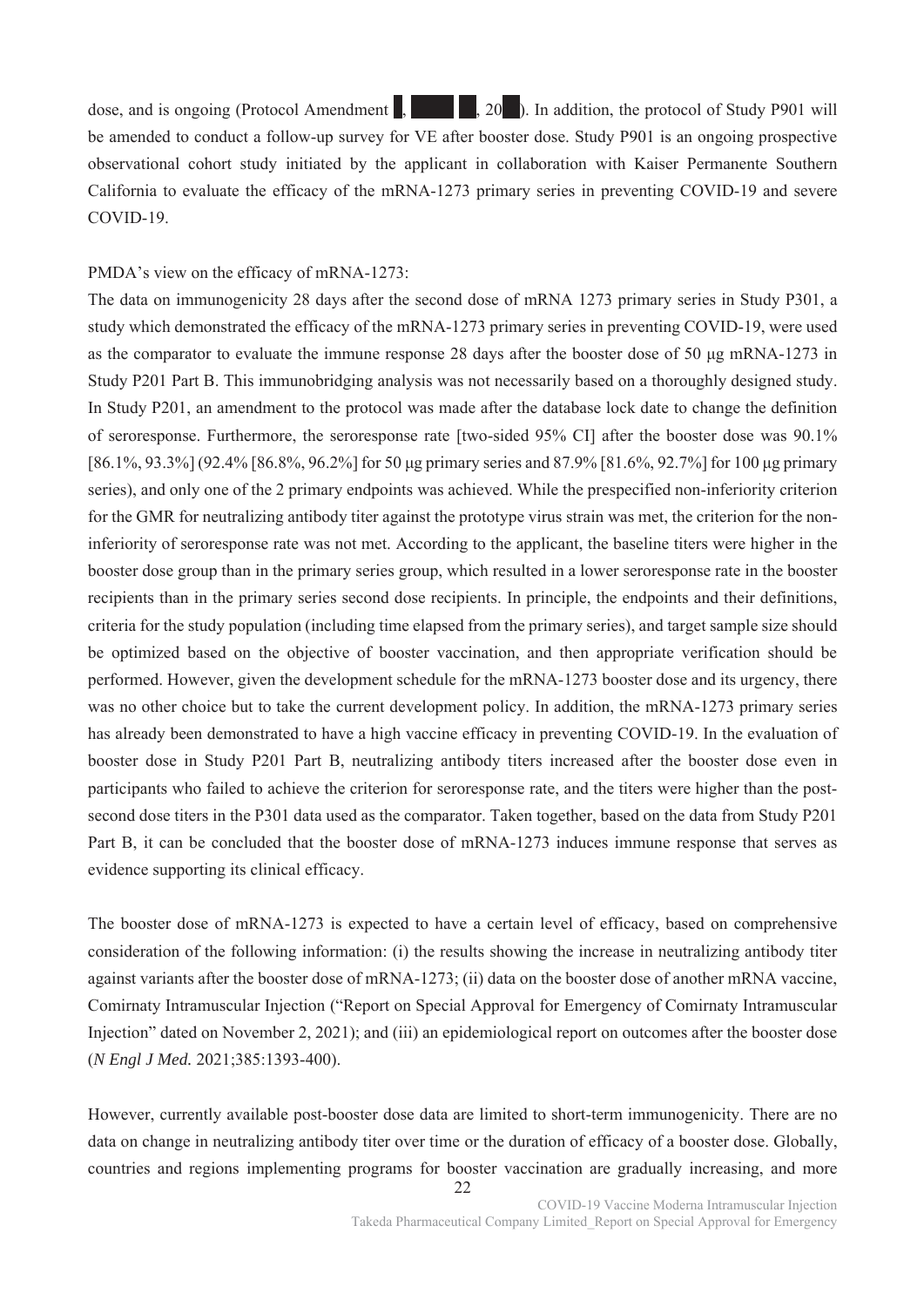dose, and is ongoing (Protocol Amendment  $\vert$ ,  $\vert$ ,  $\vert$ ,  $\vert$ ,  $\vert$ ,  $\vert$ ,  $\vert$ ,  $\vert$ ). In addition, the protocol of Study P901 will be amended to conduct a follow-up survey for VE after booster dose. Study P901 is an ongoing prospective observational cohort study initiated by the applicant in collaboration with Kaiser Permanente Southern California to evaluate the efficacy of the mRNA-1273 primary series in preventing COVID-19 and severe COVID-19.

## PMDA's view on the efficacy of mRNA-1273:

The data on immunogenicity 28 days after the second dose of mRNA 1273 primary series in Study P301, a study which demonstrated the efficacy of the mRNA-1273 primary series in preventing COVID-19, were used as the comparator to evaluate the immune response 28 days after the booster dose of 50 μg mRNA-1273 in Study P201 Part B. This immunobridging analysis was not necessarily based on a thoroughly designed study. In Study P201, an amendment to the protocol was made after the database lock date to change the definition of seroresponse. Furthermore, the seroresponse rate [two-sided 95% CI] after the booster dose was 90.1% [86.1%, 93.3%] (92.4% [86.8%, 96.2%] for 50 μg primary series and 87.9% [81.6%, 92.7%] for 100 μg primary series), and only one of the 2 primary endpoints was achieved. While the prespecified non-inferiority criterion for the GMR for neutralizing antibody titer against the prototype virus strain was met, the criterion for the noninferiority of seroresponse rate was not met. According to the applicant, the baseline titers were higher in the booster dose group than in the primary series group, which resulted in a lower seroresponse rate in the booster recipients than in the primary series second dose recipients. In principle, the endpoints and their definitions, criteria for the study population (including time elapsed from the primary series), and target sample size should be optimized based on the objective of booster vaccination, and then appropriate verification should be performed. However, given the development schedule for the mRNA-1273 booster dose and its urgency, there was no other choice but to take the current development policy. In addition, the mRNA-1273 primary series has already been demonstrated to have a high vaccine efficacy in preventing COVID-19. In the evaluation of booster dose in Study P201 Part B, neutralizing antibody titers increased after the booster dose even in participants who failed to achieve the criterion for seroresponse rate, and the titers were higher than the postsecond dose titers in the P301 data used as the comparator. Taken together, based on the data from Study P201 Part B, it can be concluded that the booster dose of mRNA-1273 induces immune response that serves as evidence supporting its clinical efficacy.

The booster dose of mRNA-1273 is expected to have a certain level of efficacy, based on comprehensive consideration of the following information: (i) the results showing the increase in neutralizing antibody titer against variants after the booster dose of mRNA-1273; (ii) data on the booster dose of another mRNA vaccine, Comirnaty Intramuscular Injection ("Report on Special Approval for Emergency of Comirnaty Intramuscular Injection" dated on November 2, 2021); and (iii) an epidemiological report on outcomes after the booster dose (*N Engl J Med.* 2021;385:1393-400).

However, currently available post-booster dose data are limited to short-term immunogenicity. There are no data on change in neutralizing antibody titer over time or the duration of efficacy of a booster dose. Globally, countries and regions implementing programs for booster vaccination are gradually increasing, and more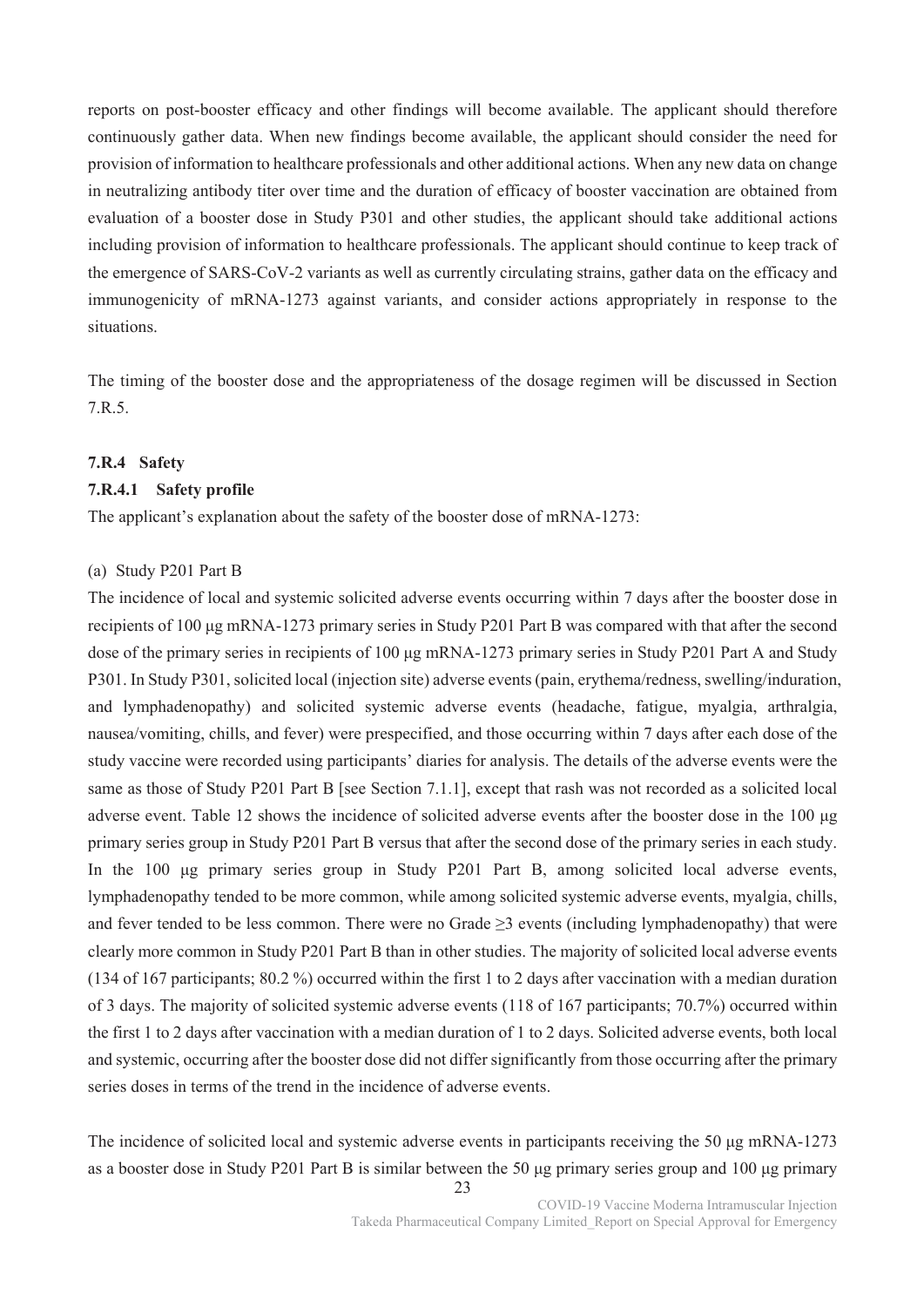reports on post-booster efficacy and other findings will become available. The applicant should therefore continuously gather data. When new findings become available, the applicant should consider the need for provision of information to healthcare professionals and other additional actions. When any new data on change in neutralizing antibody titer over time and the duration of efficacy of booster vaccination are obtained from evaluation of a booster dose in Study P301 and other studies, the applicant should take additional actions including provision of information to healthcare professionals. The applicant should continue to keep track of the emergence of SARS-CoV-2 variants as well as currently circulating strains, gather data on the efficacy and immunogenicity of mRNA-1273 against variants, and consider actions appropriately in response to the situations.

The timing of the booster dose and the appropriateness of the dosage regimen will be discussed in Section 7.R.5.

## **7.R.4 Safety**

#### **7.R.4.1 Safety profile**

The applicant's explanation about the safety of the booster dose of mRNA-1273:

#### (a) Study P201 Part B

The incidence of local and systemic solicited adverse events occurring within 7 days after the booster dose in recipients of 100 μg mRNA-1273 primary series in Study P201 Part B was compared with that after the second dose of the primary series in recipients of 100 μg mRNA-1273 primary series in Study P201 Part A and Study P301. In Study P301, solicited local (injection site) adverse events (pain, erythema/redness, swelling/induration, and lymphadenopathy) and solicited systemic adverse events (headache, fatigue, myalgia, arthralgia, nausea/vomiting, chills, and fever) were prespecified, and those occurring within 7 days after each dose of the study vaccine were recorded using participants' diaries for analysis. The details of the adverse events were the same as those of Study P201 Part B [see Section 7.1.1], except that rash was not recorded as a solicited local adverse event. Table 12 shows the incidence of solicited adverse events after the booster dose in the 100 μg primary series group in Study P201 Part B versus that after the second dose of the primary series in each study. In the 100 μg primary series group in Study P201 Part B, among solicited local adverse events, lymphadenopathy tended to be more common, while among solicited systemic adverse events, myalgia, chills, and fever tended to be less common. There were no Grade  $\geq$ 3 events (including lymphadenopathy) that were clearly more common in Study P201 Part B than in other studies. The majority of solicited local adverse events (134 of 167 participants; 80.2 %) occurred within the first 1 to 2 days after vaccination with a median duration of 3 days. The majority of solicited systemic adverse events (118 of 167 participants; 70.7%) occurred within the first 1 to 2 days after vaccination with a median duration of 1 to 2 days. Solicited adverse events, both local and systemic, occurring after the booster dose did not differ significantly from those occurring after the primary series doses in terms of the trend in the incidence of adverse events.

The incidence of solicited local and systemic adverse events in participants receiving the 50 μg mRNA-1273 as a booster dose in Study P201 Part B is similar between the 50 μg primary series group and 100 μg primary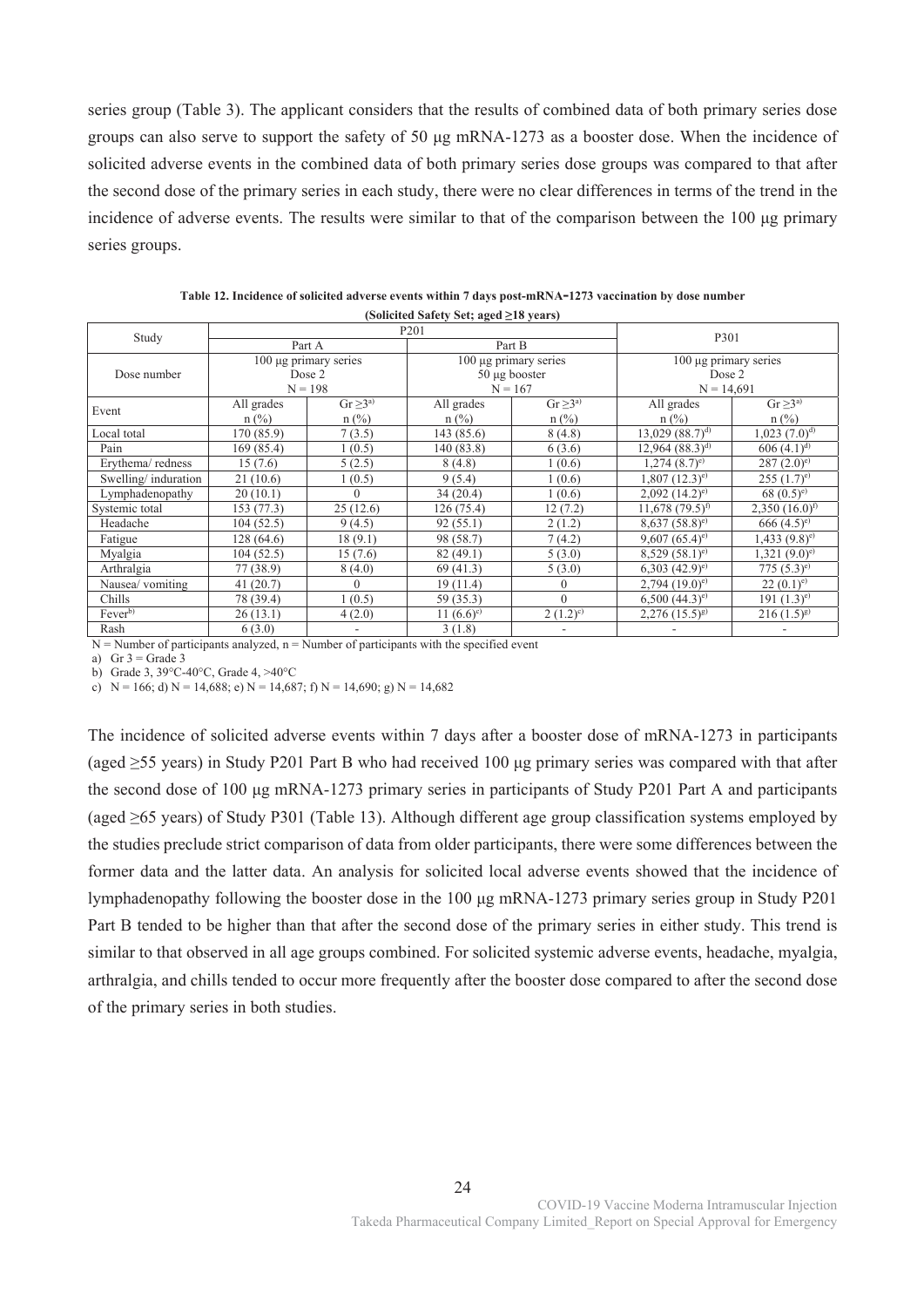series group (Table 3). The applicant considers that the results of combined data of both primary series dose groups can also serve to support the safety of 50 μg mRNA-1273 as a booster dose. When the incidence of solicited adverse events in the combined data of both primary series dose groups was compared to that after the second dose of the primary series in each study, there were no clear differences in terms of the trend in the incidence of adverse events. The results were similar to that of the comparison between the 100 μg primary series groups.

| Study               |            |                       | P <sub>201</sub>         |                       |                                |                             |  |
|---------------------|------------|-----------------------|--------------------------|-----------------------|--------------------------------|-----------------------------|--|
|                     |            | Part A                |                          | Part B                | P301                           |                             |  |
|                     |            | 100 µg primary series |                          | 100 µg primary series | $100 \mu$ g primary series     |                             |  |
| Dose number         |            | Dose 2                |                          | $50 \mu g$ booster    | Dose 2                         |                             |  |
|                     |            | $N = 198$             | $N = 167$                |                       | $N = 14,691$                   |                             |  |
| Event               | All grades | $Gr \geq 3^{a}$       | All grades               | $Gr \geq 3^{a}$       | All grades                     | $Gr \geq 3^{a}$             |  |
|                     | $n$ (%)    | $n$ (%)               | $n$ (%)                  | $n$ (%)               | $n$ (%)                        | $n$ (%)                     |  |
| Local total         | 170 (85.9) | 7(3.5)                | 143(85.6)                | 8(4.8)                | $13,029$ $(88.7)^{d}$          | $1,023$ $(7.0)^{d}$         |  |
| Pain                | 169 (85.4) | 1(0.5)                | 140 (83.8)               | 6(3.6)                | $12,964$ $(88.3)^{d}$          | $606(4.1)^{d}$              |  |
| Erythema/redness    | 15(7.6)    | 5(2.5)                | 8(4.8)                   | 1(0.6)                | $1,274$ $(8.7)$ <sup>e)</sup>  | $287 (2.0)$ <sup>e)</sup>   |  |
| Swelling/induration | 21(10.6)   | 1(0.5)                | 9(5.4)                   | 1(0.6)                | $1,807$ $(12.3)^{e}$           | $255 (1.7)$ <sup>e)</sup>   |  |
| Lymphadenopathy     | 20(10.1)   | $\Omega$              | 34(20.4)                 | 1(0.6)                | $2,092$ $(14.2)$ <sup>e)</sup> | 68 $(0.5)$ <sup>e)</sup>    |  |
| Systemic total      | 153 (77.3) | 25(12.6)              | 126(75.4)                | 12(7.2)               | $11,678$ (79.5) <sup>f)</sup>  | $2,350(16.0)^{t}$           |  |
| Headache            | 104(52.5)  | 9(4.5)                | 92(55.1)                 | 2(1.2)                | $8,637(58.8)^e$                | $666(4.5)$ <sup>e)</sup>    |  |
| Fatigue             | 128(64.6)  | 18(9.1)               | 98 (58.7)                | 7(4.2)                | 9,607 $(65.4)$ <sup>e)</sup>   | $1,433$ $(9.8)^e$           |  |
| Myalgia             | 104(52.5)  | 15(7.6)               | 82(49.1)                 | 5(3.0)                | $8,529(58.1)^e$                | $1,321 (9.0)$ <sup>e)</sup> |  |
| Arthralgia          | 77 (38.9)  | 8(4.0)                | 69 (41.3)                | 5(3.0)                | $(42.9)^e$                     | $775(5.3)^e$                |  |
| Nausea/ vomiting    | 41(20.7)   | $\theta$              | 19(11.4)                 | 0                     | $2,794$ $(19.0)$ <sup>e)</sup> | $(0.1)^e$                   |  |
| Chills              | 78 (39.4)  | 1(0.5)                | 59 (35.3)                | $\theta$              | $6,500$ $(44.3)$ <sup>e)</sup> | 191 $(1.3)^e$               |  |
| Fever <sup>b)</sup> | 26(13.1)   | 4(2.0)                | $11 (6.6)$ <sup>c)</sup> | $(1.2)^{c}$           | $2,276$ $(15.5)^{g}$           | $216(1.5)^{g}$              |  |
| Rash                | 6(3.0)     | ۰                     | 3(1.8)                   |                       |                                |                             |  |

**Table 12. Incidence of solicited adverse events within 7 days post-mRNA-1273 vaccination by dose number (Solicited Safety Set; aged ≥18 years)**

 $N =$  Number of participants analyzed,  $n =$  Number of participants with the specified event

a) Gr  $3 =$  Grade 3

b) Grade 3, 39°C-40°C, Grade 4, >40°C

c)  $N = 166$ ; d)  $N = 14,688$ ; e)  $N = 14,687$ ; f)  $N = 14,690$ ; g)  $N = 14,682$ 

The incidence of solicited adverse events within 7 days after a booster dose of mRNA-1273 in participants (aged ≥55 years) in Study P201 Part B who had received 100 μg primary series was compared with that after the second dose of 100 μg mRNA-1273 primary series in participants of Study P201 Part A and participants (aged ≥65 years) of Study P301 (Table 13). Although different age group classification systems employed by the studies preclude strict comparison of data from older participants, there were some differences between the former data and the latter data. An analysis for solicited local adverse events showed that the incidence of lymphadenopathy following the booster dose in the 100 μg mRNA-1273 primary series group in Study P201 Part B tended to be higher than that after the second dose of the primary series in either study. This trend is similar to that observed in all age groups combined. For solicited systemic adverse events, headache, myalgia, arthralgia, and chills tended to occur more frequently after the booster dose compared to after the second dose of the primary series in both studies.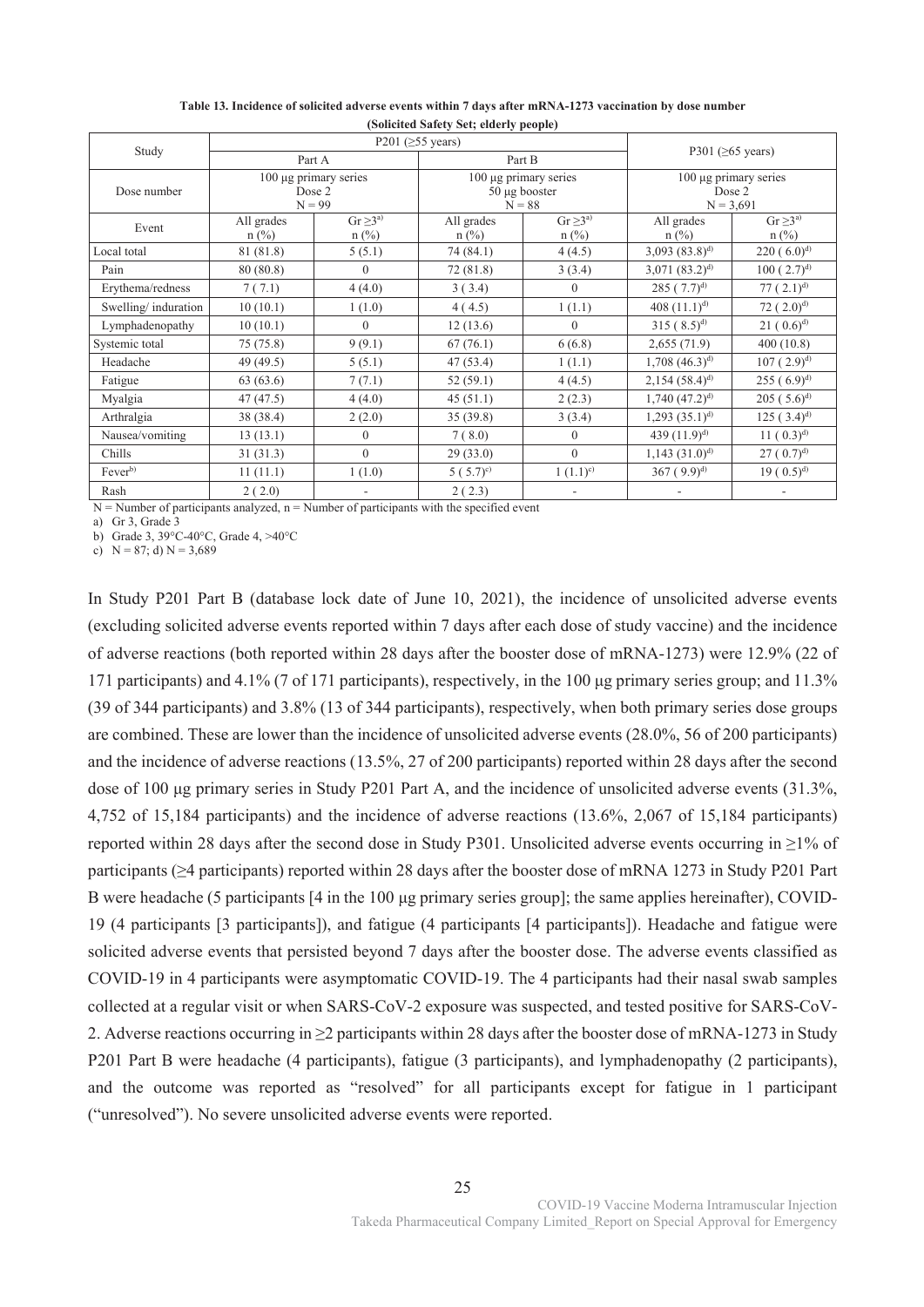| Study               |                       |                            | . .<br>P201 $(≥55 \text{ years})$                            |                            |                                                |                            |  |
|---------------------|-----------------------|----------------------------|--------------------------------------------------------------|----------------------------|------------------------------------------------|----------------------------|--|
|                     | Part A                |                            |                                                              | Part B                     | P301 ( $\geq 65$ years)                        |                            |  |
| Dose number         | Dose 2<br>$N = 99$    | $100 \mu$ g primary series | $100 \mu$ g primary series<br>$50 \mu g$ booster<br>$N = 88$ |                            | 100 µg primary series<br>Dose 2<br>$N = 3,691$ |                            |  |
| Event               | All grades<br>$n$ (%) | $Gr \geq 3^{a}$<br>$n$ (%) | All grades<br>$n$ (%)                                        | $Gr \geq 3^{a}$<br>$n$ (%) |                                                | $Gr \geq 3^{a}$<br>$n$ (%) |  |
| Local total         | 81 (81.8)             | 5(5.1)                     | 74 (84.1)                                                    | 4(4.5)                     | $3,093$ $(83.8)^{d}$                           | $220(6.0)^{d}$             |  |
| Pain                | 80 (80.8)             | $\theta$                   | 72 (81.8)                                                    | 3(3.4)                     | $3,071$ $(83.2)^{d}$                           | $100(2.7)^{d}$             |  |
| Erythema/redness    | 7(7.1)                | 4(4.0)                     | 3(3.4)                                                       | $\mathbf{0}$               | $285(7.7)^{d}$                                 | $77(2.1)^{d}$              |  |
| Swelling/induration | 10(10.1)              | 1(1.0)                     | 1(1.1)<br>4(4.5)                                             |                            | 408 $(11.1)^{d}$                               | 72 $(2.0)^{d}$             |  |
| Lymphadenopathy     | 10(10.1)              | $\overline{0}$             | 12(13.6)                                                     | $\mathbf{0}$               | $315(8.5)^{d}$                                 | $21(0.6)^{d}$              |  |
| Systemic total      | 75 (75.8)             | 9(9.1)                     | 67(76.1)                                                     | 6(6.8)                     | 2,655(71.9)                                    | 400(10.8)                  |  |
| Headache            | 49 (49.5)             | 5(5.1)                     | 47 (53.4)                                                    | 1(1.1)                     | $1,708$ $(46.3)^{d}$                           | $107(2.9)^{d}$             |  |
| Fatigue             | 63 (63.6)             | 7(7.1)                     | 52(59.1)                                                     | 4(4.5)                     | $2,154$ $(58.4)^{d}$                           | $255(6.9)^{d}$             |  |
| Myalgia             | 47 (47.5)             | 4(4.0)                     | 45(51.1)                                                     | 2(2.3)                     | $1,740$ $(47.2)^{d}$                           | $205(5.6)^{d}$             |  |
| Arthralgia          | 38 (38.4)             | 2(2.0)                     | 35(39.8)                                                     | 3(3.4)                     | $1,293$ $(35.1)^{d}$                           | $125(3.4)^{d}$             |  |
| Nausea/vomiting     | 13(13.1)              | $\overline{0}$             | 7(8.0)<br>$\mathbf{0}$                                       |                            | 439 $(11.9)^{d}$                               | $11(0.3)^{d}$              |  |
| Chills              | 31(31.3)              | $\theta$                   | $\theta$<br>29(33.0)                                         |                            | $1,143$ $(31.0)^{d}$                           | $27(0.7)^{d}$              |  |
| Fever <sup>b)</sup> | 11(11.1)              | 1(1.0)                     | 5(5.7)°                                                      | $1(1.1)^{c}$               | $367(9.9)^{d}$                                 | $19(0.5)^{d}$              |  |
| Rash                | 2(2.0)                |                            | 2(2.3)                                                       |                            |                                                |                            |  |

**Table 13. Incidence of solicited adverse events within 7 days after mRNA-1273 vaccination by dose number (Solicited Safety Set; elderly people)** 

 $N =$  Number of participants analyzed,  $n =$  Number of participants with the specified event

a) Gr 3, Grade 3

b) Grade 3, 39°C-40°C, Grade 4, >40°C

c)  $N = 87$ ; d)  $N = 3,689$ 

In Study P201 Part B (database lock date of June 10, 2021), the incidence of unsolicited adverse events (excluding solicited adverse events reported within 7 days after each dose of study vaccine) and the incidence of adverse reactions (both reported within 28 days after the booster dose of mRNA-1273) were 12.9% (22 of 171 participants) and 4.1% (7 of 171 participants), respectively, in the 100 μg primary series group; and 11.3% (39 of 344 participants) and 3.8% (13 of 344 participants), respectively, when both primary series dose groups are combined. These are lower than the incidence of unsolicited adverse events (28.0%, 56 of 200 participants) and the incidence of adverse reactions (13.5%, 27 of 200 participants) reported within 28 days after the second dose of 100 μg primary series in Study P201 Part A, and the incidence of unsolicited adverse events (31.3%, 4,752 of 15,184 participants) and the incidence of adverse reactions (13.6%, 2,067 of 15,184 participants) reported within 28 days after the second dose in Study P301. Unsolicited adverse events occurring in ≥1% of participants (≥4 participants) reported within 28 days after the booster dose of mRNA 1273 in Study P201 Part B were headache (5 participants [4 in the 100 μg primary series group]; the same applies hereinafter), COVID-19 (4 participants [3 participants]), and fatigue (4 participants [4 participants]). Headache and fatigue were solicited adverse events that persisted beyond 7 days after the booster dose. The adverse events classified as COVID-19 in 4 participants were asymptomatic COVID-19. The 4 participants had their nasal swab samples collected at a regular visit or when SARS-CoV-2 exposure was suspected, and tested positive for SARS-CoV-2. Adverse reactions occurring in  $\geq 2$  participants within 28 days after the booster dose of mRNA-1273 in Study P201 Part B were headache (4 participants), fatigue (3 participants), and lymphadenopathy (2 participants), and the outcome was reported as "resolved" for all participants except for fatigue in 1 participant ("unresolved"). No severe unsolicited adverse events were reported.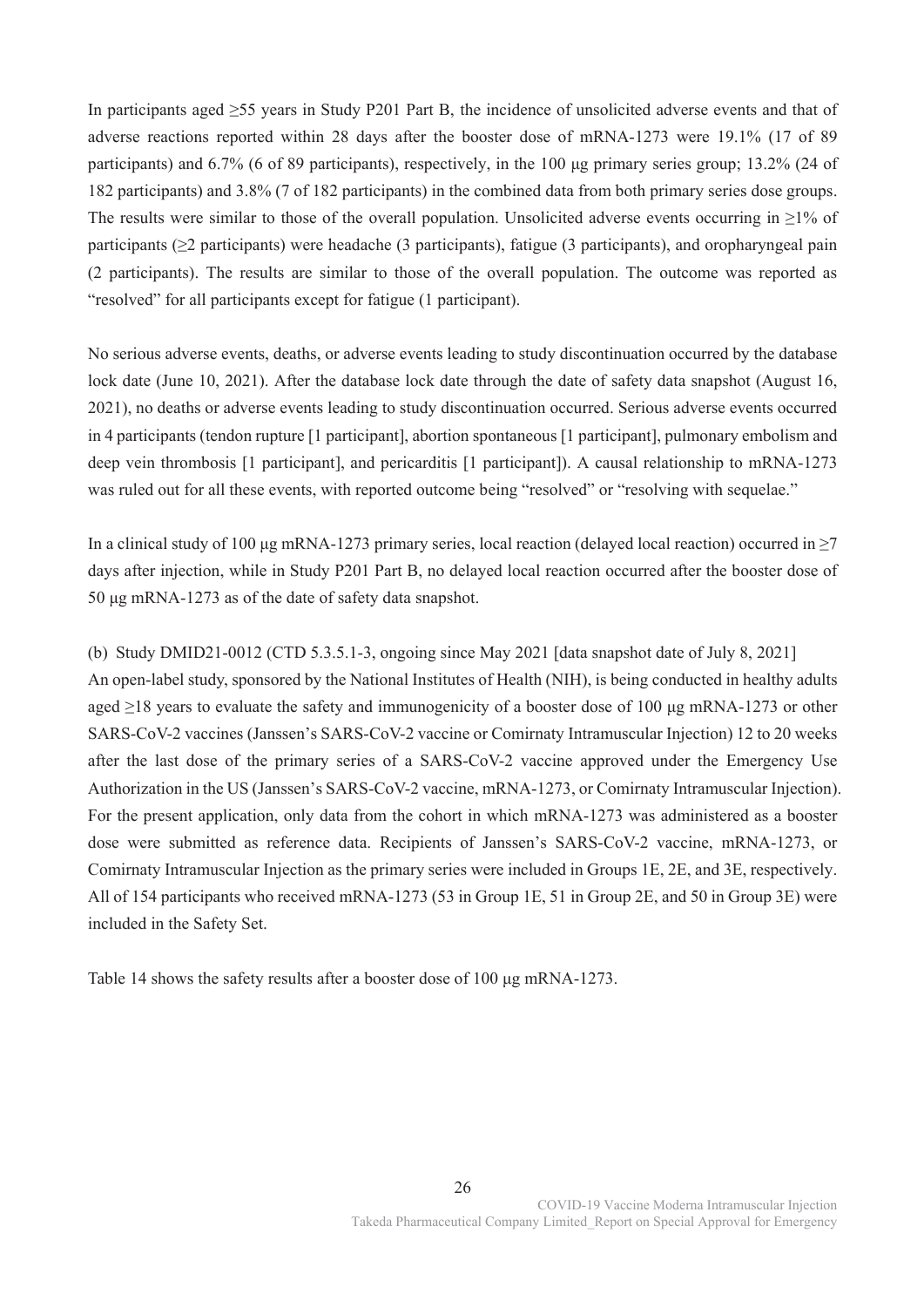In participants aged ≥55 years in Study P201 Part B, the incidence of unsolicited adverse events and that of adverse reactions reported within 28 days after the booster dose of mRNA-1273 were 19.1% (17 of 89 participants) and 6.7% (6 of 89 participants), respectively, in the 100 μg primary series group; 13.2% (24 of 182 participants) and 3.8% (7 of 182 participants) in the combined data from both primary series dose groups. The results were similar to those of the overall population. Unsolicited adverse events occurring in  $\geq$ 1% of participants (≥2 participants) were headache (3 participants), fatigue (3 participants), and oropharyngeal pain (2 participants). The results are similar to those of the overall population. The outcome was reported as "resolved" for all participants except for fatigue (1 participant).

No serious adverse events, deaths, or adverse events leading to study discontinuation occurred by the database lock date (June 10, 2021). After the database lock date through the date of safety data snapshot (August 16, 2021), no deaths or adverse events leading to study discontinuation occurred. Serious adverse events occurred in 4 participants (tendon rupture [1 participant], abortion spontaneous [1 participant], pulmonary embolism and deep vein thrombosis [1 participant], and pericarditis [1 participant]). A causal relationship to mRNA-1273 was ruled out for all these events, with reported outcome being "resolved" or "resolving with sequelae."

In a clinical study of 100 μg mRNA-1273 primary series, local reaction (delayed local reaction) occurred in ≥7 days after injection, while in Study P201 Part B, no delayed local reaction occurred after the booster dose of 50 μg mRNA-1273 as of the date of safety data snapshot.

(b) Study DMID21-0012 (CTD 5.3.5.1-3, ongoing since May 2021 [data snapshot date of July 8, 2021] An open-label study, sponsored by the National Institutes of Health (NIH), is being conducted in healthy adults aged ≥18 years to evaluate the safety and immunogenicity of a booster dose of 100 μg mRNA-1273 or other SARS-CoV-2 vaccines (Janssen's SARS-CoV-2 vaccine or Comirnaty Intramuscular Injection) 12 to 20 weeks after the last dose of the primary series of a SARS-CoV-2 vaccine approved under the Emergency Use Authorization in the US (Janssen's SARS-CoV-2 vaccine, mRNA-1273, or Comirnaty Intramuscular Injection). For the present application, only data from the cohort in which mRNA-1273 was administered as a booster dose were submitted as reference data. Recipients of Janssen's SARS-CoV-2 vaccine, mRNA-1273, or Comirnaty Intramuscular Injection as the primary series were included in Groups 1E, 2E, and 3E, respectively. All of 154 participants who received mRNA-1273 (53 in Group 1E, 51 in Group 2E, and 50 in Group 3E) were included in the Safety Set.

Table 14 shows the safety results after a booster dose of 100 μg mRNA-1273.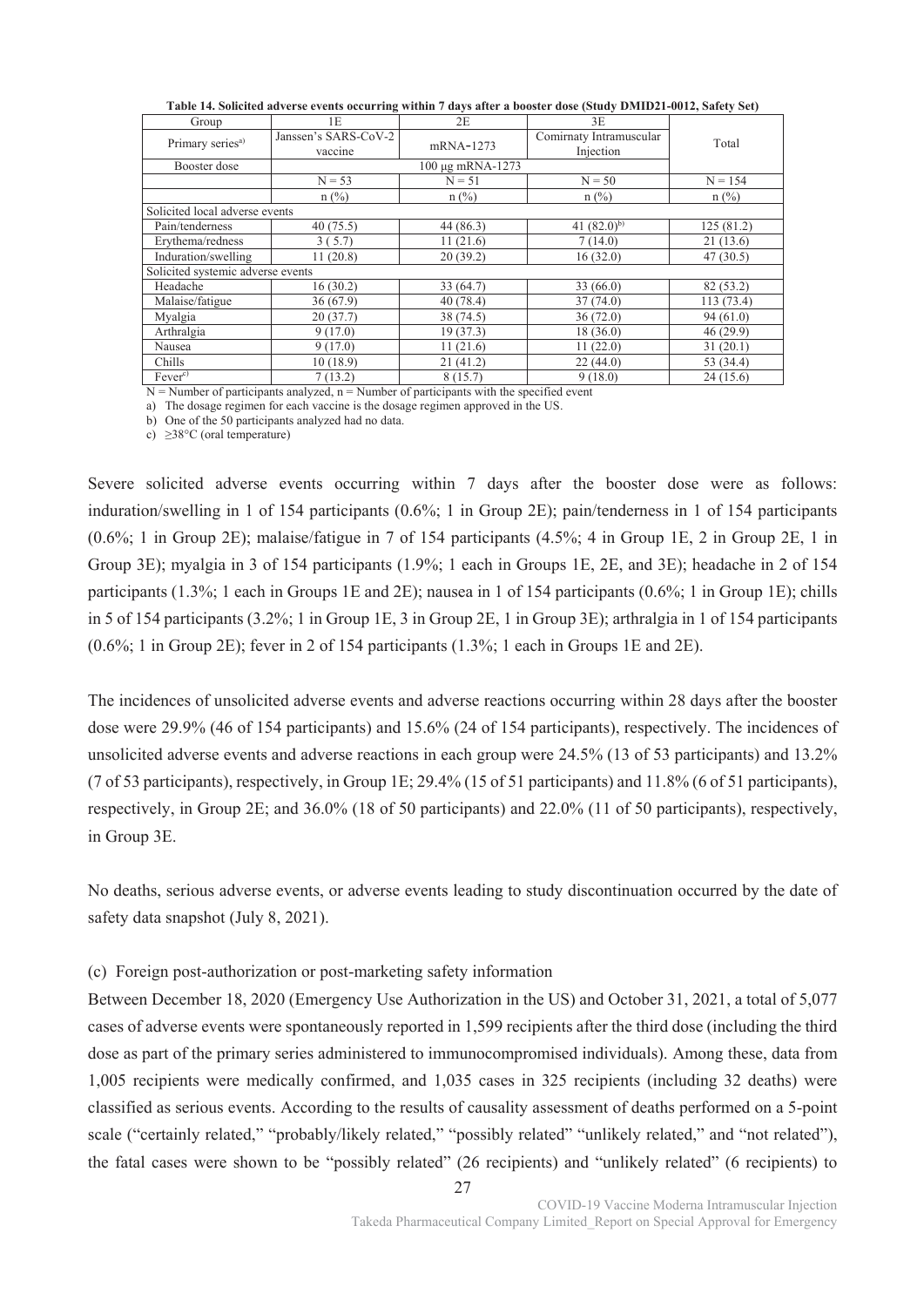| Group                             | 1E                              | 2E               | 3E                                   |            |
|-----------------------------------|---------------------------------|------------------|--------------------------------------|------------|
| Primary series <sup>a)</sup>      | Janssen's SARS-CoV-2<br>vaccine | mRNA-1273        | Comirnaty Intramuscular<br>Injection | Total      |
| Booster dose                      |                                 | 100 μg mRNA-1273 |                                      |            |
|                                   | $N = 53$                        | $N = 51$         | $N = 50$                             | $N = 154$  |
|                                   | $n$ (%)                         | $n$ (%)          | $n$ (%)                              | $n$ (%)    |
| Solicited local adverse events    |                                 |                  |                                      |            |
| Pain/tenderness                   | 40(75.5)                        | 44 (86.3)        | 41 $(82.0)^{b}$                      | 125(81.2)  |
| Erythema/redness                  | 3(5.7)                          | 11(21.6)         | 7(14.0)                              | 21(13.6)   |
| Induration/swelling               | 11(20.8)                        | 20(39.2)         | 16(32.0)                             | 47(30.5)   |
| Solicited systemic adverse events |                                 |                  |                                      |            |
| Headache                          | 16(30.2)                        | 33 (64.7)        | 33(66.0)                             | 82 (53.2)  |
| Malaise/fatigue                   | 36(67.9)                        | 40(78.4)         | 37(74.0)                             | 113 (73.4) |
| Myalgia                           | 20(37.7)                        | 38 (74.5)        | 36(72.0)                             | 94(61.0)   |
| Arthralgia                        | 9(17.0)                         | 19(37.3)         | 18 (36.0)                            | 46(29.9)   |
| Nausea                            | 9(17.0)                         | 11(21.6)         | 11(22.0)                             | 31(20.1)   |
| Chills                            | 10(18.9)                        | 21(41.2)         | 22(44.0)                             | 53 (34.4)  |
| Fever <sup>c</sup>                | 7(13.2)                         | 8(15.7)          | 9(18.0)                              | 24(15.6)   |

**Table 14. Solicited adverse events occurring within 7 days after a booster dose (Study DMID21-0012, Safety Set)** 

 $N =$  Number of participants analyzed,  $n =$  Number of participants with the specified event

a) The dosage regimen for each vaccine is the dosage regimen approved in the US.

b) One of the 50 participants analyzed had no data.

c)  $\geq$ 38°C (oral temperature)

Severe solicited adverse events occurring within 7 days after the booster dose were as follows: induration/swelling in 1 of 154 participants (0.6%; 1 in Group 2E); pain/tenderness in 1 of 154 participants (0.6%; 1 in Group 2E); malaise/fatigue in 7 of 154 participants (4.5%; 4 in Group 1E, 2 in Group 2E, 1 in Group 3E); myalgia in 3 of 154 participants (1.9%; 1 each in Groups 1E, 2E, and 3E); headache in 2 of 154 participants (1.3%; 1 each in Groups 1E and 2E); nausea in 1 of 154 participants (0.6%; 1 in Group 1E); chills in 5 of 154 participants (3.2%; 1 in Group 1E, 3 in Group 2E, 1 in Group 3E); arthralgia in 1 of 154 participants (0.6%; 1 in Group 2E); fever in 2 of 154 participants (1.3%; 1 each in Groups 1E and 2E).

The incidences of unsolicited adverse events and adverse reactions occurring within 28 days after the booster dose were 29.9% (46 of 154 participants) and 15.6% (24 of 154 participants), respectively. The incidences of unsolicited adverse events and adverse reactions in each group were 24.5% (13 of 53 participants) and 13.2% (7 of 53 participants), respectively, in Group 1E; 29.4% (15 of 51 participants) and 11.8% (6 of 51 participants), respectively, in Group 2E; and 36.0% (18 of 50 participants) and 22.0% (11 of 50 participants), respectively, in Group 3E.

No deaths, serious adverse events, or adverse events leading to study discontinuation occurred by the date of safety data snapshot (July 8, 2021).

# (c) Foreign post-authorization or post-marketing safety information

Between December 18, 2020 (Emergency Use Authorization in the US) and October 31, 2021, a total of 5,077 cases of adverse events were spontaneously reported in 1,599 recipients after the third dose (including the third dose as part of the primary series administered to immunocompromised individuals). Among these, data from 1,005 recipients were medically confirmed, and 1,035 cases in 325 recipients (including 32 deaths) were classified as serious events. According to the results of causality assessment of deaths performed on a 5-point scale ("certainly related," "probably/likely related," "possibly related" "unlikely related," and "not related"), the fatal cases were shown to be "possibly related" (26 recipients) and "unlikely related" (6 recipients) to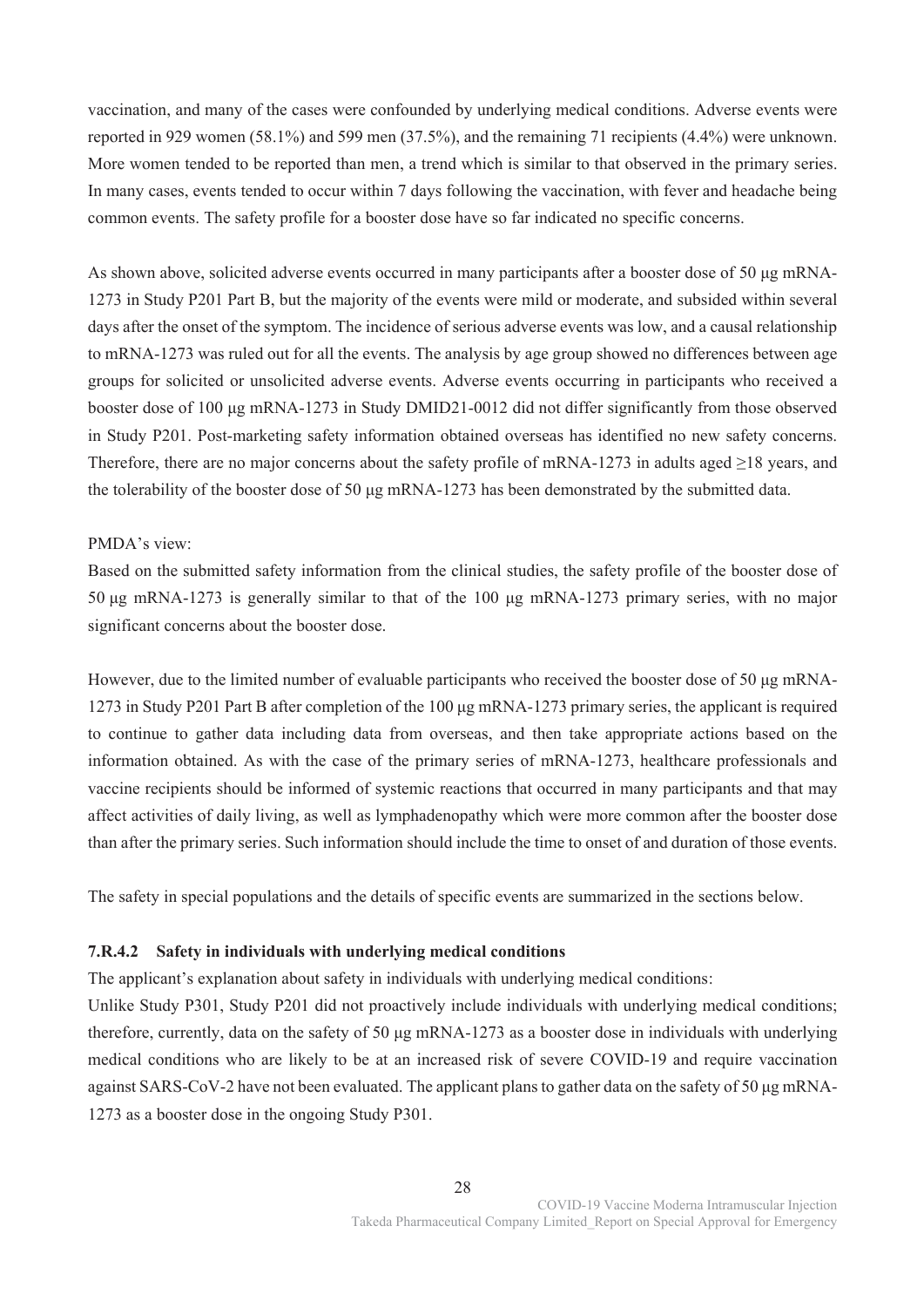vaccination, and many of the cases were confounded by underlying medical conditions. Adverse events were reported in 929 women (58.1%) and 599 men (37.5%), and the remaining 71 recipients (4.4%) were unknown. More women tended to be reported than men, a trend which is similar to that observed in the primary series. In many cases, events tended to occur within 7 days following the vaccination, with fever and headache being common events. The safety profile for a booster dose have so far indicated no specific concerns.

As shown above, solicited adverse events occurred in many participants after a booster dose of 50 μg mRNA-1273 in Study P201 Part B, but the majority of the events were mild or moderate, and subsided within several days after the onset of the symptom. The incidence of serious adverse events was low, and a causal relationship to mRNA-1273 was ruled out for all the events. The analysis by age group showed no differences between age groups for solicited or unsolicited adverse events. Adverse events occurring in participants who received a booster dose of 100 μg mRNA-1273 in Study DMID21-0012 did not differ significantly from those observed in Study P201. Post-marketing safety information obtained overseas has identified no new safety concerns. Therefore, there are no major concerns about the safety profile of mRNA-1273 in adults aged ≥18 years, and the tolerability of the booster dose of 50 μg mRNA-1273 has been demonstrated by the submitted data.

### PMDA's view:

Based on the submitted safety information from the clinical studies, the safety profile of the booster dose of 50 μg mRNA-1273 is generally similar to that of the 100 μg mRNA-1273 primary series, with no major significant concerns about the booster dose.

However, due to the limited number of evaluable participants who received the booster dose of 50 μg mRNA-1273 in Study P201 Part B after completion of the 100 μg mRNA-1273 primary series, the applicant is required to continue to gather data including data from overseas, and then take appropriate actions based on the information obtained. As with the case of the primary series of mRNA-1273, healthcare professionals and vaccine recipients should be informed of systemic reactions that occurred in many participants and that may affect activities of daily living, as well as lymphadenopathy which were more common after the booster dose than after the primary series. Such information should include the time to onset of and duration of those events.

The safety in special populations and the details of specific events are summarized in the sections below.

# **7.R.4.2 Safety in individuals with underlying medical conditions**

The applicant's explanation about safety in individuals with underlying medical conditions:

Unlike Study P301, Study P201 did not proactively include individuals with underlying medical conditions; therefore, currently, data on the safety of 50 μg mRNA-1273 as a booster dose in individuals with underlying medical conditions who are likely to be at an increased risk of severe COVID-19 and require vaccination against SARS-CoV-2 have not been evaluated. The applicant plans to gather data on the safety of 50 μg mRNA-1273 as a booster dose in the ongoing Study P301.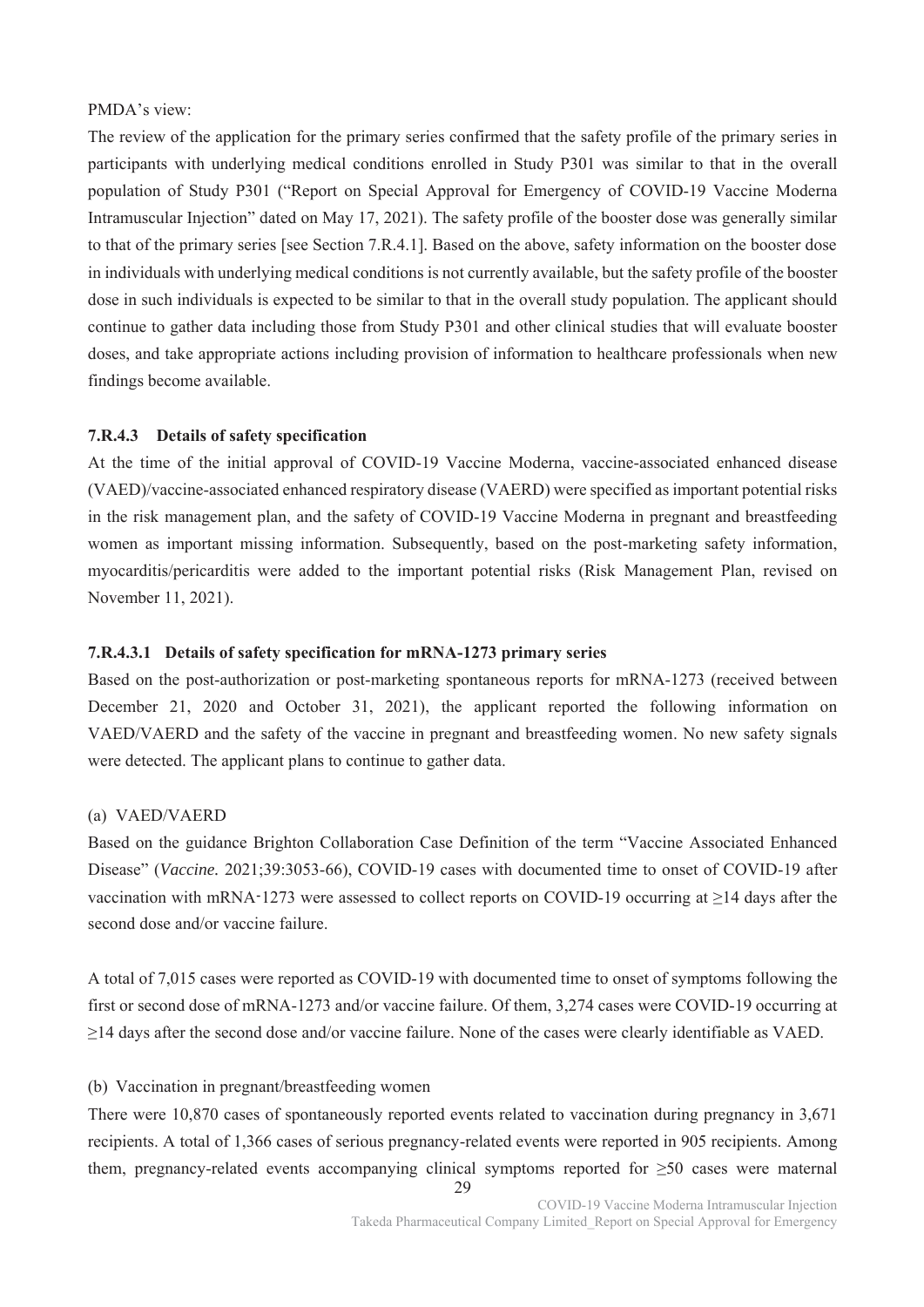# PMDA's view:

The review of the application for the primary series confirmed that the safety profile of the primary series in participants with underlying medical conditions enrolled in Study P301 was similar to that in the overall population of Study P301 ("Report on Special Approval for Emergency of COVID-19 Vaccine Moderna Intramuscular Injection" dated on May 17, 2021). The safety profile of the booster dose was generally similar to that of the primary series [see Section 7.R.4.1]. Based on the above, safety information on the booster dose in individuals with underlying medical conditions is not currently available, but the safety profile of the booster dose in such individuals is expected to be similar to that in the overall study population. The applicant should continue to gather data including those from Study P301 and other clinical studies that will evaluate booster doses, and take appropriate actions including provision of information to healthcare professionals when new findings become available.

### **7.R.4.3 Details of safety specification**

At the time of the initial approval of COVID-19 Vaccine Moderna, vaccine-associated enhanced disease (VAED)/vaccine-associated enhanced respiratory disease (VAERD) were specified as important potential risks in the risk management plan, and the safety of COVID-19 Vaccine Moderna in pregnant and breastfeeding women as important missing information. Subsequently, based on the post-marketing safety information, myocarditis/pericarditis were added to the important potential risks (Risk Management Plan, revised on November 11, 2021).

## **7.R.4.3.1 Details of safety specification for mRNA-1273 primary series**

Based on the post-authorization or post-marketing spontaneous reports for mRNA-1273 (received between December 21, 2020 and October 31, 2021), the applicant reported the following information on VAED/VAERD and the safety of the vaccine in pregnant and breastfeeding women. No new safety signals were detected. The applicant plans to continue to gather data.

#### (a) VAED/VAERD

Based on the guidance Brighton Collaboration Case Definition of the term "Vaccine Associated Enhanced Disease" (*Vaccine.* 2021;39:3053-66), COVID-19 cases with documented time to onset of COVID-19 after vaccination with mRNA-1273 were assessed to collect reports on COVID-19 occurring at  $\geq$ 14 days after the second dose and/or vaccine failure.

A total of 7,015 cases were reported as COVID-19 with documented time to onset of symptoms following the first or second dose of mRNA-1273 and/or vaccine failure. Of them, 3,274 cases were COVID-19 occurring at ≥14 days after the second dose and/or vaccine failure. None of the cases were clearly identifiable as VAED.

## (b) Vaccination in pregnant/breastfeeding women

There were 10,870 cases of spontaneously reported events related to vaccination during pregnancy in 3,671 recipients. A total of 1,366 cases of serious pregnancy-related events were reported in 905 recipients. Among them, pregnancy-related events accompanying clinical symptoms reported for ≥50 cases were maternal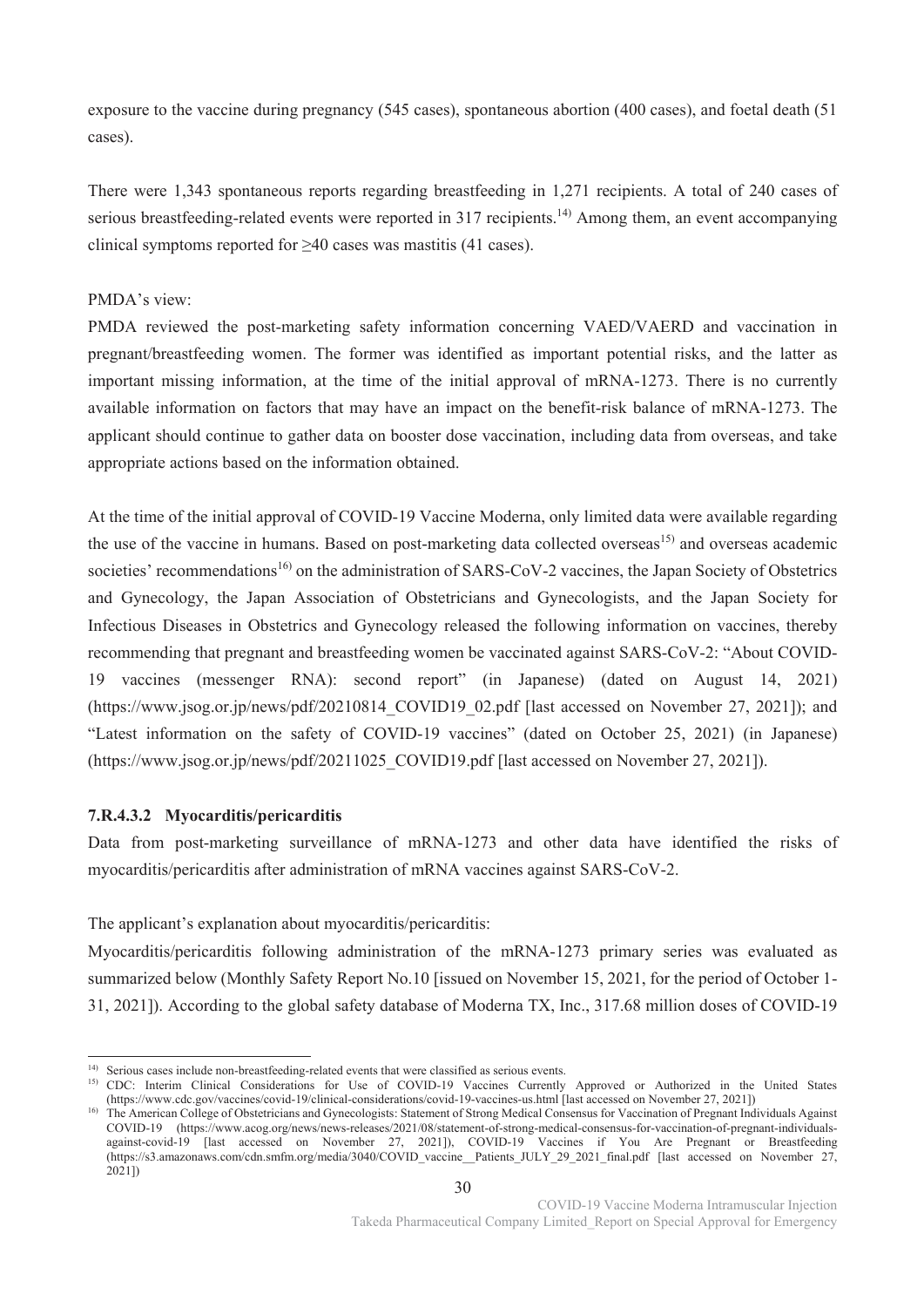exposure to the vaccine during pregnancy (545 cases), spontaneous abortion (400 cases), and foetal death (51 cases).

There were 1,343 spontaneous reports regarding breastfeeding in 1,271 recipients. A total of 240 cases of serious breastfeeding-related events were reported in 317 recipients.<sup>14)</sup> Among them, an event accompanying clinical symptoms reported for ≥40 cases was mastitis (41 cases).

### PMDA's view:

PMDA reviewed the post-marketing safety information concerning VAED/VAERD and vaccination in pregnant/breastfeeding women. The former was identified as important potential risks, and the latter as important missing information, at the time of the initial approval of mRNA-1273. There is no currently available information on factors that may have an impact on the benefit-risk balance of mRNA-1273. The applicant should continue to gather data on booster dose vaccination, including data from overseas, and take appropriate actions based on the information obtained.

At the time of the initial approval of COVID-19 Vaccine Moderna, only limited data were available regarding the use of the vaccine in humans. Based on post-marketing data collected overseas<sup>15)</sup> and overseas academic societies' recommendations<sup>16)</sup> on the administration of SARS-CoV-2 vaccines, the Japan Society of Obstetrics and Gynecology, the Japan Association of Obstetricians and Gynecologists, and the Japan Society for Infectious Diseases in Obstetrics and Gynecology released the following information on vaccines, thereby recommending that pregnant and breastfeeding women be vaccinated against SARS-CoV-2: "About COVID-19 vaccines (messenger RNA): second report" (in Japanese) (dated on August 14, 2021) (https://www.jsog.or.jp/news/pdf/20210814\_COVID19\_02.pdf [last accessed on November 27, 2021]); and "Latest information on the safety of COVID-19 vaccines" (dated on October 25, 2021) (in Japanese) (https://www.jsog.or.jp/news/pdf/20211025\_COVID19.pdf [last accessed on November 27, 2021]).

### **7.R.4.3.2 Myocarditis/pericarditis**

.

Data from post-marketing surveillance of mRNA-1273 and other data have identified the risks of myocarditis/pericarditis after administration of mRNA vaccines against SARS-CoV-2.

The applicant's explanation about myocarditis/pericarditis:

Myocarditis/pericarditis following administration of the mRNA-1273 primary series was evaluated as summarized below (Monthly Safety Report No.10 [issued on November 15, 2021, for the period of October 1- 31, 2021]). According to the global safety database of Moderna TX, Inc., 317.68 million doses of COVID-19

<sup>&</sup>lt;sup>14)</sup> Serious cases include non-breastfeeding-related events that were classified as serious events.

<sup>&</sup>lt;sup>15)</sup> CDC: Interim Clinical Considerations for Use of COVID-19 Vaccines Currently Approved or Authorized in the United States (https://www.cdc.gov/vaccines/covid-19/clinical-considerations/covid-19-vaccines-us.html [last accessed on November 27, 2021])

<sup>&</sup>lt;sup>16)</sup> The American College of Obstetricians and Gynecologists: Statement of Strong Medical Consensus for Vaccination of Pregnant Individuals Against COVID-19 (https://www.acog.org/news/news-releases/2021/08/statement-of-strong-medical-consensus-for-vaccination-of-pregnant-individualsagainst-covid-19 [last accessed on November 27, 2021]), COVID-19 Vaccines if You Are Pregnant or Breastfeeding (https://s3.amazonaws.com/cdn.smfm.org/media/3040/COVID\_vaccine\_\_Patients\_JULY\_29\_2021\_final.pdf [last accessed on November 27, 2021])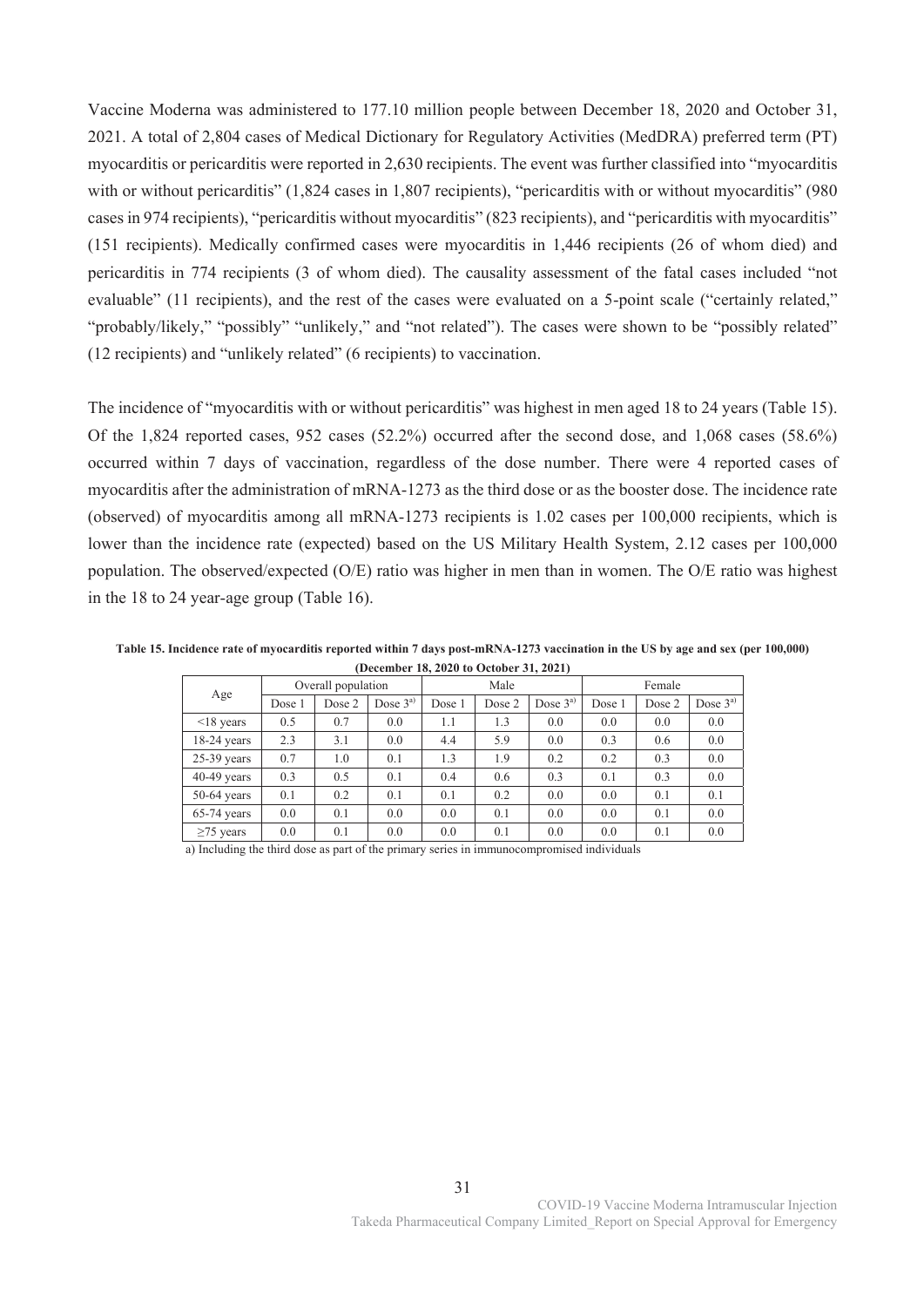Vaccine Moderna was administered to 177.10 million people between December 18, 2020 and October 31, 2021. A total of 2,804 cases of Medical Dictionary for Regulatory Activities (MedDRA) preferred term (PT) myocarditis or pericarditis were reported in 2,630 recipients. The event was further classified into "myocarditis with or without pericarditis" (1,824 cases in 1,807 recipients), "pericarditis with or without myocarditis" (980 cases in 974 recipients), "pericarditis without myocarditis" (823 recipients), and "pericarditis with myocarditis" (151 recipients). Medically confirmed cases were myocarditis in 1,446 recipients (26 of whom died) and pericarditis in 774 recipients (3 of whom died). The causality assessment of the fatal cases included "not evaluable" (11 recipients), and the rest of the cases were evaluated on a 5-point scale ("certainly related," "probably/likely," "possibly" "unlikely," and "not related"). The cases were shown to be "possibly related" (12 recipients) and "unlikely related" (6 recipients) to vaccination.

The incidence of "myocarditis with or without pericarditis" was highest in men aged 18 to 24 years (Table 15). Of the 1,824 reported cases, 952 cases (52.2%) occurred after the second dose, and 1,068 cases (58.6%) occurred within 7 days of vaccination, regardless of the dose number. There were 4 reported cases of myocarditis after the administration of mRNA-1273 as the third dose or as the booster dose. The incidence rate (observed) of myocarditis among all mRNA-1273 recipients is 1.02 cases per 100,000 recipients, which is lower than the incidence rate (expected) based on the US Military Health System, 2.12 cases per 100,000 population. The observed/expected (O/E) ratio was higher in men than in women. The O/E ratio was highest in the 18 to 24 year-age group (Table 16).

**Table 15. Incidence rate of myocarditis reported within 7 days post-mRNA-1273 vaccination in the US by age and sex (per 100,000) (December 18, 2020 to October 31, 2021)** 

|                 |        | Overall population |           |        | Male   |           |        | Female |           |
|-----------------|--------|--------------------|-----------|--------|--------|-----------|--------|--------|-----------|
| Age             | Dose 1 | Dose 2             | Dose $3a$ | Dose 1 | Dose 2 | Dose $3a$ | Dose 1 | Dose 2 | Dose $3a$ |
| $\leq$ 18 years | 0.5    | 0.7                | 0.0       | 1.1    | 1.3    | 0.0       | 0.0    | 0.0    | 0.0       |
| $18-24$ years   | 2.3    | 3.1                | 0.0       | 4.4    | 5.9    | 0.0       | 0.3    | 0.6    | 0.0       |
| $25-39$ years   | 0.7    | 1.0                | 0.1       | 1.3    | 1.9    | 0.2       | 0.2    | 0.3    | 0.0       |
| $40-49$ years   | 0.3    | 0.5                | 0.1       | 0.4    | 0.6    | 0.3       | 0.1    | 0.3    | 0.0       |
| $50-64$ years   | 0.1    | 0.2                | 0.1       | 0.1    | 0.2    | 0.0       | 0.0    | 0.1    | 0.1       |
| $65-74$ years   | 0.0    | 0.1                | 0.0       | 0.0    | 0.1    | 0.0       | 0.0    | 0.1    | 0.0       |
| $\geq$ 75 years | 0.0    | 0.1                | 0.0       | 0.0    | 0.1    | 0.0       | 0.0    | 0.1    | 0.0       |
| .               |        |                    |           |        |        |           |        |        |           |

a) Including the third dose as part of the primary series in immunocompromised individuals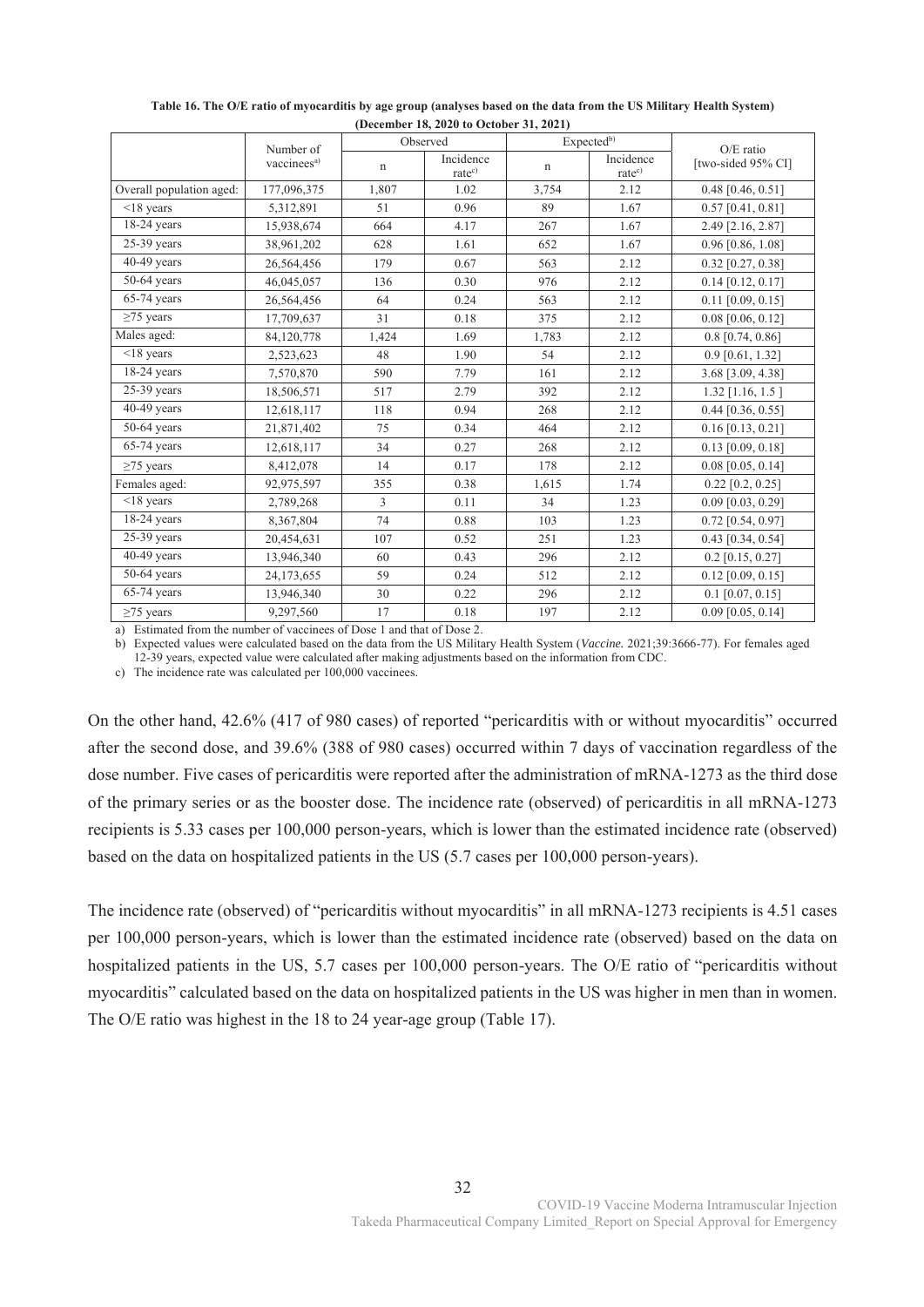|                           |                                      |             | $D_{V}$<br>Observed             |             | Expected <sup>b)</sup>          |                                 |
|---------------------------|--------------------------------------|-------------|---------------------------------|-------------|---------------------------------|---------------------------------|
|                           | Number of<br>vaccinees <sup>a)</sup> | $\mathbf n$ | Incidence<br>rate <sup>c)</sup> | $\mathbf n$ | Incidence<br>rate <sup>c)</sup> | O/E ratio<br>[two-sided 95% CI] |
| Overall population aged:  | 177,096,375                          | 1,807       | 1.02                            | 3,754       | 2.12                            | $0.48$ [0.46, 0.51]             |
| $<$ 18 years              | 5,312,891                            | 51          | 0.96                            | 89          | 1.67                            | $0.57$ [0.41, 0.81]             |
| $18-24$ years             | 15,938,674                           | 664         | 4.17                            | 267         | 1.67                            | 2.49 [2.16, 2.87]               |
| $25-39$ years             | 38,961,202                           | 628         | 1.61                            | 652         | 1.67                            | $0.96$ [0.86, 1.08]             |
| $40-49$ years             | 26,564,456                           | 179         | 0.67                            | 563         | 2.12                            | $0.32$ [0.27, 0.38]             |
| $50-64$ years             | 46,045,057                           | 136         | 0.30                            | 976         | 2.12                            | $0.14$ [0.12, 0.17]             |
| $65-74$ years             | 26,564,456                           | 64          | 0.24                            | 563         | 2.12                            | $0.11$ [0.09, 0.15]             |
| $\geq$ 75 years           | 17,709,637                           | 31          | 0.18                            | 375         | 2.12                            | $0.08$ [0.06, 0.12]             |
| Males aged:               | 84,120,778                           | 1,424       | 1.69                            | 1,783       | 2.12                            | $0.8$ [0.74, 0.86]              |
| $<$ 18 years              | 2,523,623                            | 48          | 1.90                            | 54          | 2.12                            | $0.9$ [0.61, 1.32]              |
| $18-24$ years             | 7,570,870                            | 590         | 7.79                            | 161         | 2.12                            | 3.68 [3.09, 4.38]               |
| $25-39$ years             | 18,506,571                           | 517         | 2.79                            | 392         | 2.12                            | $1.32$ [1.16, 1.5]              |
| $40-49$ years             | 12,618,117                           | 118         | 0.94                            | 268         | 2.12                            | $0.44$ [0.36, 0.55]             |
| $50-64$ years             | 21,871,402                           | 75          | 0.34                            | 464         | 2.12                            | $0.16$ [0.13, 0.21]             |
| $\overline{65}$ -74 years | 12,618,117                           | 34          | 0.27                            | 268         | 2.12                            | $0.13$ [0.09, 0.18]             |
| $\geq$ 75 years           | 8,412,078                            | 14          | 0.17                            | 178         | 2.12                            | $0.08$ [0.05, 0.14]             |
| Females aged:             | 92,975,597                           | 355         | 0.38                            | 1,615       | 1.74                            | $0.22$ [0.2, 0.25]              |
| $<$ 18 years              | 2,789,268                            | 3           | 0.11                            | 34          | 1.23                            | $0.09$ [0.03, 0.29]             |
| $18-24$ years             | 8,367,804                            | 74          | 0.88                            | 103         | 1.23                            | $0.72$ [0.54, 0.97]             |
| $25-39$ years             | 20,454,631                           | 107         | 0.52                            | 251         | 1.23                            | $0.43$ [0.34, 0.54]             |
| $40-49$ years             | 13,946,340                           | 60          | 0.43                            | 296         | 2.12                            | $0.2$ [0.15, 0.27]              |
| $50-64$ years             | 24,173,655                           | 59          | 0.24                            | 512         | 2.12                            | $0.12$ [0.09, 0.15]             |
| 65-74 years               | 13,946,340                           | 30          | 0.22                            | 296         | 2.12                            | $0.1$ [0.07, 0.15]              |
| $\geq$ 75 years           | 9,297,560                            | 17          | 0.18                            | 197         | 2.12                            | $0.09$ [0.05, 0.14]             |

**Table 16. The O/E ratio of myocarditis by age group (analyses based on the data from the US Military Health System) (December 18, 2020 to October 31, 2021)** 

a) Estimated from the number of vaccinees of Dose 1 and that of Dose 2.

b) Expected values were calculated based on the data from the US Military Health System (*Vaccine.* 2021;39:3666-77). For females aged 12-39 years, expected value were calculated after making adjustments based on the information from CDC.

c) The incidence rate was calculated per 100,000 vaccinees.

On the other hand, 42.6% (417 of 980 cases) of reported "pericarditis with or without myocarditis" occurred after the second dose, and 39.6% (388 of 980 cases) occurred within 7 days of vaccination regardless of the dose number. Five cases of pericarditis were reported after the administration of mRNA-1273 as the third dose of the primary series or as the booster dose. The incidence rate (observed) of pericarditis in all mRNA-1273 recipients is 5.33 cases per 100,000 person-years, which is lower than the estimated incidence rate (observed) based on the data on hospitalized patients in the US (5.7 cases per 100,000 person-years).

The incidence rate (observed) of "pericarditis without myocarditis" in all mRNA-1273 recipients is 4.51 cases per 100,000 person-years, which is lower than the estimated incidence rate (observed) based on the data on hospitalized patients in the US, 5.7 cases per 100,000 person-years. The O/E ratio of "pericarditis without myocarditis" calculated based on the data on hospitalized patients in the US was higher in men than in women. The O/E ratio was highest in the 18 to 24 year-age group (Table 17).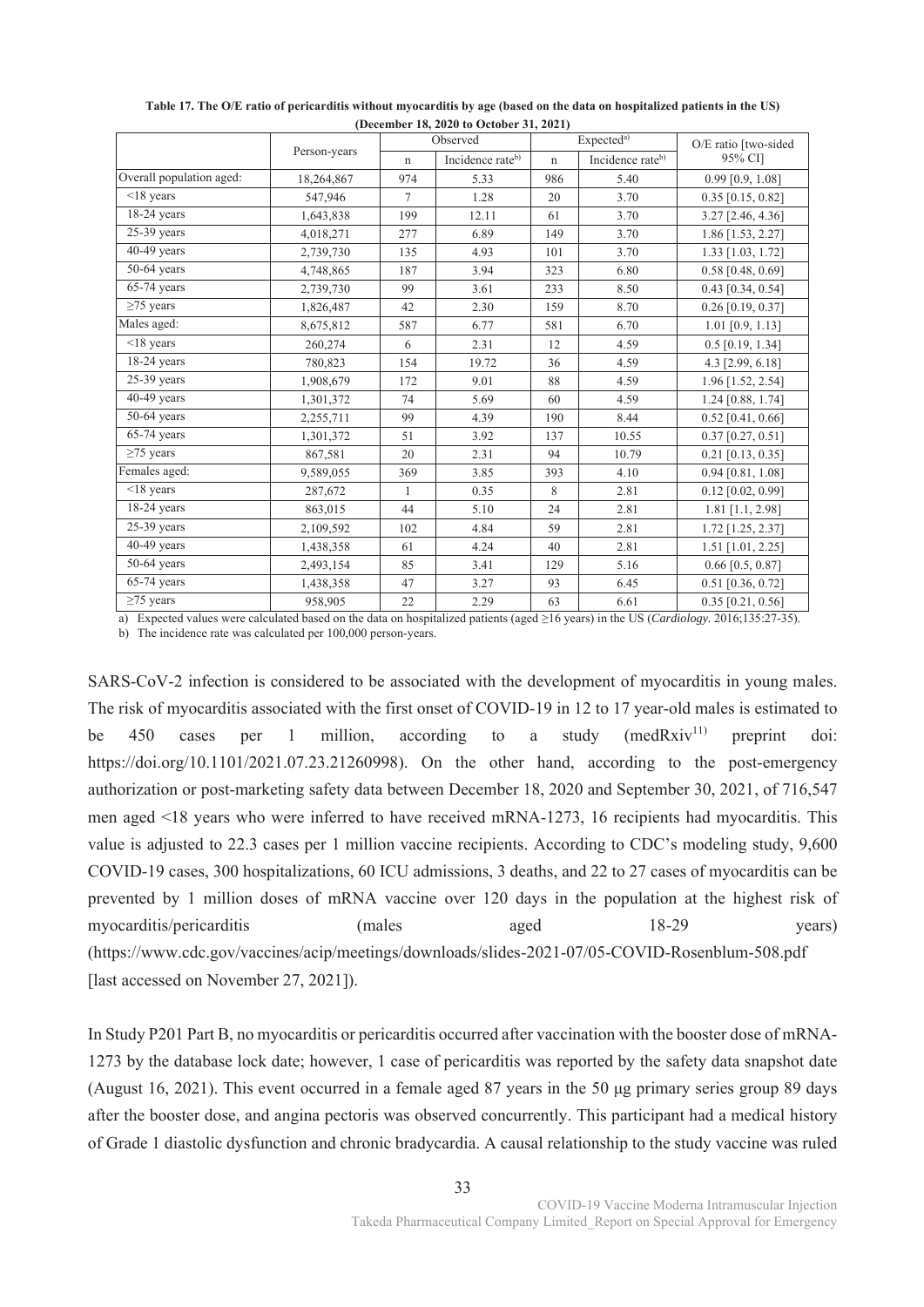|                          | $10,00001$ $10,0000$ to October 91, $2001$ | O/E ratio [two-sided |                              |             |                                            |                     |
|--------------------------|--------------------------------------------|----------------------|------------------------------|-------------|--------------------------------------------|---------------------|
|                          | Person-years                               | $\mathbf n$          | Observed<br>Incidence rateb) | $\mathbf n$ | Expected <sup>a)</sup><br>Incidence rateb) | 95% CI]             |
| Overall population aged: | 18,264,867                                 | 974                  | 5.33                         | 986         | 5.40                                       | $0.99$ [0.9, 1.08]  |
| $\overline{18}$ years    | 547,946                                    | $\tau$               | 1.28                         | 20          | 3.70                                       | $0.35$ [0.15, 0.82] |
| $18-24$ years            | 1,643,838                                  | 199                  | 12.11                        | 61          | 3.70                                       | 3.27 [2.46, 4.36]   |
| $25-39$ years            | 4,018,271                                  | 277                  | 6.89                         | 149         | 3.70                                       | 1.86 [1.53, 2.27]   |
| 40-49 years              | 2,739,730                                  | 135                  | 4.93                         | 101         | 3.70                                       | 1.33 [1.03, 1.72]   |
| $50-64$ years            | 4,748,865                                  | 187                  | 3.94                         | 323         | 6.80                                       | $0.58$ [0.48, 0.69] |
| 65-74 years              | 2,739,730                                  | 99                   | 3.61                         | 233         | 8.50                                       | $0.43$ [0.34, 0.54] |
| $\geq$ 75 years          | 1,826,487                                  | 42                   | 2.30                         | 159         | 8.70                                       | $0.26$ [0.19, 0.37] |
| Males aged:              | 8,675,812                                  | 587                  | 6.77                         | 581         | 6.70                                       | $1.01$ [0.9, 1.13]  |
| $<$ 18 years             | 260,274                                    | 6                    | 2.31                         | 12          | 4.59                                       | $0.5$ [0.19, 1.34]  |
| $18-24$ years            | 780,823                                    | 154                  | 19.72                        | 36          | 4.59                                       | 4.3 [2.99, 6.18]    |
| $25-39$ years            | 1,908,679                                  | 172                  | 9.01                         | 88          | 4.59                                       | 1.96 [1.52, 2.54]   |
| $40-49$ years            | 1,301,372                                  | 74                   | 5.69                         | 60          | 4.59                                       | 1.24 [0.88, 1.74]   |
| $50-64$ years            | 2,255,711                                  | 99                   | 4.39                         | 190         | 8.44                                       | $0.52$ [0.41, 0.66] |
| $65-74$ years            | 1,301,372                                  | 51                   | 3.92                         | 137         | 10.55                                      | $0.37$ [0.27, 0.51] |
| $\geq$ 75 years          | 867,581                                    | 20                   | 2.31                         | 94          | 10.79                                      | $0.21$ [0.13, 0.35] |
| Females aged:            | 9,589,055                                  | 369                  | 3.85                         | 393         | 4.10                                       | $0.94$ [0.81, 1.08] |
| $<$ 18 years             | 287,672                                    | $\mathbf{1}$         | 0.35                         | 8           | 2.81                                       | $0.12$ [0.02, 0.99] |
| $18-24$ years            | 863,015                                    | 44                   | 5.10                         | 24          | 2.81                                       | $1.81$ [1.1, 2.98]  |
| $25-39$ years            | 2,109,592                                  | 102                  | 4.84                         | 59          | 2.81                                       | 1.72 [1.25, 2.37]   |
| $40-49$ years            | 1,438,358                                  | 61                   | 4.24                         | 40          | 2.81                                       | $1.51$ [1.01, 2.25] |
| $50-64$ years            | 2,493,154                                  | 85                   | 3.41                         | 129         | 5.16                                       | $0.66$ [0.5, 0.87]  |
| $65-74$ years            | 1,438,358                                  | 47                   | 3.27                         | 93          | 6.45                                       | $0.51$ [0.36, 0.72] |
| $\geq$ 75 years          | 958,905                                    | 22                   | 2.29                         | 63          | 6.61                                       | $0.35$ [0.21, 0.56] |

**Table 17. The O/E ratio of pericarditis without myocarditis by age (based on the data on hospitalized patients in the US) (December 18, 2020 to October 31, 2021)** 

a) Expected values were calculated based on the data on hospitalized patients (aged ≥16 years) in the US (*Cardiology.* 2016;135:27-35).

b) The incidence rate was calculated per 100,000 person-years.

SARS-CoV-2 infection is considered to be associated with the development of myocarditis in young males. The risk of myocarditis associated with the first onset of COVID-19 in 12 to 17 year-old males is estimated to be 450 cases per 1 million, according to a study  $(medRxiv^{11})$  preprint doi: https://doi.org/10.1101/2021.07.23.21260998). On the other hand, according to the post-emergency authorization or post-marketing safety data between December 18, 2020 and September 30, 2021, of 716,547 men aged <18 years who were inferred to have received mRNA-1273, 16 recipients had myocarditis. This value is adjusted to 22.3 cases per 1 million vaccine recipients. According to CDC's modeling study, 9,600 COVID-19 cases, 300 hospitalizations, 60 ICU admissions, 3 deaths, and 22 to 27 cases of myocarditis can be prevented by 1 million doses of mRNA vaccine over 120 days in the population at the highest risk of myocarditis/pericarditis (males aged 18-29 years) (https://www.cdc.gov/vaccines/acip/meetings/downloads/slides-2021-07/05-COVID-Rosenblum-508.pdf [last accessed on November 27, 2021]).

In Study P201 Part B, no myocarditis or pericarditis occurred after vaccination with the booster dose of mRNA-1273 by the database lock date; however, 1 case of pericarditis was reported by the safety data snapshot date (August 16, 2021). This event occurred in a female aged 87 years in the 50 μg primary series group 89 days after the booster dose, and angina pectoris was observed concurrently. This participant had a medical history of Grade 1 diastolic dysfunction and chronic bradycardia. A causal relationship to the study vaccine was ruled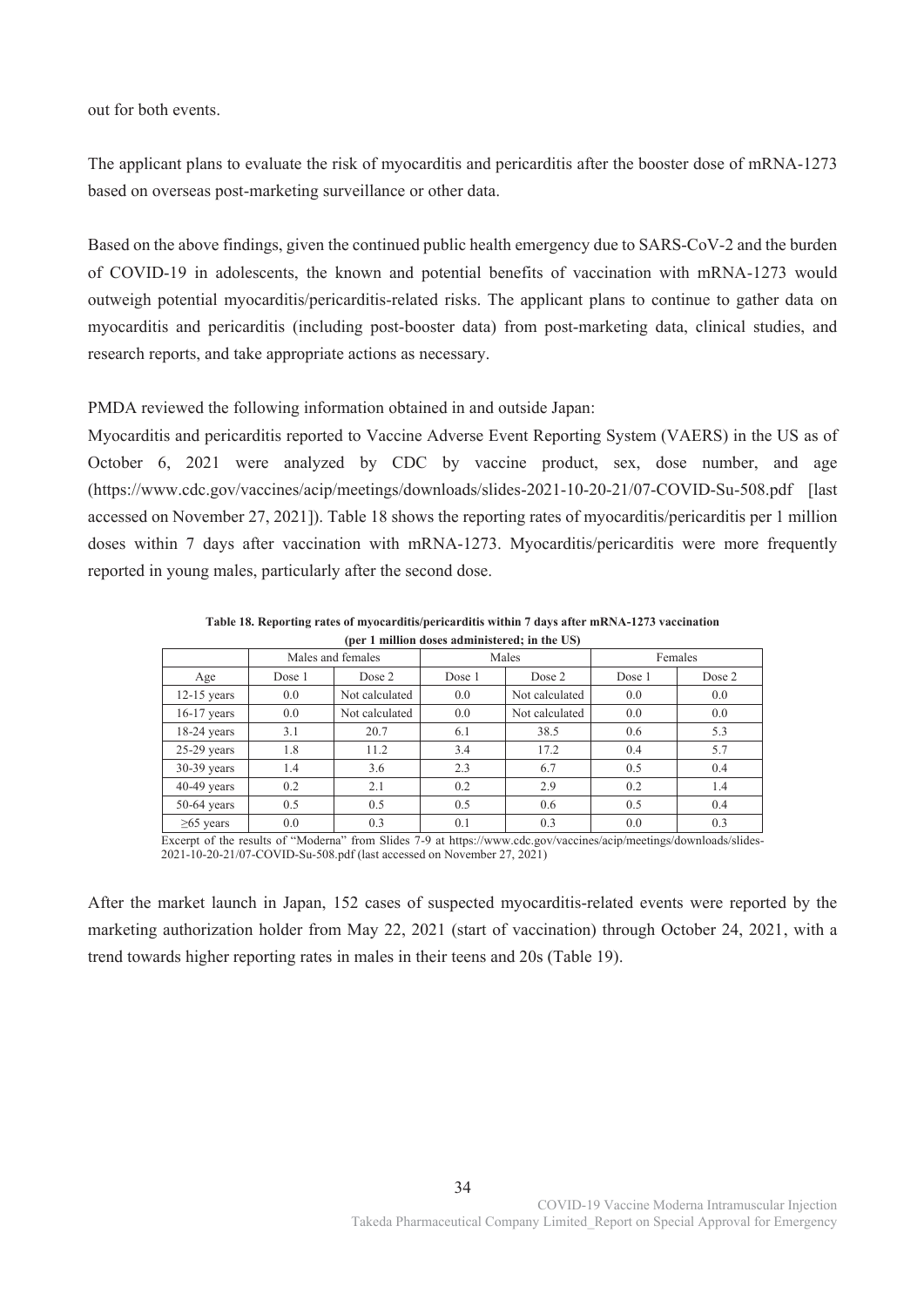out for both events.

The applicant plans to evaluate the risk of myocarditis and pericarditis after the booster dose of mRNA-1273 based on overseas post-marketing surveillance or other data.

Based on the above findings, given the continued public health emergency due to SARS-CoV-2 and the burden of COVID-19 in adolescents, the known and potential benefits of vaccination with mRNA-1273 would outweigh potential myocarditis/pericarditis-related risks. The applicant plans to continue to gather data on myocarditis and pericarditis (including post-booster data) from post-marketing data, clinical studies, and research reports, and take appropriate actions as necessary.

PMDA reviewed the following information obtained in and outside Japan:

Myocarditis and pericarditis reported to Vaccine Adverse Event Reporting System (VAERS) in the US as of October 6, 2021 were analyzed by CDC by vaccine product, sex, dose number, and age (https://www.cdc.gov/vaccines/acip/meetings/downloads/slides-2021-10-20-21/07-COVID-Su-508.pdf [last accessed on November 27, 2021]). Table 18 shows the reporting rates of myocarditis/pericarditis per 1 million doses within 7 days after vaccination with mRNA-1273. Myocarditis/pericarditis were more frequently reported in young males, particularly after the second dose.

| (per 1 million doses administered; in the US) |        |                   |        |                |        |         |  |  |
|-----------------------------------------------|--------|-------------------|--------|----------------|--------|---------|--|--|
|                                               |        | Males and females |        | Males          |        | Females |  |  |
| Age                                           | Dose 1 | Dose 2            | Dose 1 | Dose 2         | Dose 1 | Dose 2  |  |  |
| $12-15$ years                                 | 0.0    | Not calculated    | 0.0    | Not calculated | 0.0    | 0.0     |  |  |
| $16-17$ years                                 | 0.0    | Not calculated    | 0.0    | Not calculated | 0.0    | 0.0     |  |  |
| $18-24$ years                                 | 3.1    | 20.7              | 6.1    | 38.5           | 0.6    | 5.3     |  |  |
| $25-29$ years                                 | 1.8    | 11.2              | 3.4    | 17.2           | 0.4    | 5.7     |  |  |
| $30-39$ years                                 | 1.4    | 3.6               | 2.3    | 6.7            | 0.5    | 0.4     |  |  |
| $40-49$ years                                 | 0.2    | 2.1               | 0.2    | 2.9            | 0.2    | 1.4     |  |  |
| $50-64$ years                                 | 0.5    | 0.5               | 0.5    | 0.6            | 0.5    | 0.4     |  |  |
| $\geq 65$ years                               | 0.0    | 0.3               | 0.1    | 0.3            | 0.0    | 0.3     |  |  |

**Table 18. Reporting rates of myocarditis/pericarditis within 7 days after mRNA-1273 vaccination (per 1 million doses administered; in the US)** 

Excerpt of the results of "Moderna" from Slides 7-9 at https://www.cdc.gov/vaccines/acip/meetings/downloads/slides-2021-10-20-21/07-COVID-Su-508.pdf (last accessed on November 27, 2021)

After the market launch in Japan, 152 cases of suspected myocarditis-related events were reported by the marketing authorization holder from May 22, 2021 (start of vaccination) through October 24, 2021, with a trend towards higher reporting rates in males in their teens and 20s (Table 19).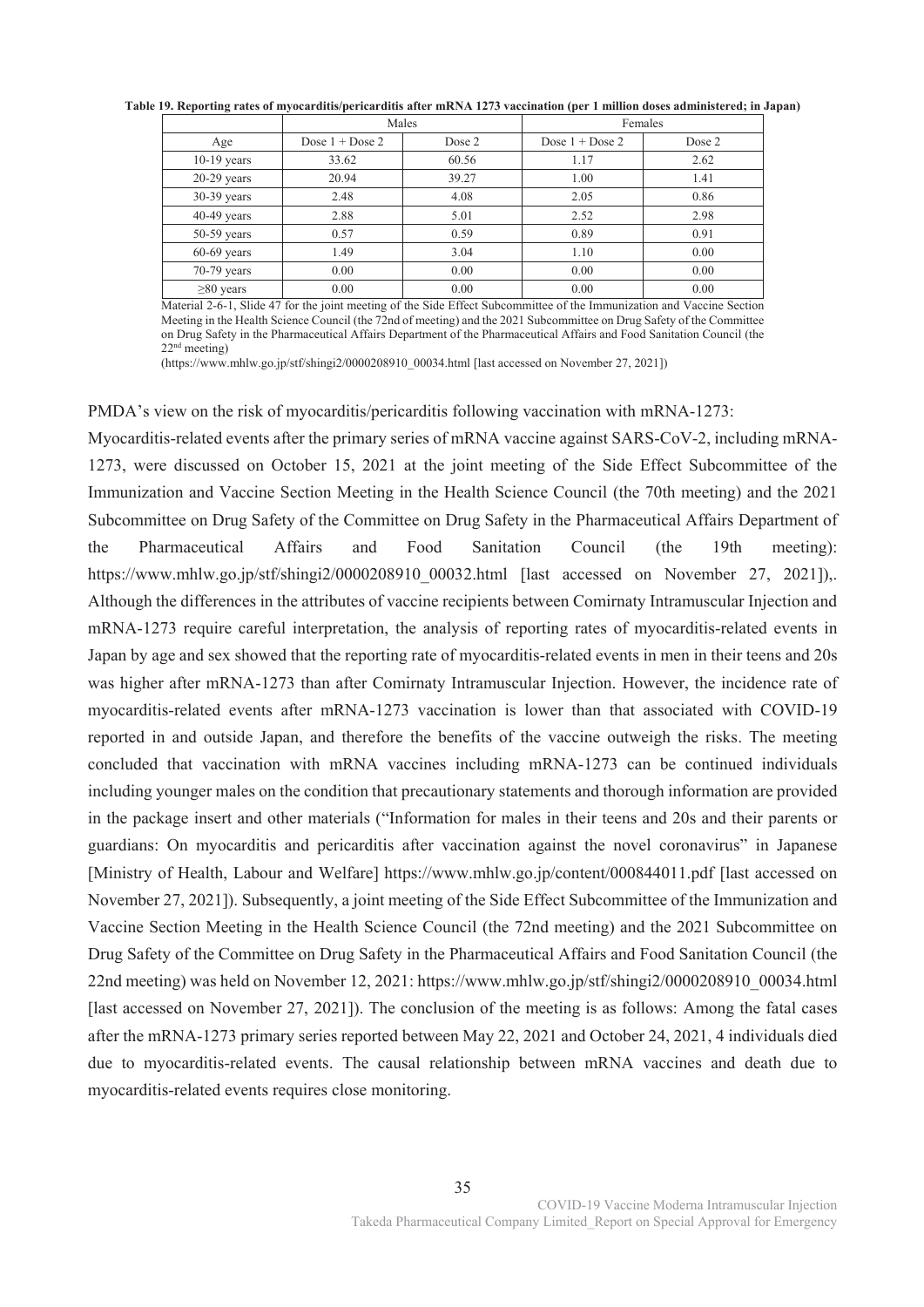|                 | Males                     |        | Females                   |        |
|-----------------|---------------------------|--------|---------------------------|--------|
| Age             | Dose $1 + \text{Dose } 2$ | Dose 2 | Dose $1 + \text{Dose } 2$ | Dose 2 |
| $10-19$ years   | 33.62                     | 60.56  | 1.17                      | 2.62   |
| $20-29$ years   | 20.94                     | 39.27  | 1.00                      | 1.41   |
| $30-39$ years   | 2.48                      | 4.08   | 2.05                      | 0.86   |
| $40-49$ years   | 2.88                      | 5.01   | 2.52                      | 2.98   |
| $50-59$ years   | 0.57                      | 0.59   | 0.89                      | 0.91   |
| $60-69$ years   | 1.49                      | 3.04   | 1.10                      | 0.00   |
| $70-79$ years   | 0.00                      | 0.00   | 0.00                      | 0.00   |
| $\geq 80$ years | 0.00                      | 0.00   | 0.00                      | 0.00   |

**Table 19. Reporting rates of myocarditis/pericarditis after mRNA 1273 vaccination (per 1 million doses administered; in Japan)**

Material 2-6-1, Slide 47 for the joint meeting of the Side Effect Subcommittee of the Immunization and Vaccine Section Meeting in the Health Science Council (the 72nd of meeting) and the 2021 Subcommittee on Drug Safety of the Committee on Drug Safety in the Pharmaceutical Affairs Department of the Pharmaceutical Affairs and Food Sanitation Council (the 22nd meeting)

(https://www.mhlw.go.jp/stf/shingi2/0000208910\_00034.html [last accessed on November 27, 2021])

PMDA's view on the risk of myocarditis/pericarditis following vaccination with mRNA-1273:

Myocarditis-related events after the primary series of mRNA vaccine against SARS-CoV-2, including mRNA-1273, were discussed on October 15, 2021 at the joint meeting of the Side Effect Subcommittee of the Immunization and Vaccine Section Meeting in the Health Science Council (the 70th meeting) and the 2021 Subcommittee on Drug Safety of the Committee on Drug Safety in the Pharmaceutical Affairs Department of the Pharmaceutical Affairs and Food Sanitation Council (the 19th meeting): https://www.mhlw.go.jp/stf/shingi2/0000208910 00032.html [last accessed on November 27, 2021]).. Although the differences in the attributes of vaccine recipients between Comirnaty Intramuscular Injection and mRNA-1273 require careful interpretation, the analysis of reporting rates of myocarditis-related events in Japan by age and sex showed that the reporting rate of myocarditis-related events in men in their teens and 20s was higher after mRNA-1273 than after Comirnaty Intramuscular Injection. However, the incidence rate of myocarditis-related events after mRNA-1273 vaccination is lower than that associated with COVID-19 reported in and outside Japan, and therefore the benefits of the vaccine outweigh the risks. The meeting concluded that vaccination with mRNA vaccines including mRNA-1273 can be continued individuals including younger males on the condition that precautionary statements and thorough information are provided in the package insert and other materials ("Information for males in their teens and 20s and their parents or guardians: On myocarditis and pericarditis after vaccination against the novel coronavirus" in Japanese [Ministry of Health, Labour and Welfare] https://www.mhlw.go.jp/content/000844011.pdf [last accessed on November 27, 2021]). Subsequently, a joint meeting of the Side Effect Subcommittee of the Immunization and Vaccine Section Meeting in the Health Science Council (the 72nd meeting) and the 2021 Subcommittee on Drug Safety of the Committee on Drug Safety in the Pharmaceutical Affairs and Food Sanitation Council (the 22nd meeting) was held on November 12, 2021: https://www.mhlw.go.jp/stf/shingi2/0000208910\_00034.html [last accessed on November 27, 2021]). The conclusion of the meeting is as follows: Among the fatal cases after the mRNA-1273 primary series reported between May 22, 2021 and October 24, 2021, 4 individuals died due to myocarditis-related events. The causal relationship between mRNA vaccines and death due to myocarditis-related events requires close monitoring.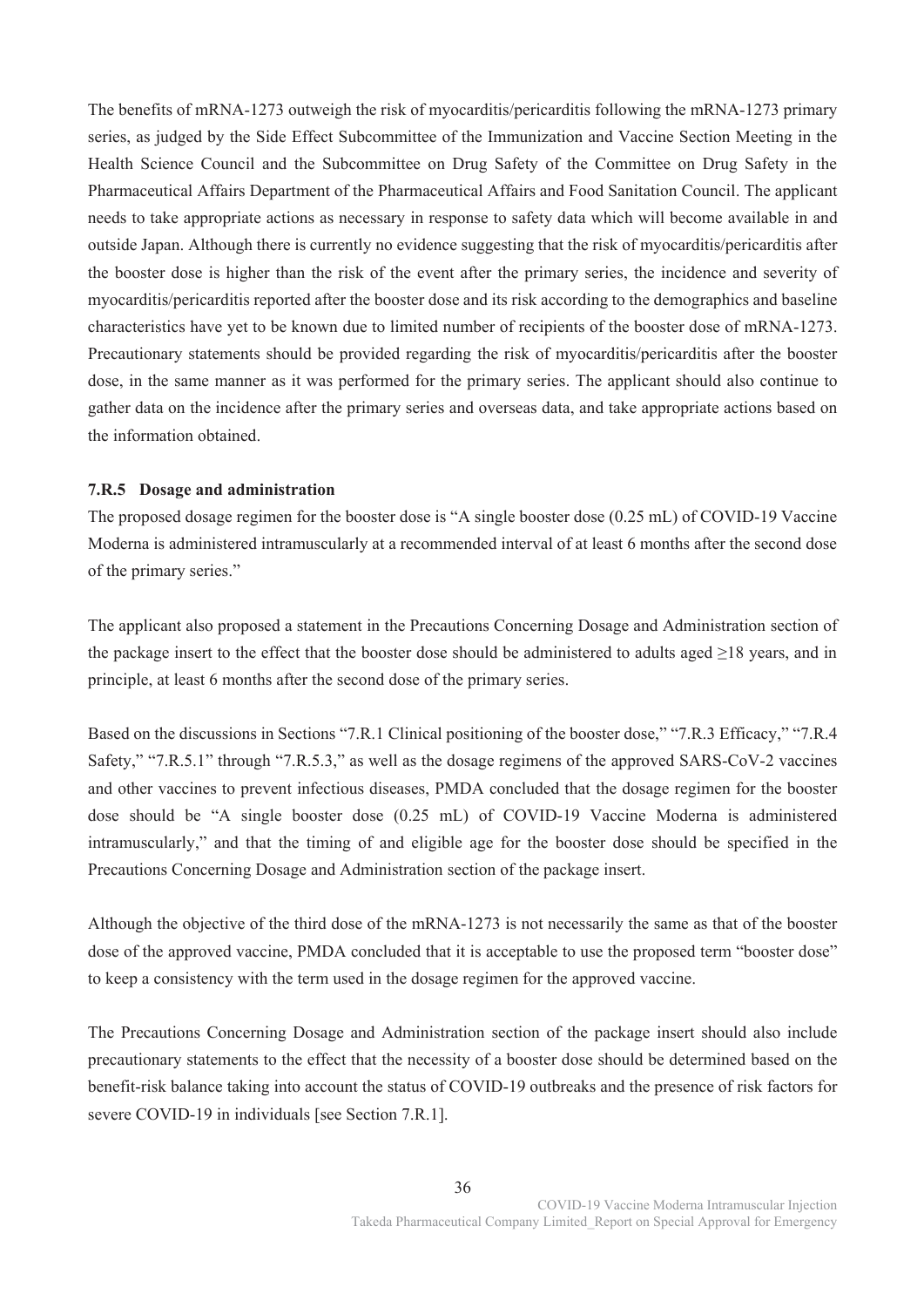The benefits of mRNA-1273 outweigh the risk of myocarditis/pericarditis following the mRNA-1273 primary series, as judged by the Side Effect Subcommittee of the Immunization and Vaccine Section Meeting in the Health Science Council and the Subcommittee on Drug Safety of the Committee on Drug Safety in the Pharmaceutical Affairs Department of the Pharmaceutical Affairs and Food Sanitation Council. The applicant needs to take appropriate actions as necessary in response to safety data which will become available in and outside Japan. Although there is currently no evidence suggesting that the risk of myocarditis/pericarditis after the booster dose is higher than the risk of the event after the primary series, the incidence and severity of myocarditis/pericarditis reported after the booster dose and its risk according to the demographics and baseline characteristics have yet to be known due to limited number of recipients of the booster dose of mRNA-1273. Precautionary statements should be provided regarding the risk of myocarditis/pericarditis after the booster dose, in the same manner as it was performed for the primary series. The applicant should also continue to gather data on the incidence after the primary series and overseas data, and take appropriate actions based on the information obtained.

## **7.R.5 Dosage and administration**

The proposed dosage regimen for the booster dose is "A single booster dose (0.25 mL) of COVID-19 Vaccine Moderna is administered intramuscularly at a recommended interval of at least 6 months after the second dose of the primary series."

The applicant also proposed a statement in the Precautions Concerning Dosage and Administration section of the package insert to the effect that the booster dose should be administered to adults aged  $\geq$ 18 years, and in principle, at least 6 months after the second dose of the primary series.

Based on the discussions in Sections "7.R.1 Clinical positioning of the booster dose," "7.R.3 Efficacy," "7.R.4 Safety," "7.R.5.1" through "7.R.5.3," as well as the dosage regimens of the approved SARS-CoV-2 vaccines and other vaccines to prevent infectious diseases, PMDA concluded that the dosage regimen for the booster dose should be "A single booster dose (0.25 mL) of COVID-19 Vaccine Moderna is administered intramuscularly," and that the timing of and eligible age for the booster dose should be specified in the Precautions Concerning Dosage and Administration section of the package insert.

Although the objective of the third dose of the mRNA-1273 is not necessarily the same as that of the booster dose of the approved vaccine, PMDA concluded that it is acceptable to use the proposed term "booster dose" to keep a consistency with the term used in the dosage regimen for the approved vaccine.

The Precautions Concerning Dosage and Administration section of the package insert should also include precautionary statements to the effect that the necessity of a booster dose should be determined based on the benefit-risk balance taking into account the status of COVID-19 outbreaks and the presence of risk factors for severe COVID-19 in individuals [see Section 7.R.1].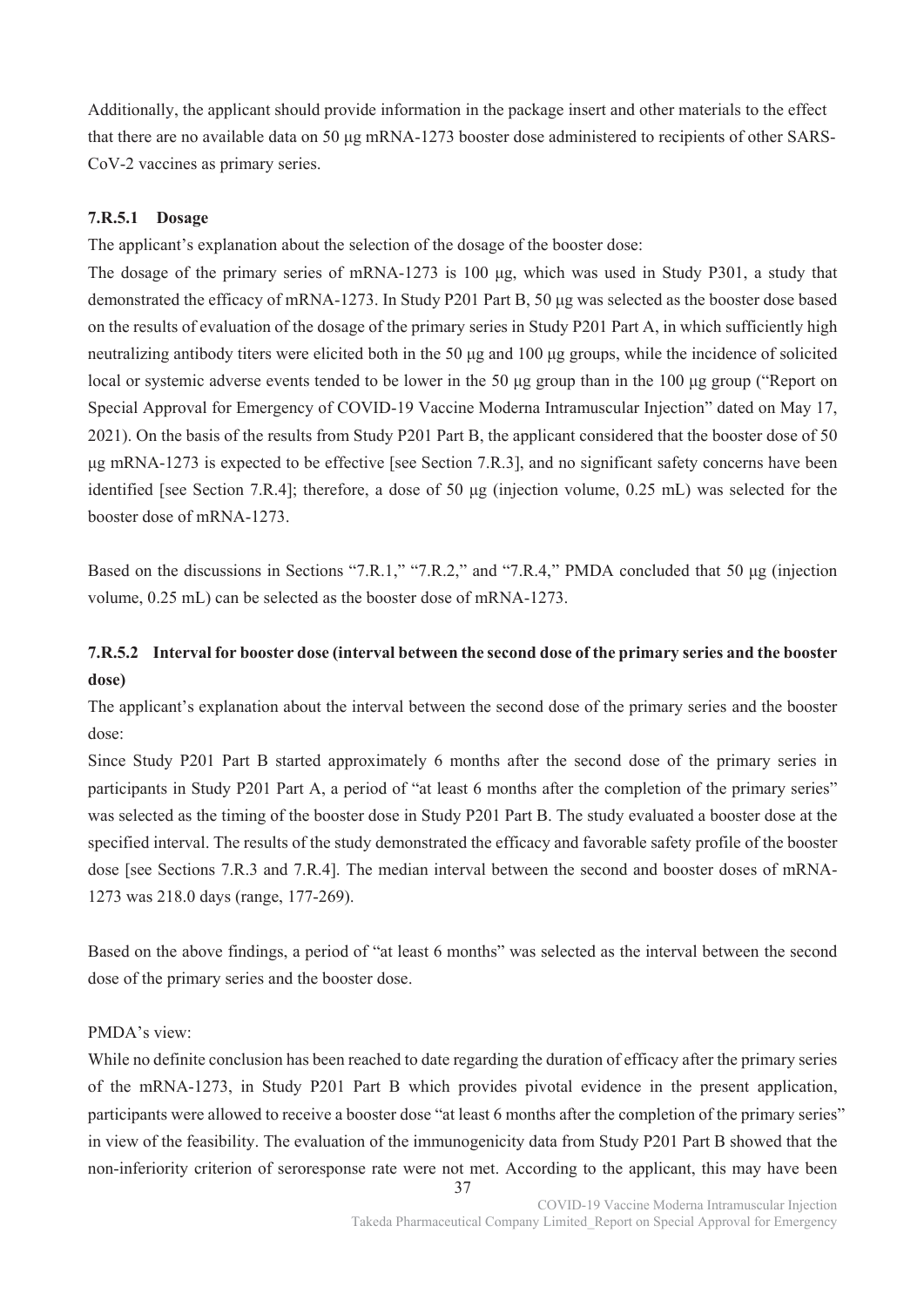Additionally, the applicant should provide information in the package insert and other materials to the effect that there are no available data on 50 μg mRNA-1273 booster dose administered to recipients of other SARS-CoV-2 vaccines as primary series.

### **7.R.5.1 Dosage**

The applicant's explanation about the selection of the dosage of the booster dose:

The dosage of the primary series of mRNA-1273 is 100 μg, which was used in Study P301, a study that demonstrated the efficacy of mRNA-1273. In Study P201 Part B, 50 μg was selected as the booster dose based on the results of evaluation of the dosage of the primary series in Study P201 Part A, in which sufficiently high neutralizing antibody titers were elicited both in the 50 μg and 100 μg groups, while the incidence of solicited local or systemic adverse events tended to be lower in the 50 μg group than in the 100 μg group ("Report on Special Approval for Emergency of COVID-19 Vaccine Moderna Intramuscular Injection" dated on May 17, 2021). On the basis of the results from Study P201 Part B, the applicant considered that the booster dose of 50 μg mRNA-1273 is expected to be effective [see Section 7.R.3], and no significant safety concerns have been identified [see Section 7.R.4]; therefore, a dose of 50 μg (injection volume, 0.25 mL) was selected for the booster dose of mRNA-1273.

Based on the discussions in Sections "7.R.1," "7.R.2," and "7.R.4," PMDA concluded that 50 μg (injection volume, 0.25 mL) can be selected as the booster dose of mRNA-1273.

# **7.R.5.2 Interval for booster dose (interval between the second dose of the primary series and the booster dose)**

The applicant's explanation about the interval between the second dose of the primary series and the booster dose:

Since Study P201 Part B started approximately 6 months after the second dose of the primary series in participants in Study P201 Part A, a period of "at least 6 months after the completion of the primary series" was selected as the timing of the booster dose in Study P201 Part B. The study evaluated a booster dose at the specified interval. The results of the study demonstrated the efficacy and favorable safety profile of the booster dose [see Sections 7.R.3 and 7.R.4]. The median interval between the second and booster doses of mRNA-1273 was 218.0 days (range, 177-269).

Based on the above findings, a period of "at least 6 months" was selected as the interval between the second dose of the primary series and the booster dose.

#### PMDA's view:

While no definite conclusion has been reached to date regarding the duration of efficacy after the primary series of the mRNA-1273, in Study P201 Part B which provides pivotal evidence in the present application, participants were allowed to receive a booster dose "at least 6 months after the completion of the primary series" in view of the feasibility. The evaluation of the immunogenicity data from Study P201 Part B showed that the non-inferiority criterion of seroresponse rate were not met. According to the applicant, this may have been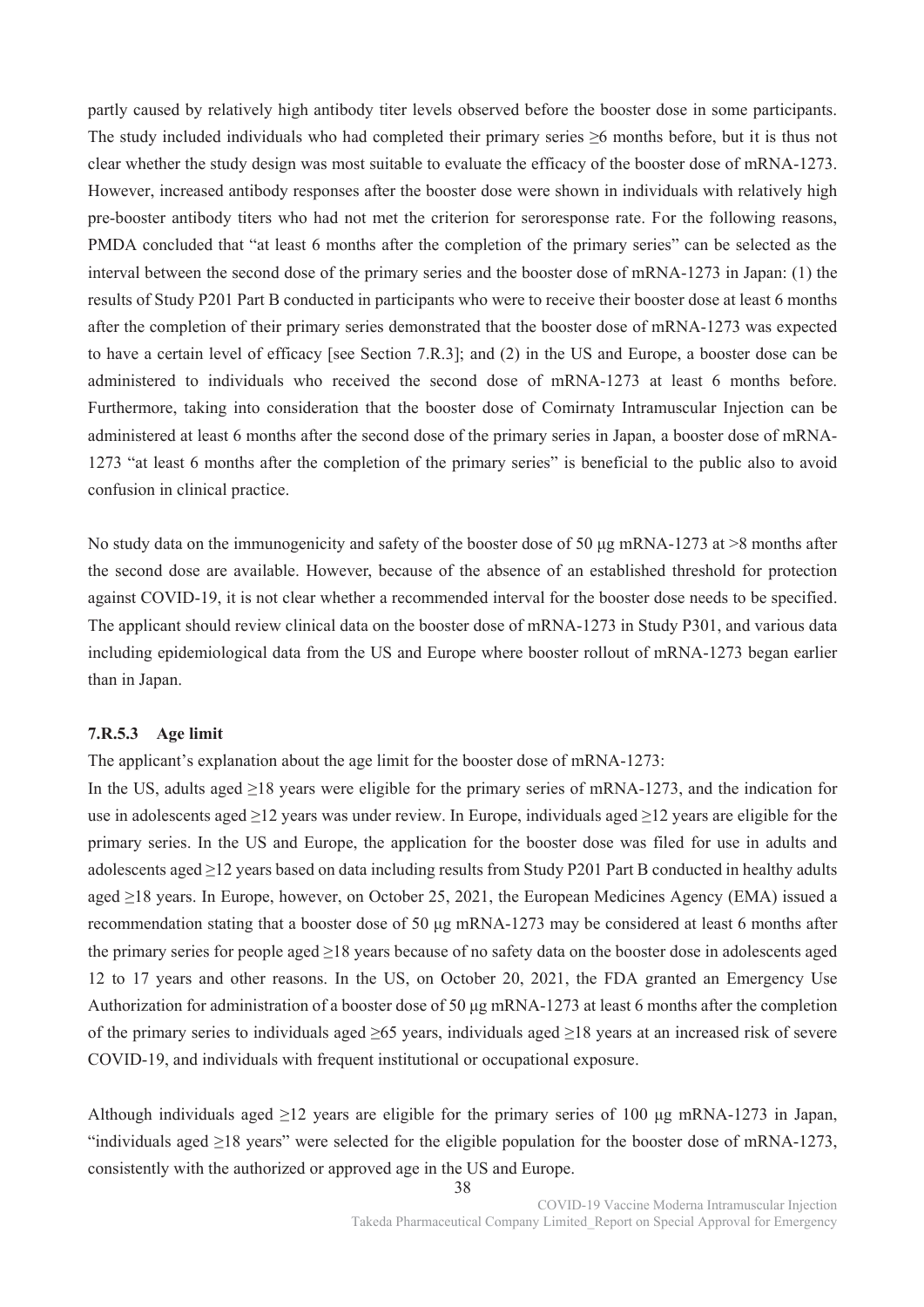partly caused by relatively high antibody titer levels observed before the booster dose in some participants. The study included individuals who had completed their primary series ≥6 months before, but it is thus not clear whether the study design was most suitable to evaluate the efficacy of the booster dose of mRNA-1273. However, increased antibody responses after the booster dose were shown in individuals with relatively high pre-booster antibody titers who had not met the criterion for seroresponse rate. For the following reasons, PMDA concluded that "at least 6 months after the completion of the primary series" can be selected as the interval between the second dose of the primary series and the booster dose of mRNA-1273 in Japan: (1) the results of Study P201 Part B conducted in participants who were to receive their booster dose at least 6 months after the completion of their primary series demonstrated that the booster dose of mRNA-1273 was expected to have a certain level of efficacy [see Section 7.R.3]; and (2) in the US and Europe, a booster dose can be administered to individuals who received the second dose of mRNA-1273 at least 6 months before. Furthermore, taking into consideration that the booster dose of Comirnaty Intramuscular Injection can be administered at least 6 months after the second dose of the primary series in Japan, a booster dose of mRNA-1273 "at least 6 months after the completion of the primary series" is beneficial to the public also to avoid confusion in clinical practice.

No study data on the immunogenicity and safety of the booster dose of 50 μg mRNA-1273 at >8 months after the second dose are available. However, because of the absence of an established threshold for protection against COVID-19, it is not clear whether a recommended interval for the booster dose needs to be specified. The applicant should review clinical data on the booster dose of mRNA-1273 in Study P301, and various data including epidemiological data from the US and Europe where booster rollout of mRNA-1273 began earlier than in Japan.

### **7.R.5.3 Age limit**

The applicant's explanation about the age limit for the booster dose of mRNA-1273:

In the US, adults aged ≥18 years were eligible for the primary series of mRNA-1273, and the indication for use in adolescents aged ≥12 years was under review. In Europe, individuals aged ≥12 years are eligible for the primary series. In the US and Europe, the application for the booster dose was filed for use in adults and adolescents aged ≥12 years based on data including results from Study P201 Part B conducted in healthy adults aged ≥18 years. In Europe, however, on October 25, 2021, the European Medicines Agency (EMA) issued a recommendation stating that a booster dose of 50 μg mRNA-1273 may be considered at least 6 months after the primary series for people aged ≥18 years because of no safety data on the booster dose in adolescents aged 12 to 17 years and other reasons. In the US, on October 20, 2021, the FDA granted an Emergency Use Authorization for administration of a booster dose of 50 μg mRNA-1273 at least 6 months after the completion of the primary series to individuals aged ≥65 years, individuals aged ≥18 years at an increased risk of severe COVID-19, and individuals with frequent institutional or occupational exposure.

Although individuals aged  $\geq 12$  years are eligible for the primary series of 100 µg mRNA-1273 in Japan, "individuals aged  $\geq$ 18 years" were selected for the eligible population for the booster dose of mRNA-1273, consistently with the authorized or approved age in the US and Europe.

> 38 COVID-19 Vaccine Moderna Intramuscular Injection Takeda Pharmaceutical Company Limited\_Report on Special Approval for Emergency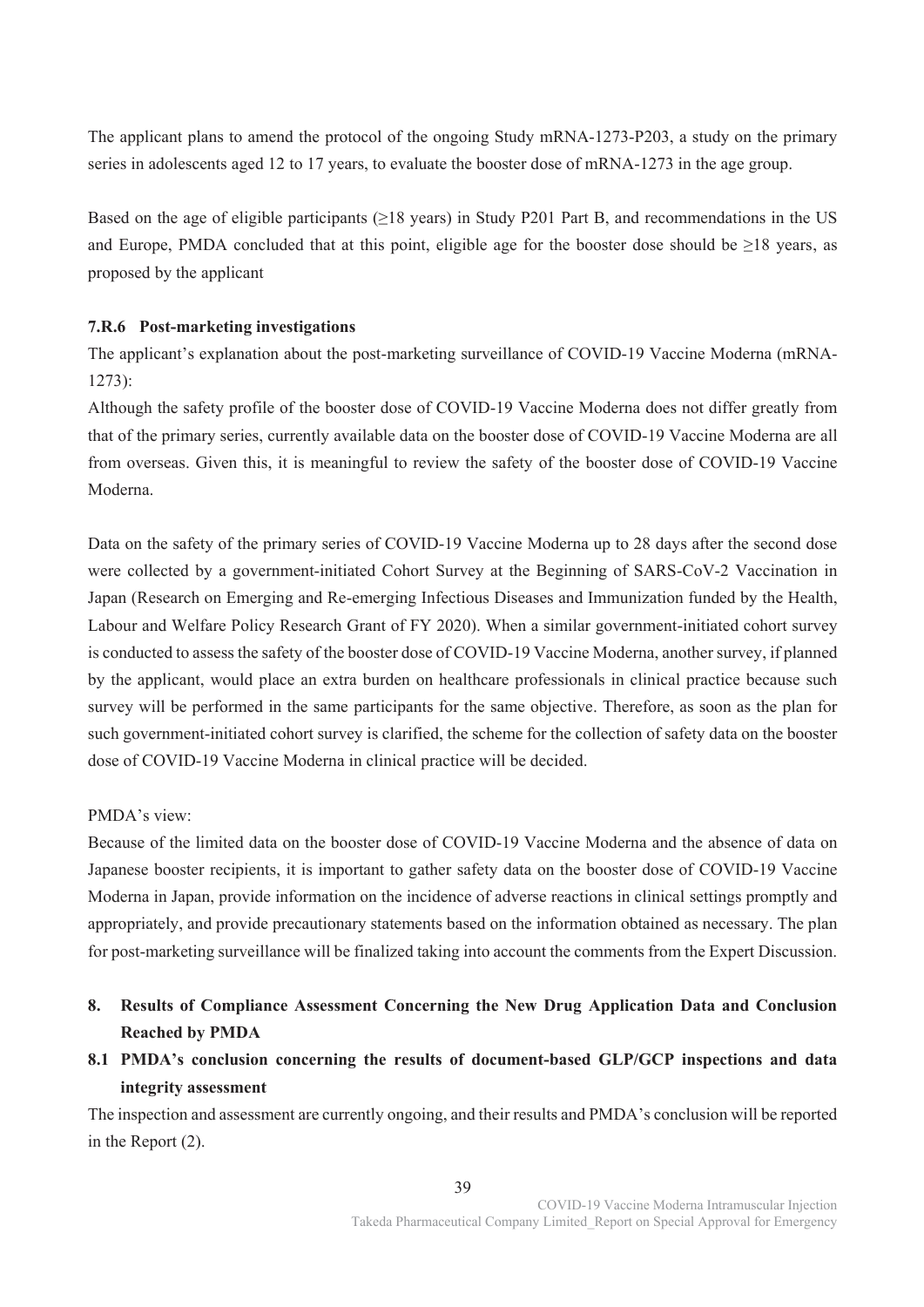The applicant plans to amend the protocol of the ongoing Study mRNA-1273-P203, a study on the primary series in adolescents aged 12 to 17 years, to evaluate the booster dose of mRNA-1273 in the age group.

Based on the age of eligible participants ( $\geq$ 18 years) in Study P201 Part B, and recommendations in the US and Europe, PMDA concluded that at this point, eligible age for the booster dose should be ≥18 years, as proposed by the applicant

# **7.R.6 Post-marketing investigations**

The applicant's explanation about the post-marketing surveillance of COVID-19 Vaccine Moderna (mRNA-1273):

Although the safety profile of the booster dose of COVID-19 Vaccine Moderna does not differ greatly from that of the primary series, currently available data on the booster dose of COVID-19 Vaccine Moderna are all from overseas. Given this, it is meaningful to review the safety of the booster dose of COVID-19 Vaccine Moderna.

Data on the safety of the primary series of COVID-19 Vaccine Moderna up to 28 days after the second dose were collected by a government-initiated Cohort Survey at the Beginning of SARS-CoV-2 Vaccination in Japan (Research on Emerging and Re-emerging Infectious Diseases and Immunization funded by the Health, Labour and Welfare Policy Research Grant of FY 2020). When a similar government-initiated cohort survey is conducted to assess the safety of the booster dose of COVID-19 Vaccine Moderna, another survey, if planned by the applicant, would place an extra burden on healthcare professionals in clinical practice because such survey will be performed in the same participants for the same objective. Therefore, as soon as the plan for such government-initiated cohort survey is clarified, the scheme for the collection of safety data on the booster dose of COVID-19 Vaccine Moderna in clinical practice will be decided.

# PMDA's view:

Because of the limited data on the booster dose of COVID-19 Vaccine Moderna and the absence of data on Japanese booster recipients, it is important to gather safety data on the booster dose of COVID-19 Vaccine Moderna in Japan, provide information on the incidence of adverse reactions in clinical settings promptly and appropriately, and provide precautionary statements based on the information obtained as necessary. The plan for post-marketing surveillance will be finalized taking into account the comments from the Expert Discussion.

- **8. Results of Compliance Assessment Concerning the New Drug Application Data and Conclusion Reached by PMDA**
- **8.1 PMDA's conclusion concerning the results of document-based GLP/GCP inspections and data integrity assessment**

The inspection and assessment are currently ongoing, and their results and PMDA's conclusion will be reported in the Report (2).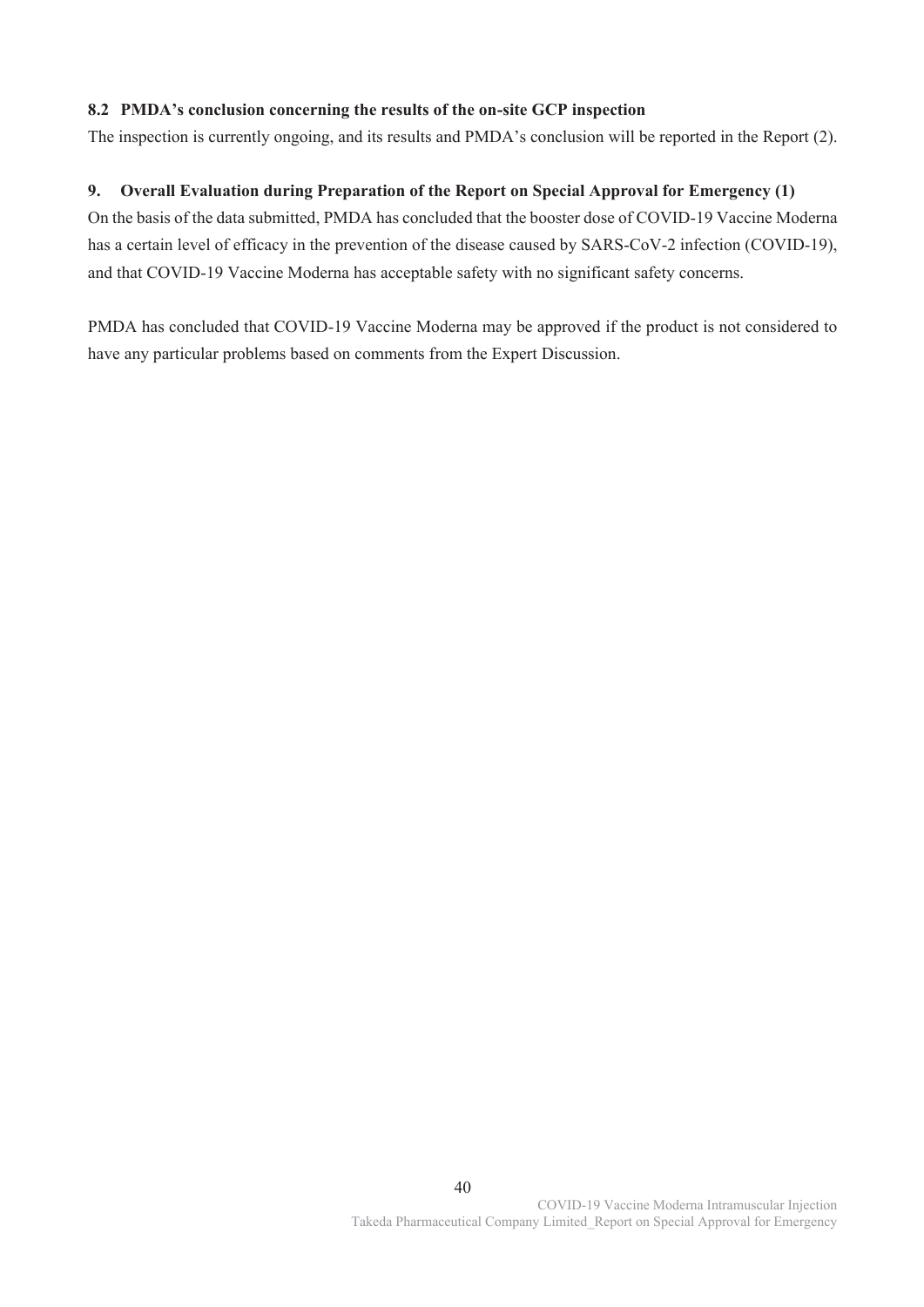# **8.2 PMDA's conclusion concerning the results of the on-site GCP inspection**

The inspection is currently ongoing, and its results and PMDA's conclusion will be reported in the Report (2).

# **9. Overall Evaluation during Preparation of the Report on Special Approval for Emergency (1)**

On the basis of the data submitted, PMDA has concluded that the booster dose of COVID-19 Vaccine Moderna has a certain level of efficacy in the prevention of the disease caused by SARS-CoV-2 infection (COVID-19), and that COVID-19 Vaccine Moderna has acceptable safety with no significant safety concerns.

PMDA has concluded that COVID-19 Vaccine Moderna may be approved if the product is not considered to have any particular problems based on comments from the Expert Discussion.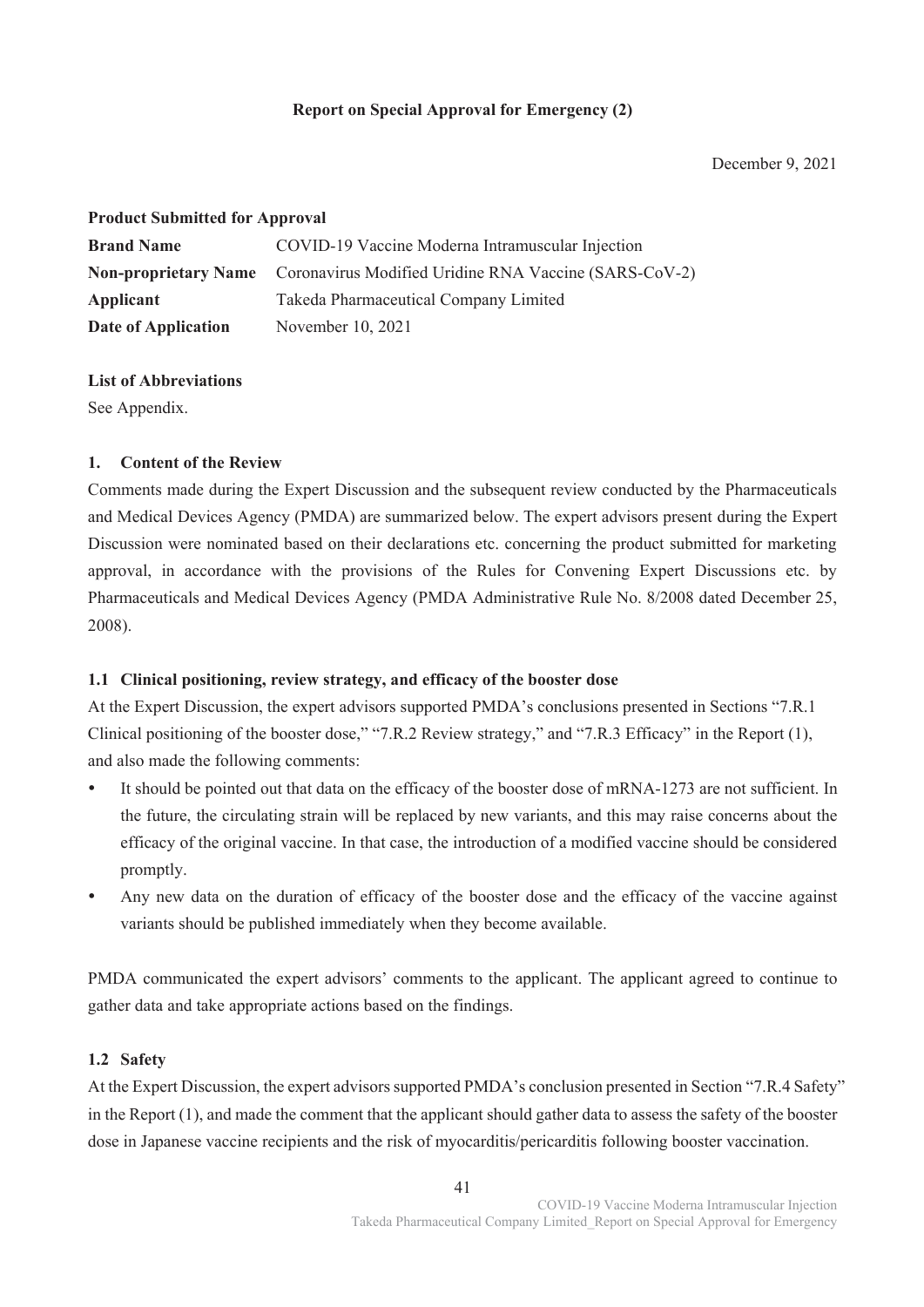# **Report on Special Approval for Emergency (2)**

December 9, 2021

# **Product Submitted for Approval**

| <b>Brand Name</b>                                                                 | COVID-19 Vaccine Moderna Intramuscular Injection |
|-----------------------------------------------------------------------------------|--------------------------------------------------|
| <b>Non-proprietary Name</b> Coronavirus Modified Uridine RNA Vaccine (SARS-CoV-2) |                                                  |
| Applicant                                                                         | Takeda Pharmaceutical Company Limited            |
| Date of Application                                                               | November 10, 2021                                |

# **List of Abbreviations**

See Appendix.

# **1. Content of the Review**

Comments made during the Expert Discussion and the subsequent review conducted by the Pharmaceuticals and Medical Devices Agency (PMDA) are summarized below. The expert advisors present during the Expert Discussion were nominated based on their declarations etc. concerning the product submitted for marketing approval, in accordance with the provisions of the Rules for Convening Expert Discussions etc. by Pharmaceuticals and Medical Devices Agency (PMDA Administrative Rule No. 8/2008 dated December 25, 2008).

# **1.1 Clinical positioning, review strategy, and efficacy of the booster dose**

At the Expert Discussion, the expert advisors supported PMDA's conclusions presented in Sections "7.R.1 Clinical positioning of the booster dose," "7.R.2 Review strategy," and "7.R.3 Efficacy" in the Report (1), and also made the following comments:

- It should be pointed out that data on the efficacy of the booster dose of mRNA-1273 are not sufficient. In the future, the circulating strain will be replaced by new variants, and this may raise concerns about the efficacy of the original vaccine. In that case, the introduction of a modified vaccine should be considered promptly.
- Any new data on the duration of efficacy of the booster dose and the efficacy of the vaccine against variants should be published immediately when they become available.

PMDA communicated the expert advisors' comments to the applicant. The applicant agreed to continue to gather data and take appropriate actions based on the findings.

# **1.2 Safety**

At the Expert Discussion, the expert advisors supported PMDA's conclusion presented in Section "7.R.4 Safety" in the Report (1), and made the comment that the applicant should gather data to assess the safety of the booster dose in Japanese vaccine recipients and the risk of myocarditis/pericarditis following booster vaccination.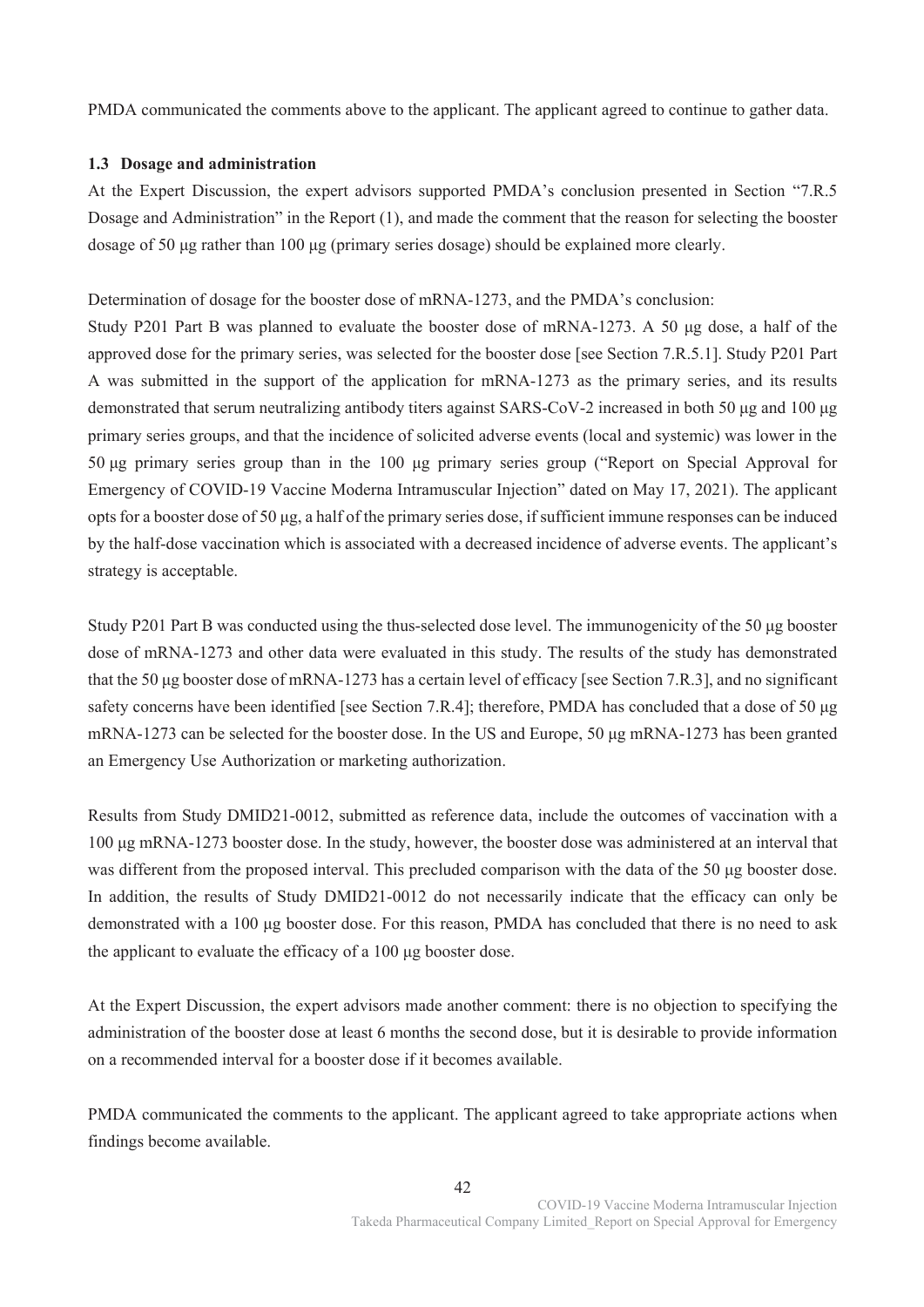PMDA communicated the comments above to the applicant. The applicant agreed to continue to gather data.

#### **1.3 Dosage and administration**

At the Expert Discussion, the expert advisors supported PMDA's conclusion presented in Section "7.R.5 Dosage and Administration" in the Report (1), and made the comment that the reason for selecting the booster dosage of 50 μg rather than 100 μg (primary series dosage) should be explained more clearly.

Determination of dosage for the booster dose of mRNA-1273, and the PMDA's conclusion:

Study P201 Part B was planned to evaluate the booster dose of mRNA-1273. A 50 μg dose, a half of the approved dose for the primary series, was selected for the booster dose [see Section 7.R.5.1]. Study P201 Part A was submitted in the support of the application for mRNA-1273 as the primary series, and its results demonstrated that serum neutralizing antibody titers against SARS-CoV-2 increased in both 50 μg and 100 μg primary series groups, and that the incidence of solicited adverse events (local and systemic) was lower in the 50 μg primary series group than in the 100 μg primary series group ("Report on Special Approval for Emergency of COVID-19 Vaccine Moderna Intramuscular Injection" dated on May 17, 2021). The applicant opts for a booster dose of 50 μg, a half of the primary series dose, if sufficient immune responses can be induced by the half-dose vaccination which is associated with a decreased incidence of adverse events. The applicant's strategy is acceptable.

Study P201 Part B was conducted using the thus-selected dose level. The immunogenicity of the 50 μg booster dose of mRNA-1273 and other data were evaluated in this study. The results of the study has demonstrated that the 50 μg booster dose of mRNA-1273 has a certain level of efficacy [see Section 7.R.3], and no significant safety concerns have been identified [see Section 7.R.4]; therefore, PMDA has concluded that a dose of 50 μg mRNA-1273 can be selected for the booster dose. In the US and Europe, 50 μg mRNA-1273 has been granted an Emergency Use Authorization or marketing authorization.

Results from Study DMID21-0012, submitted as reference data, include the outcomes of vaccination with a 100 μg mRNA-1273 booster dose. In the study, however, the booster dose was administered at an interval that was different from the proposed interval. This precluded comparison with the data of the 50 μg booster dose. In addition, the results of Study DMID21-0012 do not necessarily indicate that the efficacy can only be demonstrated with a 100 μg booster dose. For this reason, PMDA has concluded that there is no need to ask the applicant to evaluate the efficacy of a 100 μg booster dose.

At the Expert Discussion, the expert advisors made another comment: there is no objection to specifying the administration of the booster dose at least 6 months the second dose, but it is desirable to provide information on a recommended interval for a booster dose if it becomes available.

PMDA communicated the comments to the applicant. The applicant agreed to take appropriate actions when findings become available.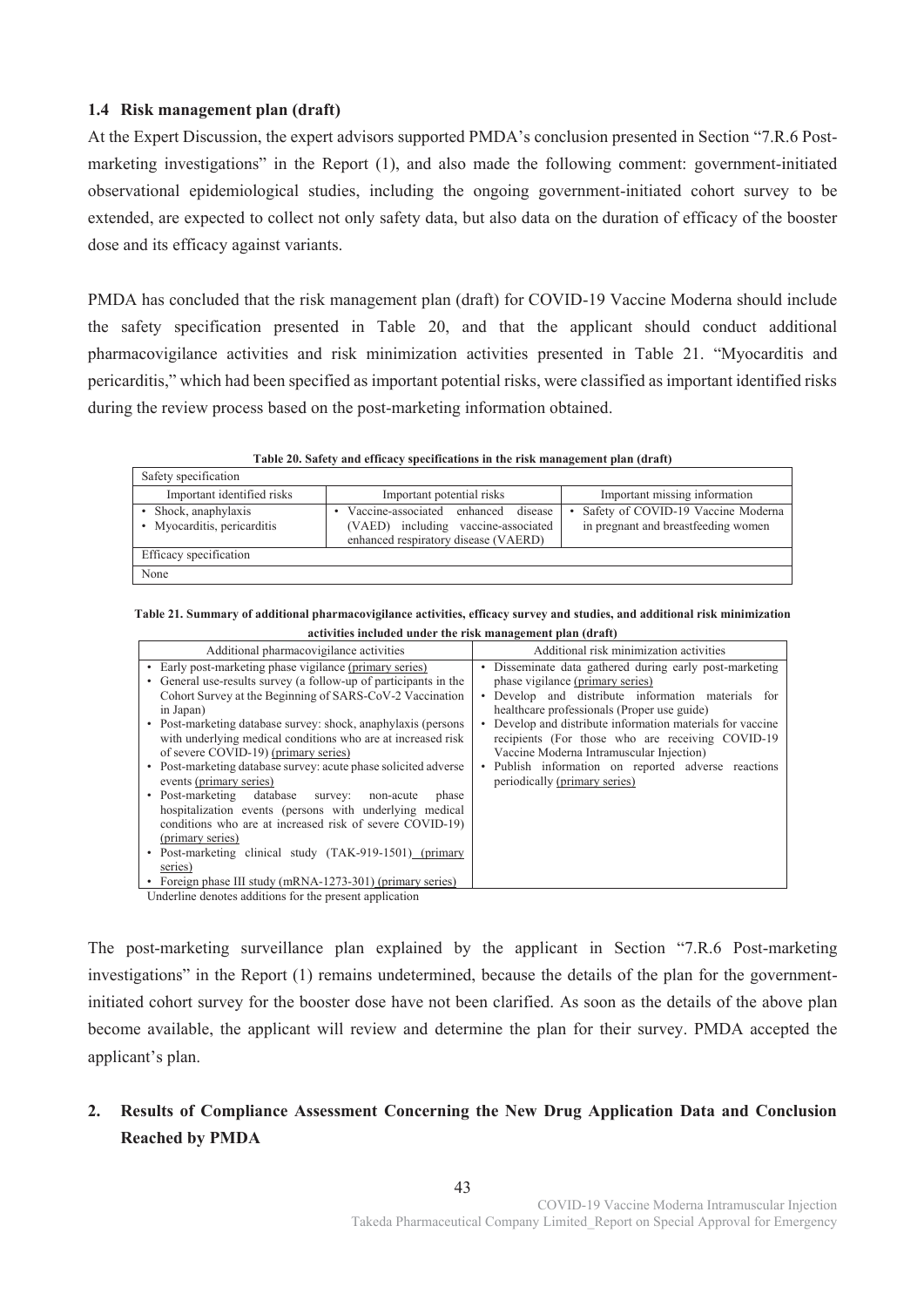# **1.4 Risk management plan (draft)**

At the Expert Discussion, the expert advisors supported PMDA's conclusion presented in Section "7.R.6 Postmarketing investigations" in the Report (1), and also made the following comment: government-initiated observational epidemiological studies, including the ongoing government-initiated cohort survey to be extended, are expected to collect not only safety data, but also data on the duration of efficacy of the booster dose and its efficacy against variants.

PMDA has concluded that the risk management plan (draft) for COVID-19 Vaccine Moderna should include the safety specification presented in Table 20, and that the applicant should conduct additional pharmacovigilance activities and risk minimization activities presented in Table 21. "Myocarditis and pericarditis," which had been specified as important potential risks, were classified as important identified risks during the review process based on the post-marketing information obtained.

**Table 20. Safety and efficacy specifications in the risk management plan (draft)** 

| Safety specification                                    |                                                                                                                    |                                                                           |
|---------------------------------------------------------|--------------------------------------------------------------------------------------------------------------------|---------------------------------------------------------------------------|
| Important identified risks<br>Important potential risks |                                                                                                                    | Important missing information                                             |
| Shock, anaphylaxis<br>Myocarditis, pericarditis         | Vaccine-associated enhanced disease<br>(VAED) including vaccine-associated<br>enhanced respiratory disease (VAERD) | Safety of COVID-19 Vaccine Moderna<br>in pregnant and breastfeeding women |
| Efficacy specification                                  |                                                                                                                    |                                                                           |
| None                                                    |                                                                                                                    |                                                                           |

**Table 21. Summary of additional pharmacovigilance activities, efficacy survey and studies, and additional risk minimization activities included under the risk management plan (draft)** 

| Additional pharmacovigilance activities                          | Additional risk minimization activities                  |
|------------------------------------------------------------------|----------------------------------------------------------|
| • Early post-marketing phase vigilance (primary series)          | • Disseminate data gathered during early post-marketing  |
| • General use-results survey (a follow-up of participants in the | phase vigilance (primary series)                         |
| Cohort Survey at the Beginning of SARS-CoV-2 Vaccination         | Develop and distribute information materials for         |
| in Japan)                                                        | healthcare professionals (Proper use guide)              |
| • Post-marketing database survey: shock, anaphylaxis (persons)   | Develop and distribute information materials for vaccine |
| with underlying medical conditions who are at increased risk     | recipients (For those who are receiving COVID-19         |
| of severe COVID-19) (primary series)                             | Vaccine Moderna Intramuscular Injection)                 |
| • Post-marketing database survey: acute phase solicited adverse  | • Publish information on reported adverse reactions      |
| events (primary series)                                          | periodically (primary series)                            |
| • Post-marketing database<br>non-acute<br>survey:<br>phase       |                                                          |
| hospitalization events (persons with underlying medical          |                                                          |
| conditions who are at increased risk of severe COVID-19)         |                                                          |
| (primary series)                                                 |                                                          |
| • Post-marketing clinical study (TAK-919-1501) (primary          |                                                          |
| series)                                                          |                                                          |
| • Foreign phase III study (mRNA-1273-301) (primary series)       |                                                          |
| Underline denotes additions for the present application          |                                                          |

The post-marketing surveillance plan explained by the applicant in Section "7.R.6 Post-marketing investigations" in the Report (1) remains undetermined, because the details of the plan for the governmentinitiated cohort survey for the booster dose have not been clarified. As soon as the details of the above plan become available, the applicant will review and determine the plan for their survey. PMDA accepted the applicant's plan.

# **2. Results of Compliance Assessment Concerning the New Drug Application Data and Conclusion Reached by PMDA**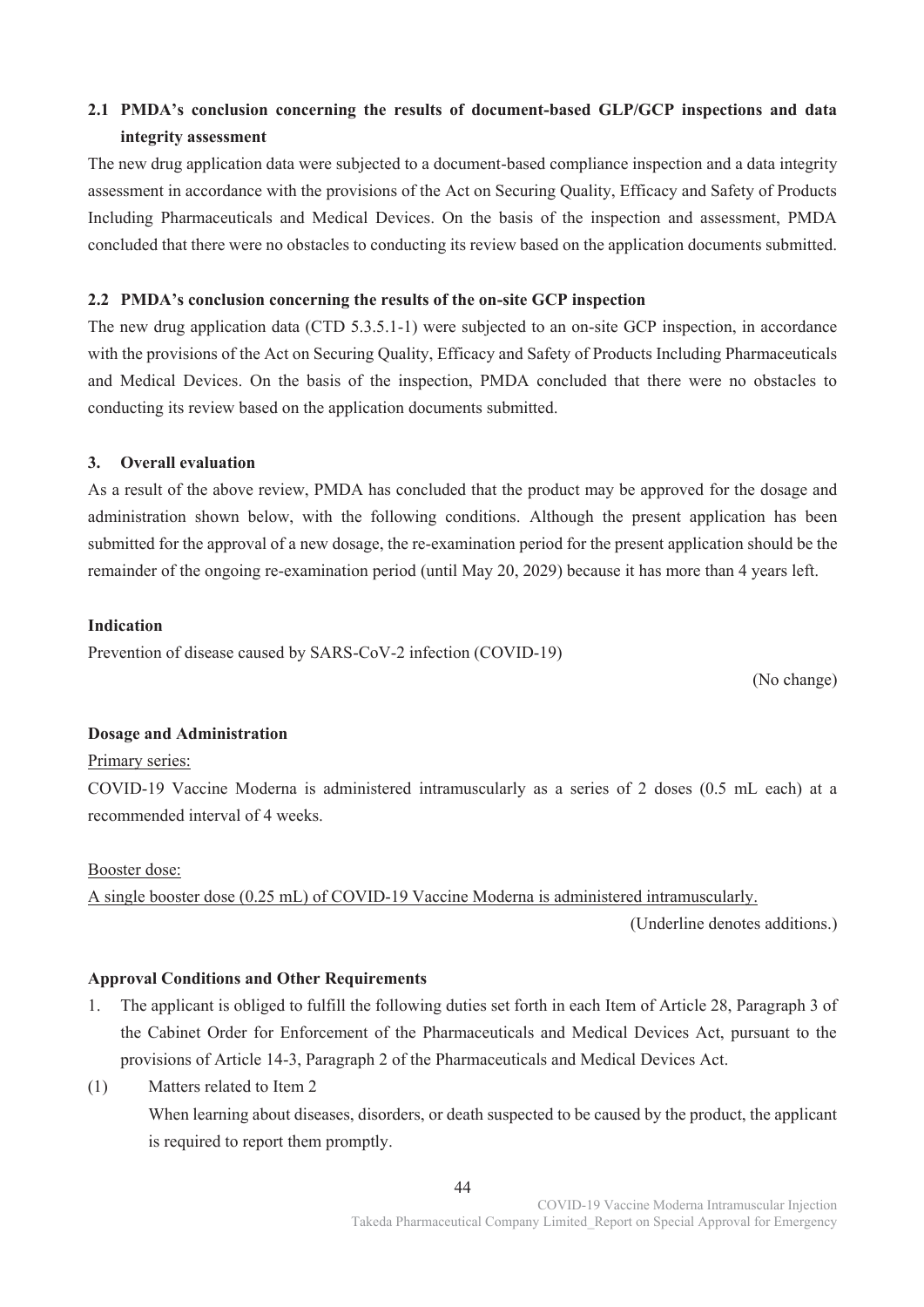# **2.1 PMDA's conclusion concerning the results of document-based GLP/GCP inspections and data integrity assessment**

The new drug application data were subjected to a document-based compliance inspection and a data integrity assessment in accordance with the provisions of the Act on Securing Quality, Efficacy and Safety of Products Including Pharmaceuticals and Medical Devices. On the basis of the inspection and assessment, PMDA concluded that there were no obstacles to conducting its review based on the application documents submitted.

## **2.2 PMDA's conclusion concerning the results of the on-site GCP inspection**

The new drug application data (CTD 5.3.5.1-1) were subjected to an on-site GCP inspection, in accordance with the provisions of the Act on Securing Quality, Efficacy and Safety of Products Including Pharmaceuticals and Medical Devices. On the basis of the inspection, PMDA concluded that there were no obstacles to conducting its review based on the application documents submitted.

# **3. Overall evaluation**

As a result of the above review, PMDA has concluded that the product may be approved for the dosage and administration shown below, with the following conditions. Although the present application has been submitted for the approval of a new dosage, the re-examination period for the present application should be the remainder of the ongoing re-examination period (until May 20, 2029) because it has more than 4 years left.

# **Indication**

Prevention of disease caused by SARS-CoV-2 infection (COVID-19)

(No change)

# **Dosage and Administration**

# Primary series:

COVID-19 Vaccine Moderna is administered intramuscularly as a series of 2 doses (0.5 mL each) at a recommended interval of 4 weeks.

#### Booster dose:

A single booster dose (0.25 mL) of COVID-19 Vaccine Moderna is administered intramuscularly.

(Underline denotes additions.)

# **Approval Conditions and Other Requirements**

- 1. The applicant is obliged to fulfill the following duties set forth in each Item of Article 28, Paragraph 3 of the Cabinet Order for Enforcement of the Pharmaceuticals and Medical Devices Act, pursuant to the provisions of Article 14-3, Paragraph 2 of the Pharmaceuticals and Medical Devices Act.
- (1) Matters related to Item 2 When learning about diseases, disorders, or death suspected to be caused by the product, the applicant is required to report them promptly.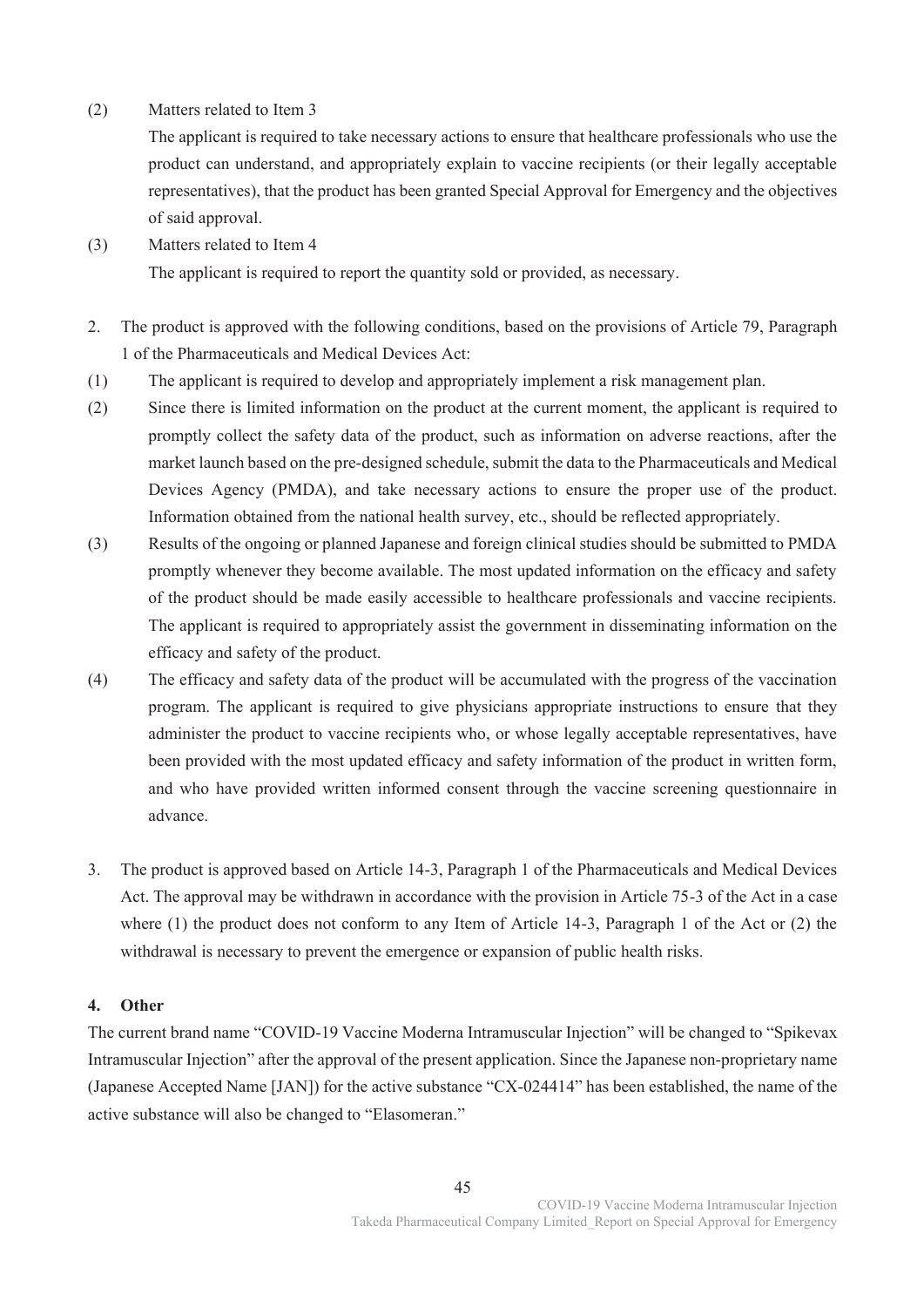(2) Matters related to Item 3

The applicant is required to take necessary actions to ensure that healthcare professionals who use the product can understand, and appropriately explain to vaccine recipients (or their legally acceptable representatives), that the product has been granted Special Approval for Emergency and the objectives of said approval.

(3) Matters related to Item 4

The applicant is required to report the quantity sold or provided, as necessary.

- 2. The product is approved with the following conditions, based on the provisions of Article 79, Paragraph 1 of the Pharmaceuticals and Medical Devices Act:
- (1) The applicant is required to develop and appropriately implement a risk management plan.
- (2) Since there is limited information on the product at the current moment, the applicant is required to promptly collect the safety data of the product, such as information on adverse reactions, after the market launch based on the pre-designed schedule, submit the data to the Pharmaceuticals and Medical Devices Agency (PMDA), and take necessary actions to ensure the proper use of the product. Information obtained from the national health survey, etc., should be reflected appropriately.
- (3) Results of the ongoing or planned Japanese and foreign clinical studies should be submitted to PMDA promptly whenever they become available. The most updated information on the efficacy and safety of the product should be made easily accessible to healthcare professionals and vaccine recipients. The applicant is required to appropriately assist the government in disseminating information on the efficacy and safety of the product.
- (4) The efficacy and safety data of the product will be accumulated with the progress of the vaccination program. The applicant is required to give physicians appropriate instructions to ensure that they administer the product to vaccine recipients who, or whose legally acceptable representatives, have been provided with the most updated efficacy and safety information of the product in written form, and who have provided written informed consent through the vaccine screening questionnaire in advance.
- 3. The product is approved based on Article 14-3, Paragraph 1 of the Pharmaceuticals and Medical Devices Act. The approval may be withdrawn in accordance with the provision in Article 75-3 of the Act in a case where (1) the product does not conform to any Item of Article 14-3, Paragraph 1 of the Act or (2) the withdrawal is necessary to prevent the emergence or expansion of public health risks.

# **4. Other**

The current brand name "COVID-19 Vaccine Moderna Intramuscular Injection" will be changed to "Spikevax Intramuscular Injection" after the approval of the present application. Since the Japanese non-proprietary name (Japanese Accepted Name [JAN]) for the active substance "CX-024414" has been established, the name of the active substance will also be changed to "Elasomeran."